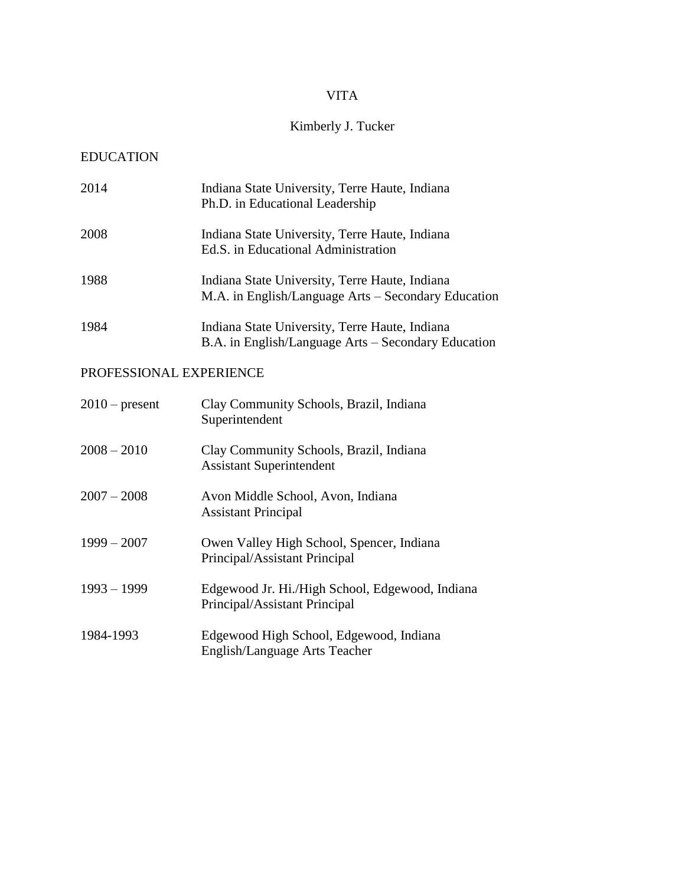# VITA

# Kimberly J. Tucker

# EDUCATION

| 2014 | Indiana State University, Terre Haute, Indiana<br>Ph.D. in Educational Leadership                     |
|------|-------------------------------------------------------------------------------------------------------|
| 2008 | Indiana State University, Terre Haute, Indiana<br>Ed.S. in Educational Administration                 |
| 1988 | Indiana State University, Terre Haute, Indiana<br>M.A. in English/Language Arts – Secondary Education |
| 1984 | Indiana State University, Terre Haute, Indiana<br>B.A. in English/Language Arts - Secondary Education |

# PROFESSIONAL EXPERIENCE

| $2010$ – present | Clay Community Schools, Brazil, Indiana<br>Superintendent                        |
|------------------|----------------------------------------------------------------------------------|
| $2008 - 2010$    | Clay Community Schools, Brazil, Indiana<br><b>Assistant Superintendent</b>       |
| $2007 - 2008$    | Avon Middle School, Avon, Indiana<br><b>Assistant Principal</b>                  |
| $1999 - 2007$    | Owen Valley High School, Spencer, Indiana<br>Principal/Assistant Principal       |
| $1993 - 1999$    | Edgewood Jr. Hi./High School, Edgewood, Indiana<br>Principal/Assistant Principal |
| 1984-1993        | Edgewood High School, Edgewood, Indiana<br>English/Language Arts Teacher         |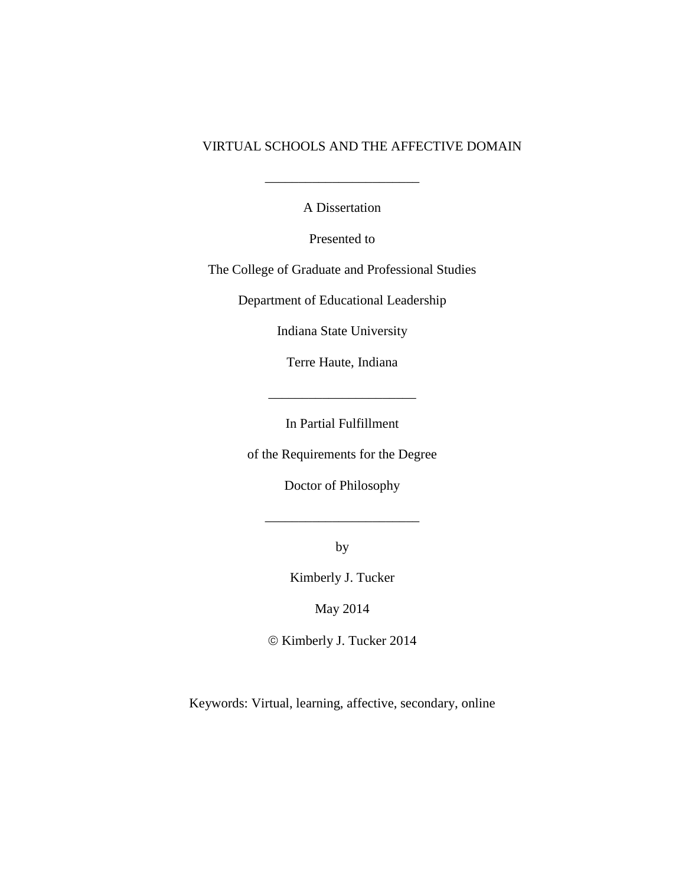## VIRTUAL SCHOOLS AND THE AFFECTIVE DOMAIN

 $\frac{1}{2}$ 

A Dissertation

Presented to

The College of Graduate and Professional Studies

Department of Educational Leadership

Indiana State University

Terre Haute, Indiana

\_\_\_\_\_\_\_\_\_\_\_\_\_\_\_\_\_\_\_\_\_\_

In Partial Fulfillment

of the Requirements for the Degree

Doctor of Philosophy

\_\_\_\_\_\_\_\_\_\_\_\_\_\_\_\_\_\_\_\_\_\_\_

by

Kimberly J. Tucker

May 2014

 $\odot$  Kimberly J. Tucker 2014

Keywords: Virtual, learning, affective, secondary, online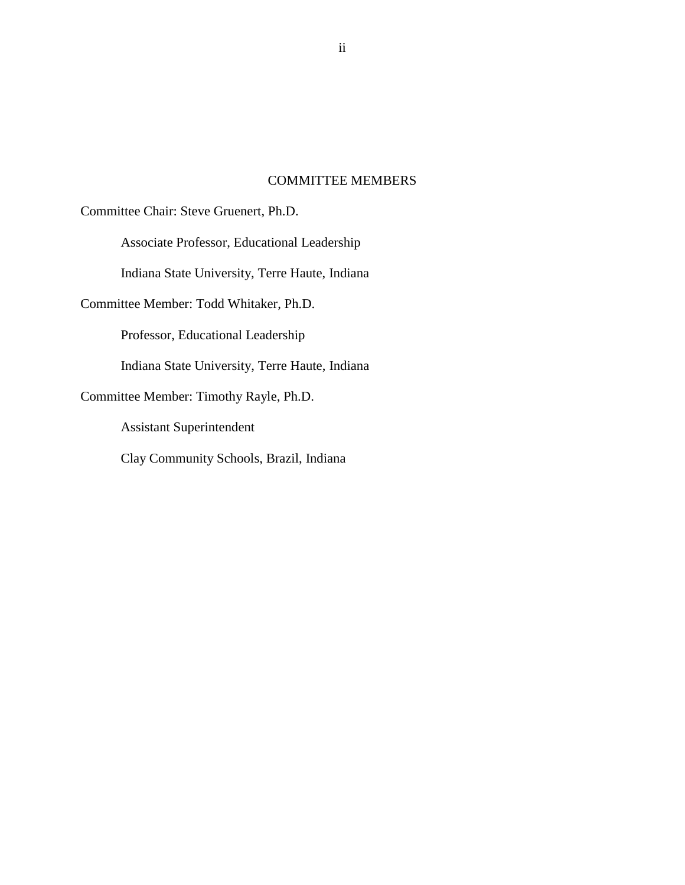## COMMITTEE MEMBERS

Committee Chair: Steve Gruenert, Ph.D.

Associate Professor, Educational Leadership

Indiana State University, Terre Haute, Indiana

Committee Member: Todd Whitaker, Ph.D.

Professor, Educational Leadership

Indiana State University, Terre Haute, Indiana

Committee Member: Timothy Rayle, Ph.D.

Assistant Superintendent

Clay Community Schools, Brazil, Indiana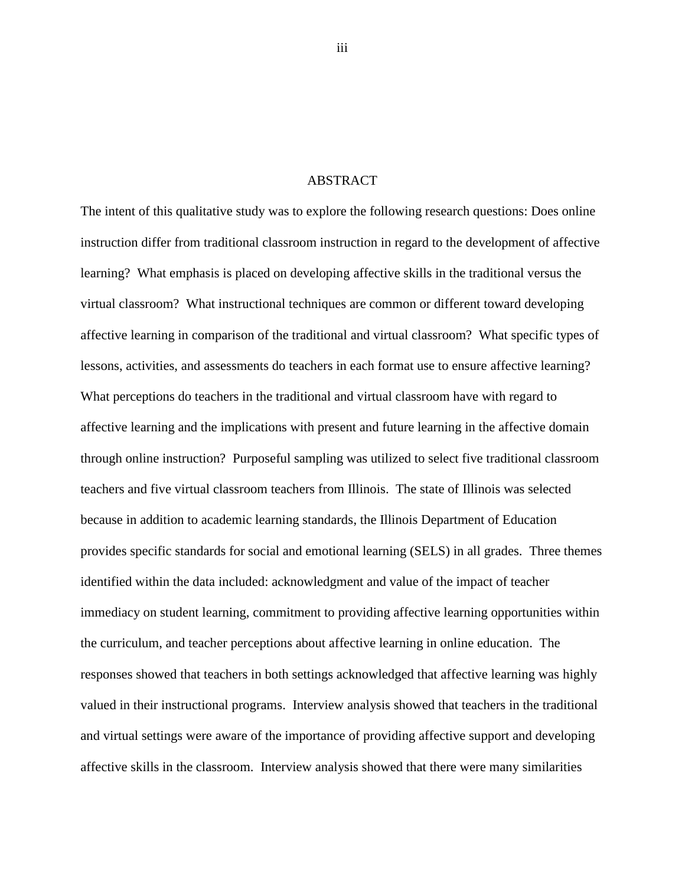### ABSTRACT

The intent of this qualitative study was to explore the following research questions: Does online instruction differ from traditional classroom instruction in regard to the development of affective learning? What emphasis is placed on developing affective skills in the traditional versus the virtual classroom? What instructional techniques are common or different toward developing affective learning in comparison of the traditional and virtual classroom? What specific types of lessons, activities, and assessments do teachers in each format use to ensure affective learning? What perceptions do teachers in the traditional and virtual classroom have with regard to affective learning and the implications with present and future learning in the affective domain through online instruction? Purposeful sampling was utilized to select five traditional classroom teachers and five virtual classroom teachers from Illinois. The state of Illinois was selected because in addition to academic learning standards, the Illinois Department of Education provides specific standards for social and emotional learning (SELS) in all grades. Three themes identified within the data included: acknowledgment and value of the impact of teacher immediacy on student learning, commitment to providing affective learning opportunities within the curriculum, and teacher perceptions about affective learning in online education. The responses showed that teachers in both settings acknowledged that affective learning was highly valued in their instructional programs. Interview analysis showed that teachers in the traditional and virtual settings were aware of the importance of providing affective support and developing affective skills in the classroom. Interview analysis showed that there were many similarities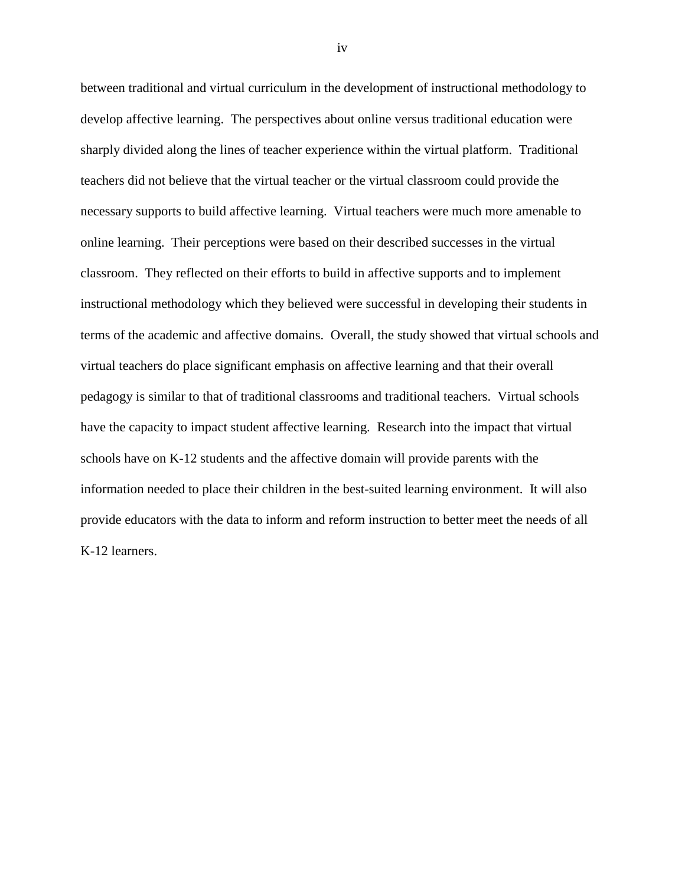between traditional and virtual curriculum in the development of instructional methodology to develop affective learning. The perspectives about online versus traditional education were sharply divided along the lines of teacher experience within the virtual platform. Traditional teachers did not believe that the virtual teacher or the virtual classroom could provide the necessary supports to build affective learning. Virtual teachers were much more amenable to online learning. Their perceptions were based on their described successes in the virtual classroom. They reflected on their efforts to build in affective supports and to implement instructional methodology which they believed were successful in developing their students in terms of the academic and affective domains. Overall, the study showed that virtual schools and virtual teachers do place significant emphasis on affective learning and that their overall pedagogy is similar to that of traditional classrooms and traditional teachers. Virtual schools have the capacity to impact student affective learning. Research into the impact that virtual schools have on K-12 students and the affective domain will provide parents with the information needed to place their children in the best-suited learning environment. It will also provide educators with the data to inform and reform instruction to better meet the needs of all K-12 learners.

iv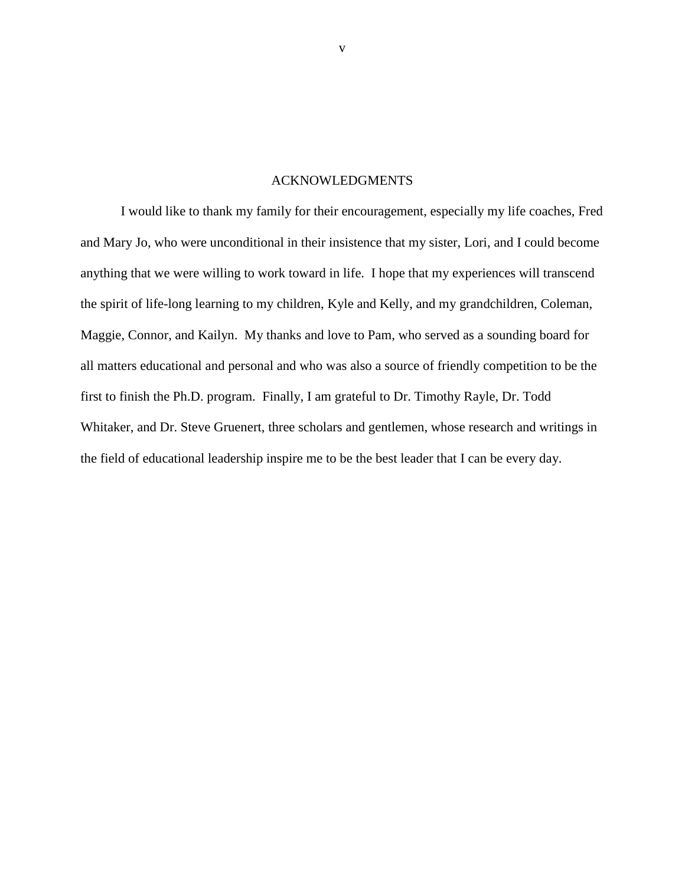### ACKNOWLEDGMENTS

I would like to thank my family for their encouragement, especially my life coaches, Fred and Mary Jo, who were unconditional in their insistence that my sister, Lori, and I could become anything that we were willing to work toward in life. I hope that my experiences will transcend the spirit of life-long learning to my children, Kyle and Kelly, and my grandchildren, Coleman, Maggie, Connor, and Kailyn. My thanks and love to Pam, who served as a sounding board for all matters educational and personal and who was also a source of friendly competition to be the first to finish the Ph.D. program. Finally, I am grateful to Dr. Timothy Rayle, Dr. Todd Whitaker, and Dr. Steve Gruenert, three scholars and gentlemen, whose research and writings in the field of educational leadership inspire me to be the best leader that I can be every day.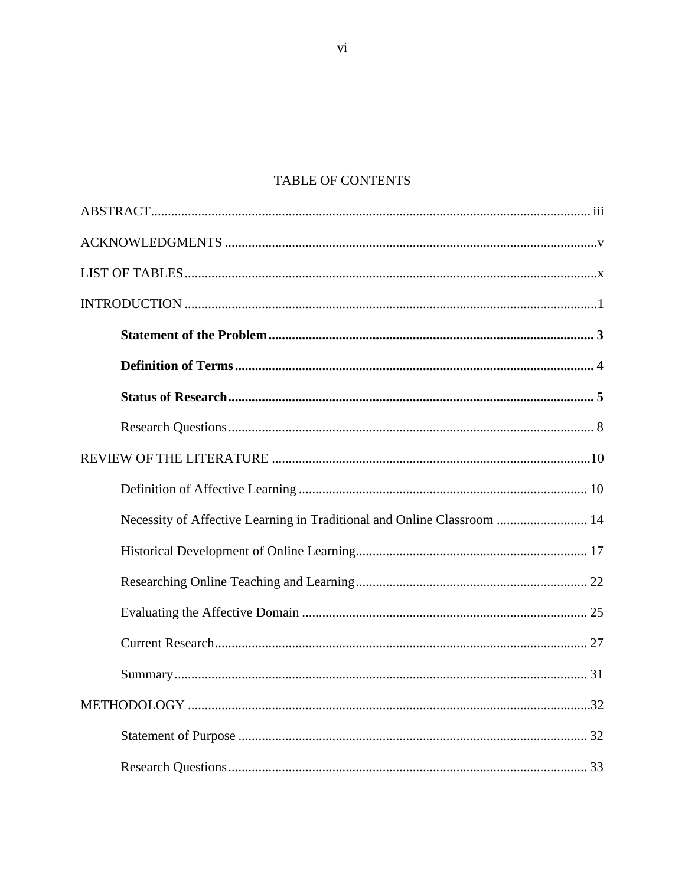# TABLE OF CONTENTS

| Necessity of Affective Learning in Traditional and Online Classroom  14 |  |
|-------------------------------------------------------------------------|--|
|                                                                         |  |
|                                                                         |  |
|                                                                         |  |
|                                                                         |  |
|                                                                         |  |
|                                                                         |  |
|                                                                         |  |
|                                                                         |  |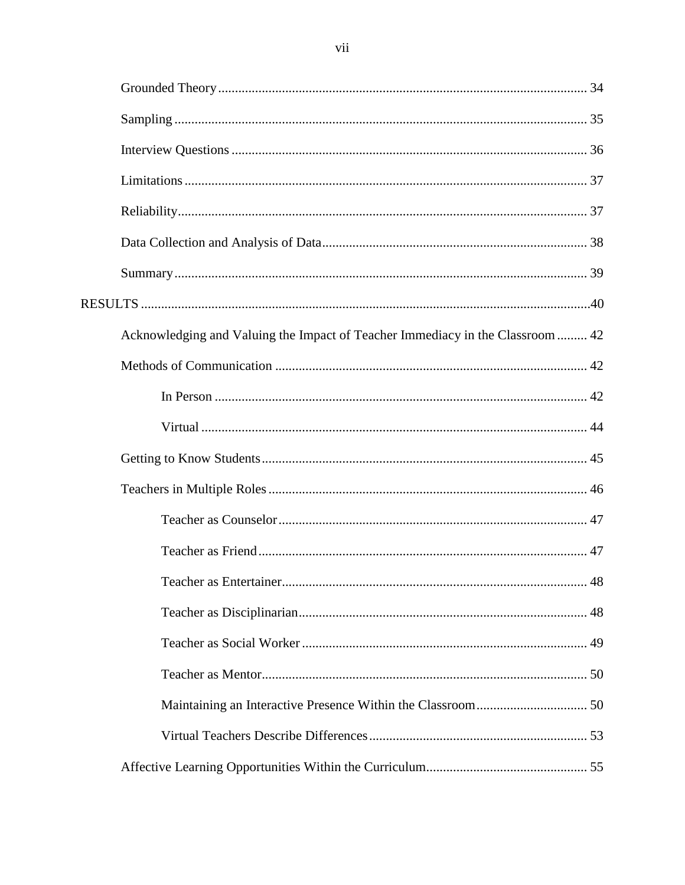| Acknowledging and Valuing the Impact of Teacher Immediacy in the Classroom  42 |  |
|--------------------------------------------------------------------------------|--|
|                                                                                |  |
|                                                                                |  |
|                                                                                |  |
|                                                                                |  |
|                                                                                |  |
|                                                                                |  |
|                                                                                |  |
|                                                                                |  |
|                                                                                |  |
|                                                                                |  |
|                                                                                |  |
|                                                                                |  |
|                                                                                |  |
|                                                                                |  |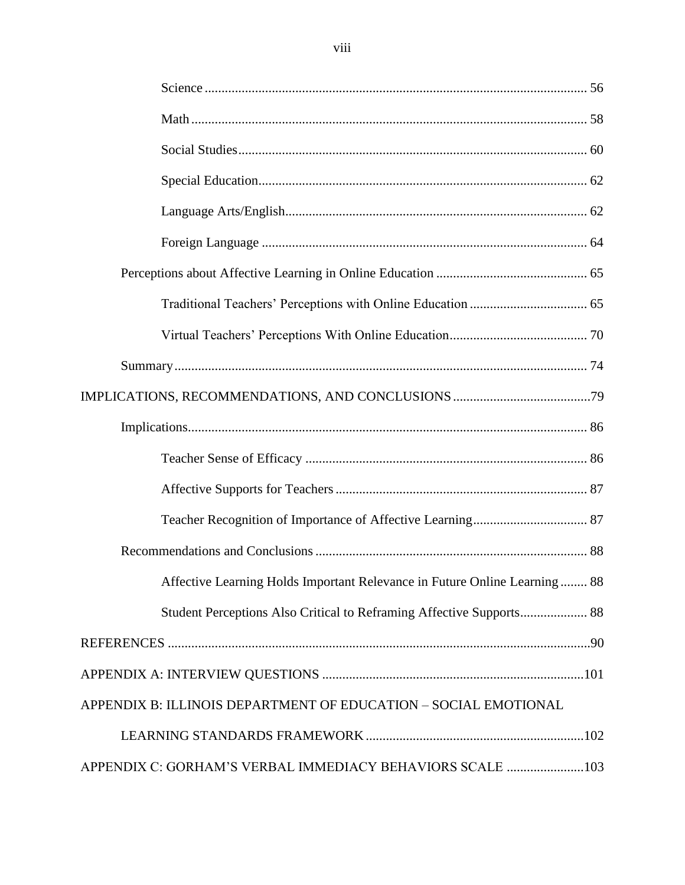| Affective Learning Holds Important Relevance in Future Online Learning 88 |  |
|---------------------------------------------------------------------------|--|
|                                                                           |  |
|                                                                           |  |
|                                                                           |  |
| APPENDIX B: ILLINOIS DEPARTMENT OF EDUCATION - SOCIAL EMOTIONAL           |  |
|                                                                           |  |
| APPENDIX C: GORHAM'S VERBAL IMMEDIACY BEHAVIORS SCALE 103                 |  |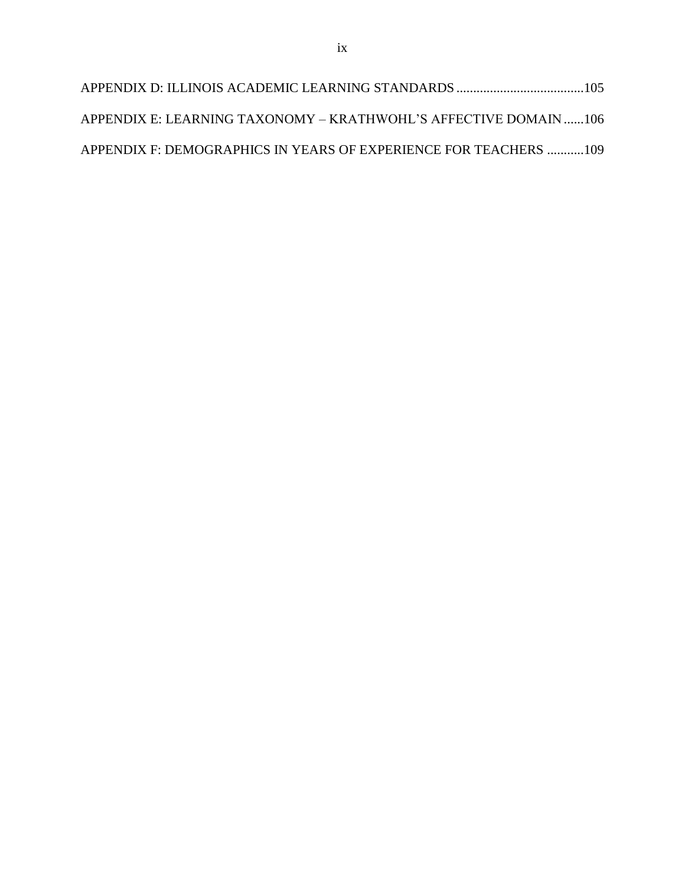| APPENDIX E: LEARNING TAXONOMY – KRATHWOHL'S AFFECTIVE DOMAIN106  |  |
|------------------------------------------------------------------|--|
| APPENDIX F: DEMOGRAPHICS IN YEARS OF EXPERIENCE FOR TEACHERS 109 |  |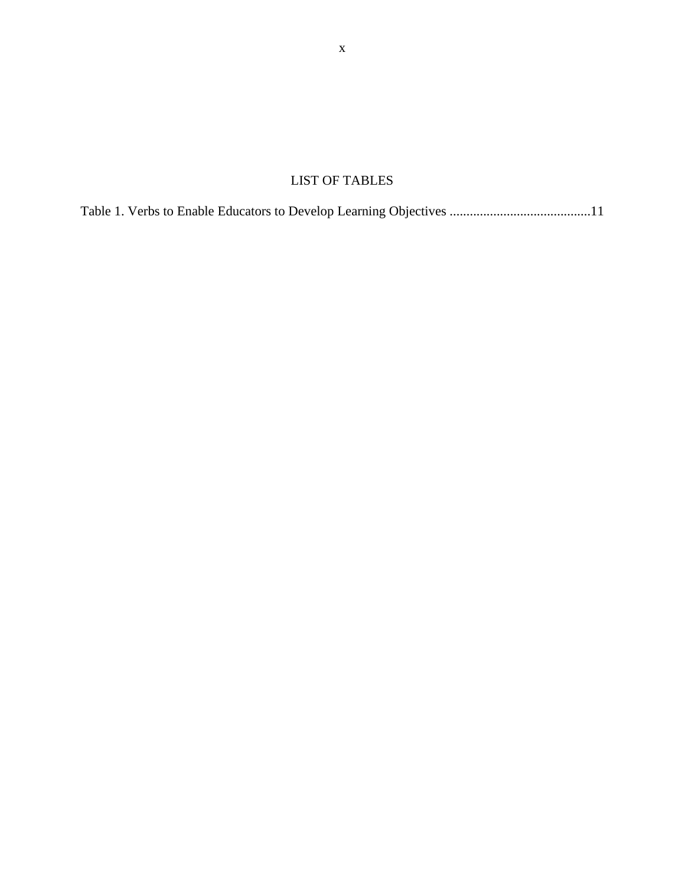# LIST OF TABLES

|--|--|--|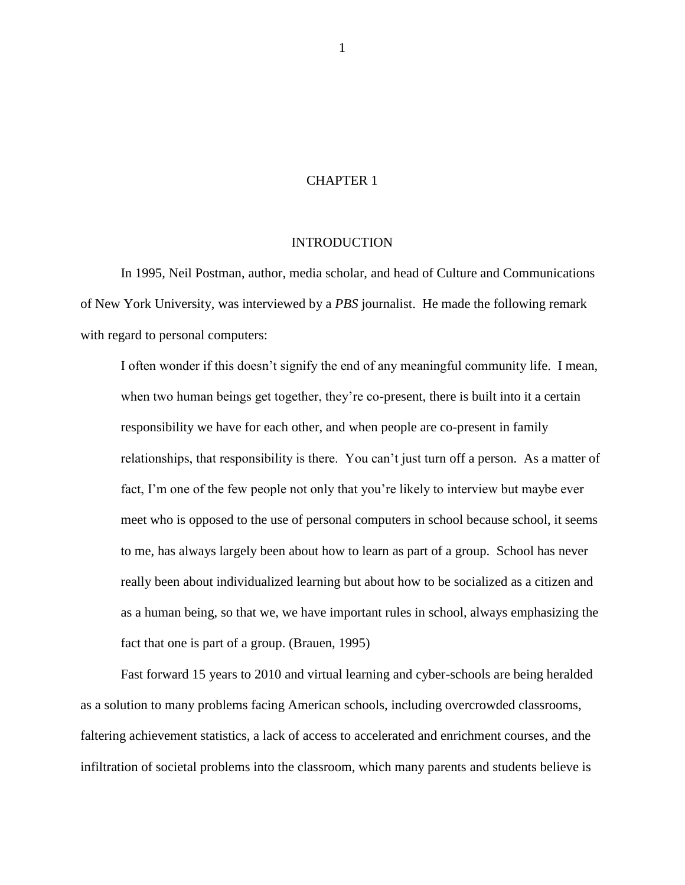### CHAPTER 1

### INTRODUCTION

In 1995, Neil Postman, author, media scholar, and head of Culture and Communications of New York University, was interviewed by a *PBS* journalist. He made the following remark with regard to personal computers:

I often wonder if this doesn't signify the end of any meaningful community life. I mean, when two human beings get together, they're co-present, there is built into it a certain responsibility we have for each other, and when people are co-present in family relationships, that responsibility is there. You can't just turn off a person. As a matter of fact, I'm one of the few people not only that you're likely to interview but maybe ever meet who is opposed to the use of personal computers in school because school, it seems to me, has always largely been about how to learn as part of a group. School has never really been about individualized learning but about how to be socialized as a citizen and as a human being, so that we, we have important rules in school, always emphasizing the fact that one is part of a group. (Brauen, 1995)

Fast forward 15 years to 2010 and virtual learning and cyber-schools are being heralded as a solution to many problems facing American schools, including overcrowded classrooms, faltering achievement statistics, a lack of access to accelerated and enrichment courses, and the infiltration of societal problems into the classroom, which many parents and students believe is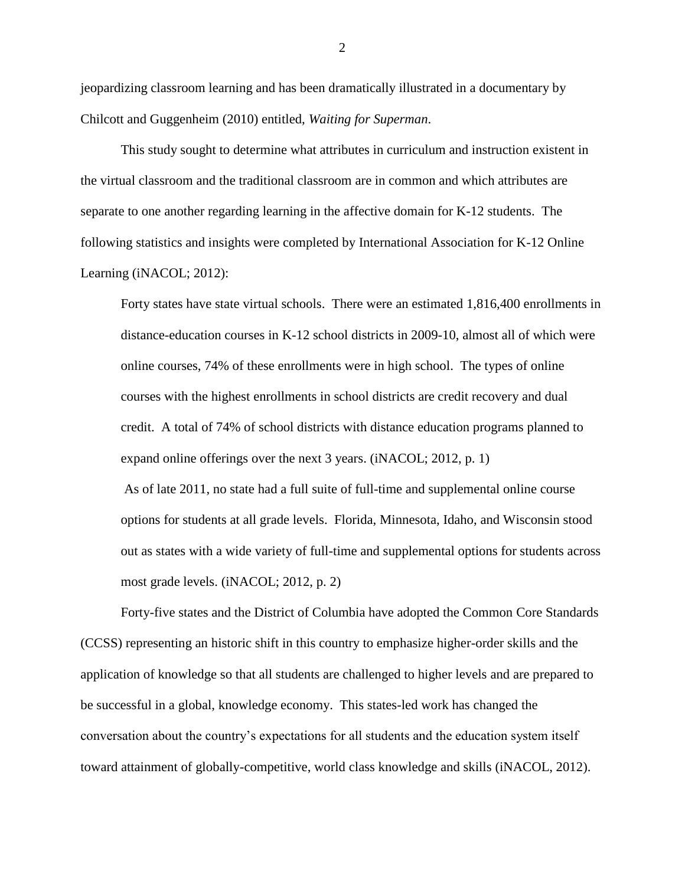jeopardizing classroom learning and has been dramatically illustrated in a documentary by Chilcott and Guggenheim (2010) entitled, *Waiting for Superman*.

This study sought to determine what attributes in curriculum and instruction existent in the virtual classroom and the traditional classroom are in common and which attributes are separate to one another regarding learning in the affective domain for K-12 students. The following statistics and insights were completed by International Association for K-12 Online Learning (iNACOL; 2012):

Forty states have state virtual schools. There were an estimated 1,816,400 enrollments in distance-education courses in K-12 school districts in 2009-10, almost all of which were online courses, 74% of these enrollments were in high school. The types of online courses with the highest enrollments in school districts are credit recovery and dual credit. A total of 74% of school districts with distance education programs planned to expand online offerings over the next 3 years. (iNACOL; 2012, p. 1)

As of late 2011, no state had a full suite of full-time and supplemental online course options for students at all grade levels. Florida, Minnesota, Idaho, and Wisconsin stood out as states with a wide variety of full-time and supplemental options for students across most grade levels. (iNACOL; 2012, p. 2)

Forty-five states and the District of Columbia have adopted the Common Core Standards (CCSS) representing an historic shift in this country to emphasize higher-order skills and the application of knowledge so that all students are challenged to higher levels and are prepared to be successful in a global, knowledge economy. This states-led work has changed the conversation about the country's expectations for all students and the education system itself toward attainment of globally-competitive, world class knowledge and skills (iNACOL, 2012).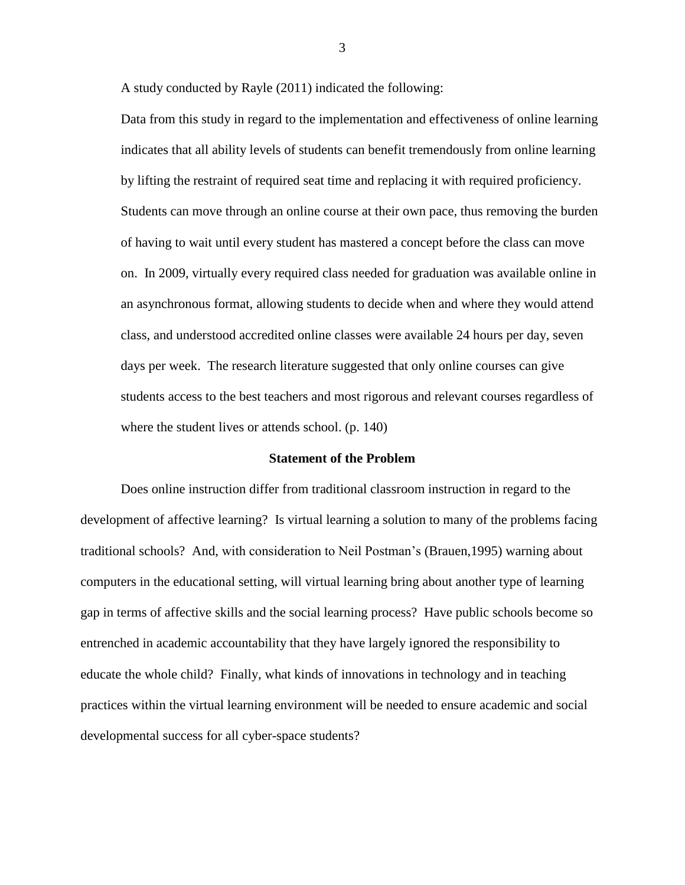A study conducted by Rayle (2011) indicated the following:

Data from this study in regard to the implementation and effectiveness of online learning indicates that all ability levels of students can benefit tremendously from online learning by lifting the restraint of required seat time and replacing it with required proficiency. Students can move through an online course at their own pace, thus removing the burden of having to wait until every student has mastered a concept before the class can move on. In 2009, virtually every required class needed for graduation was available online in an asynchronous format, allowing students to decide when and where they would attend class, and understood accredited online classes were available 24 hours per day, seven days per week. The research literature suggested that only online courses can give students access to the best teachers and most rigorous and relevant courses regardless of where the student lives or attends school. (p. 140)

#### **Statement of the Problem**

Does online instruction differ from traditional classroom instruction in regard to the development of affective learning? Is virtual learning a solution to many of the problems facing traditional schools? And, with consideration to Neil Postman's (Brauen,1995) warning about computers in the educational setting, will virtual learning bring about another type of learning gap in terms of affective skills and the social learning process? Have public schools become so entrenched in academic accountability that they have largely ignored the responsibility to educate the whole child? Finally, what kinds of innovations in technology and in teaching practices within the virtual learning environment will be needed to ensure academic and social developmental success for all cyber-space students?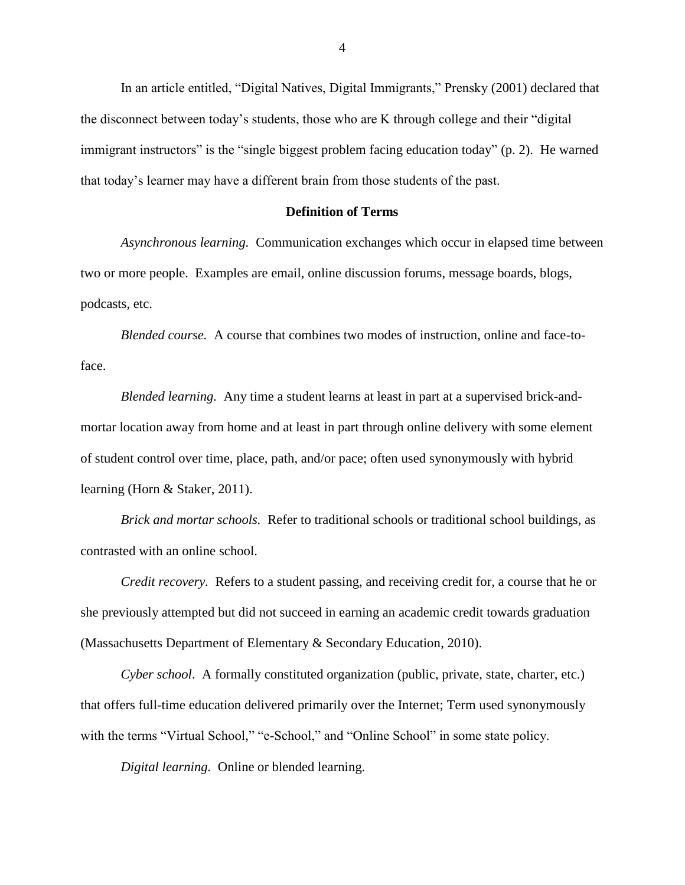In an article entitled, "Digital Natives, Digital Immigrants," Prensky (2001) declared that the disconnect between today's students, those who are K through college and their "digital immigrant instructors" is the "single biggest problem facing education today" (p. 2). He warned that today's learner may have a different brain from those students of the past.

# **Definition of Terms**

*Asynchronous learning.* Communication exchanges which occur in elapsed time between two or more people. Examples are email, online discussion forums, message boards, blogs, podcasts, etc.

*Blended course.* A course that combines two modes of instruction, online and face-toface.

*Blended learning.* Any time a student learns at least in part at a supervised brick-andmortar location away from home and at least in part through online delivery with some element of student control over time, place, path, and/or pace; often used synonymously with hybrid learning (Horn & Staker, 2011).

*Brick and mortar schools.* Refer to traditional schools or traditional school buildings, as contrasted with an online school.

*Credit recovery.* Refers to a student passing, and receiving credit for, a course that he or she previously attempted but did not succeed in earning an academic credit towards graduation (Massachusetts Department of Elementary & Secondary Education, 2010).

*Cyber school*. A formally constituted organization (public, private, state, charter, etc.) that offers full-time education delivered primarily over the Internet; Term used synonymously with the terms "Virtual School," "e-School," and "Online School" in some state policy.

*Digital learning.* Online or blended learning.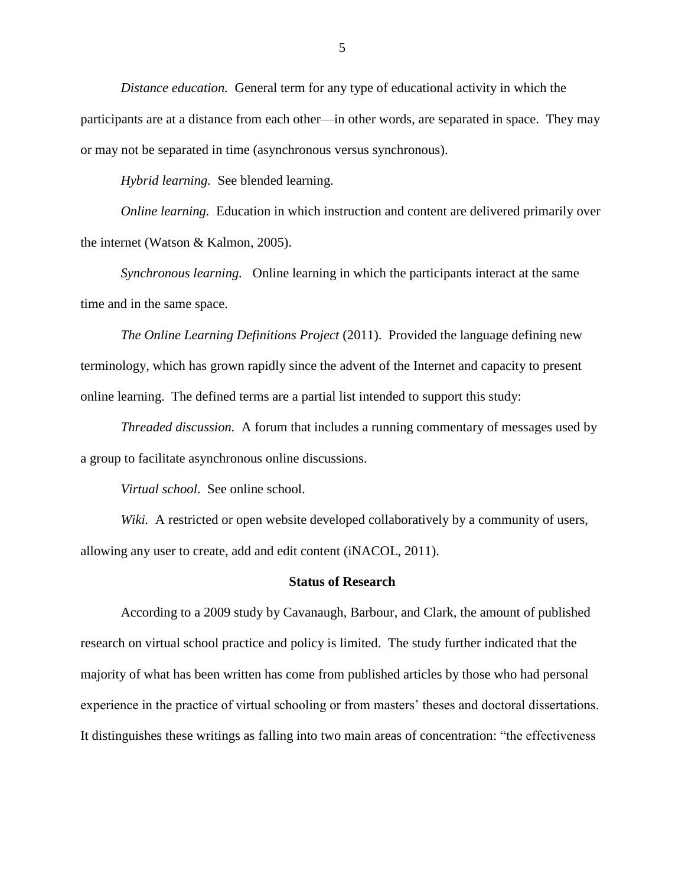*Distance education.* General term for any type of educational activity in which the participants are at a distance from each other—in other words, are separated in space. They may or may not be separated in time (asynchronous versus synchronous).

*Hybrid learning.* See blended learning.

*Online learning.* Education in which instruction and content are delivered primarily over the internet (Watson & Kalmon, 2005).

*Synchronous learning.* Online learning in which the participants interact at the same time and in the same space.

*The Online Learning Definitions Project* (2011). Provided the language defining new terminology, which has grown rapidly since the advent of the Internet and capacity to present online learning. The defined terms are a partial list intended to support this study:

*Threaded discussion.* A forum that includes a running commentary of messages used by a group to facilitate asynchronous online discussions.

*Virtual school*. See online school.

*Wiki.* A restricted or open website developed collaboratively by a community of users, allowing any user to create, add and edit content (iNACOL, 2011).

#### **Status of Research**

According to a 2009 study by Cavanaugh, Barbour, and Clark, the amount of published research on virtual school practice and policy is limited. The study further indicated that the majority of what has been written has come from published articles by those who had personal experience in the practice of virtual schooling or from masters' theses and doctoral dissertations. It distinguishes these writings as falling into two main areas of concentration: "the effectiveness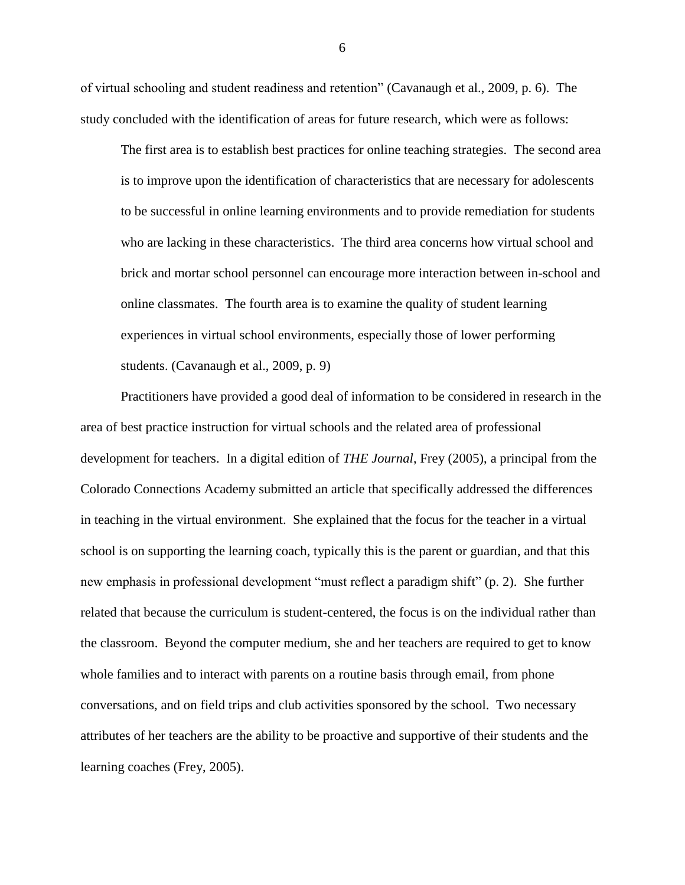of virtual schooling and student readiness and retention" (Cavanaugh et al., 2009, p. 6). The study concluded with the identification of areas for future research, which were as follows:

The first area is to establish best practices for online teaching strategies. The second area is to improve upon the identification of characteristics that are necessary for adolescents to be successful in online learning environments and to provide remediation for students who are lacking in these characteristics. The third area concerns how virtual school and brick and mortar school personnel can encourage more interaction between in-school and online classmates. The fourth area is to examine the quality of student learning experiences in virtual school environments, especially those of lower performing students. (Cavanaugh et al., 2009, p. 9)

Practitioners have provided a good deal of information to be considered in research in the area of best practice instruction for virtual schools and the related area of professional development for teachers. In a digital edition of *THE Journal*, Frey (2005), a principal from the Colorado Connections Academy submitted an article that specifically addressed the differences in teaching in the virtual environment. She explained that the focus for the teacher in a virtual school is on supporting the learning coach, typically this is the parent or guardian, and that this new emphasis in professional development "must reflect a paradigm shift" (p. 2). She further related that because the curriculum is student-centered, the focus is on the individual rather than the classroom. Beyond the computer medium, she and her teachers are required to get to know whole families and to interact with parents on a routine basis through email, from phone conversations, and on field trips and club activities sponsored by the school. Two necessary attributes of her teachers are the ability to be proactive and supportive of their students and the learning coaches (Frey, 2005).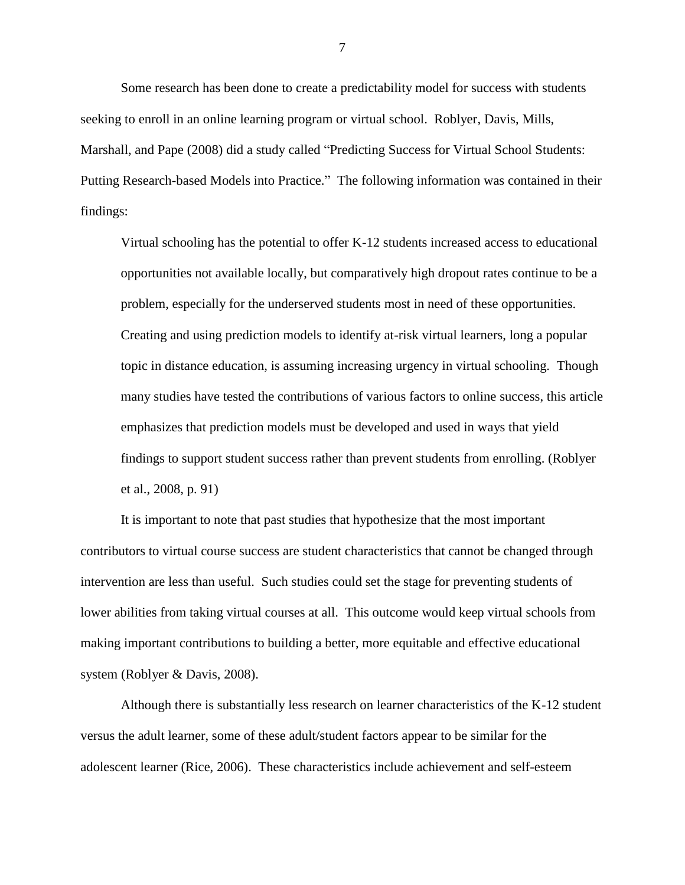Some research has been done to create a predictability model for success with students seeking to enroll in an online learning program or virtual school. Roblyer, Davis, Mills, Marshall, and Pape (2008) did a study called "Predicting Success for Virtual School Students: Putting Research-based Models into Practice." The following information was contained in their findings:

Virtual schooling has the potential to offer K-12 students increased access to educational opportunities not available locally, but comparatively high dropout rates continue to be a problem, especially for the underserved students most in need of these opportunities. Creating and using prediction models to identify at-risk virtual learners, long a popular topic in distance education, is assuming increasing urgency in virtual schooling. Though many studies have tested the contributions of various factors to online success, this article emphasizes that prediction models must be developed and used in ways that yield findings to support student success rather than prevent students from enrolling. (Roblyer et al., 2008, p. 91)

It is important to note that past studies that hypothesize that the most important contributors to virtual course success are student characteristics that cannot be changed through intervention are less than useful. Such studies could set the stage for preventing students of lower abilities from taking virtual courses at all. This outcome would keep virtual schools from making important contributions to building a better, more equitable and effective educational system (Roblyer & Davis, 2008).

Although there is substantially less research on learner characteristics of the K-12 student versus the adult learner, some of these adult/student factors appear to be similar for the adolescent learner (Rice, 2006). These characteristics include achievement and self-esteem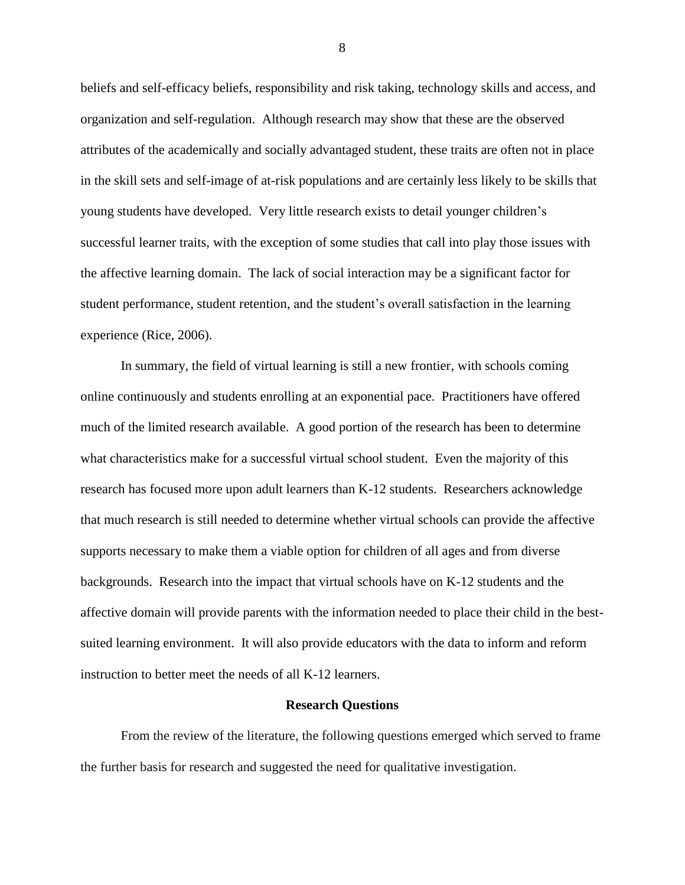beliefs and self-efficacy beliefs, responsibility and risk taking, technology skills and access, and organization and self-regulation. Although research may show that these are the observed attributes of the academically and socially advantaged student, these traits are often not in place in the skill sets and self-image of at-risk populations and are certainly less likely to be skills that young students have developed. Very little research exists to detail younger children's successful learner traits, with the exception of some studies that call into play those issues with the affective learning domain. The lack of social interaction may be a significant factor for student performance, student retention, and the student's overall satisfaction in the learning experience (Rice, 2006).

In summary, the field of virtual learning is still a new frontier, with schools coming online continuously and students enrolling at an exponential pace. Practitioners have offered much of the limited research available. A good portion of the research has been to determine what characteristics make for a successful virtual school student. Even the majority of this research has focused more upon adult learners than K-12 students. Researchers acknowledge that much research is still needed to determine whether virtual schools can provide the affective supports necessary to make them a viable option for children of all ages and from diverse backgrounds. Research into the impact that virtual schools have on K-12 students and the affective domain will provide parents with the information needed to place their child in the bestsuited learning environment. It will also provide educators with the data to inform and reform instruction to better meet the needs of all K-12 learners.

#### **Research Questions**

From the review of the literature, the following questions emerged which served to frame the further basis for research and suggested the need for qualitative investigation.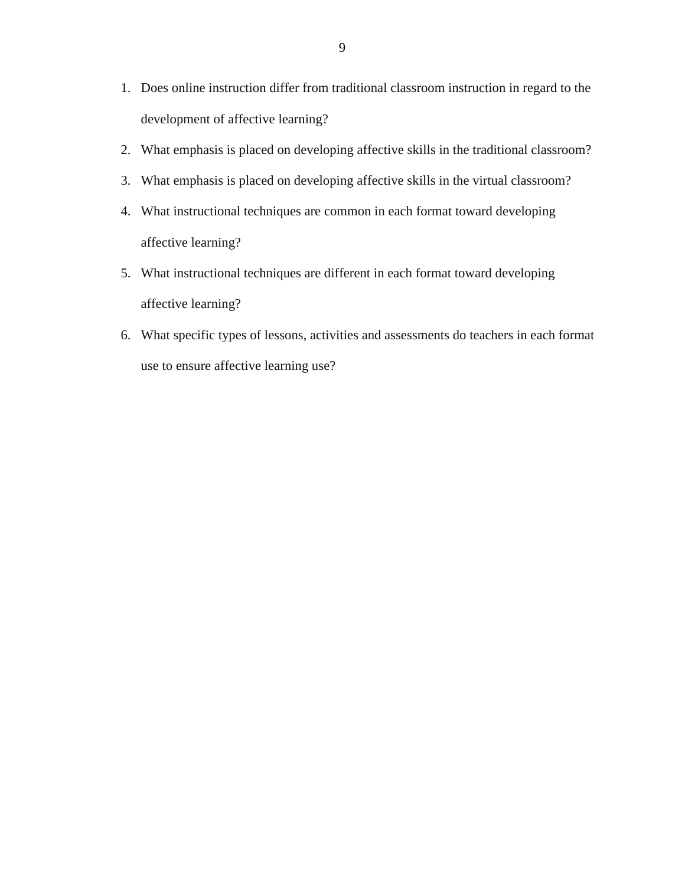- 1. Does online instruction differ from traditional classroom instruction in regard to the development of affective learning?
- 2. What emphasis is placed on developing affective skills in the traditional classroom?
- 3. What emphasis is placed on developing affective skills in the virtual classroom?
- 4. What instructional techniques are common in each format toward developing affective learning?
- 5. What instructional techniques are different in each format toward developing affective learning?
- 6. What specific types of lessons, activities and assessments do teachers in each format use to ensure affective learning use?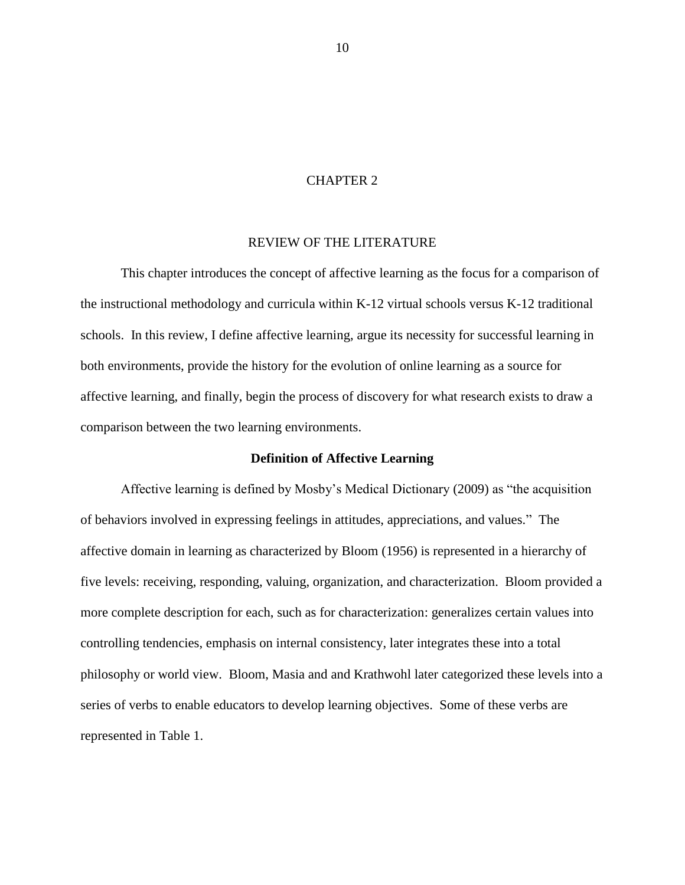### CHAPTER 2

## REVIEW OF THE LITERATURE

This chapter introduces the concept of affective learning as the focus for a comparison of the instructional methodology and curricula within K-12 virtual schools versus K-12 traditional schools. In this review, I define affective learning, argue its necessity for successful learning in both environments, provide the history for the evolution of online learning as a source for affective learning, and finally, begin the process of discovery for what research exists to draw a comparison between the two learning environments.

### **Definition of Affective Learning**

Affective learning is defined by Mosby's Medical Dictionary (2009) as "the acquisition of behaviors involved in expressing feelings in attitudes, appreciations, and values." The affective domain in learning as characterized by Bloom (1956) is represented in a hierarchy of five levels: receiving, responding, valuing, organization, and characterization. Bloom provided a more complete description for each, such as for characterization: generalizes certain values into controlling tendencies, emphasis on internal consistency, later integrates these into a total philosophy or world view. Bloom, Masia and and Krathwohl later categorized these levels into a series of verbs to enable educators to develop learning objectives. Some of these verbs are represented in Table 1.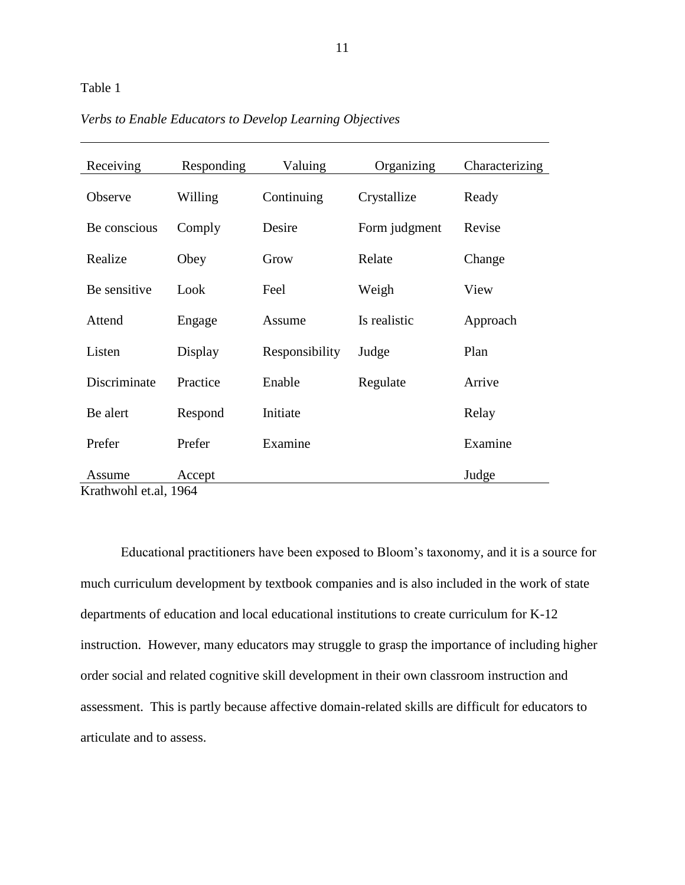## <span id="page-21-0"></span>Table 1

| Receiving                                                         | Responding | Valuing        | Organizing    | Characterizing |
|-------------------------------------------------------------------|------------|----------------|---------------|----------------|
| Observe                                                           | Willing    | Continuing     | Crystallize   | Ready          |
| Be conscious                                                      | Comply     | Desire         | Form judgment | Revise         |
| Realize                                                           | Obey       | Grow           | Relate        | Change         |
| Be sensitive                                                      | Look       | Feel           | Weigh         | View           |
| Attend                                                            | Engage     | Assume         | Is realistic  | Approach       |
| Listen                                                            | Display    | Responsibility | Judge         | Plan           |
| Discriminate                                                      | Practice   | Enable         | Regulate      | Arrive         |
| Be alert                                                          | Respond    | Initiate       |               | Relay          |
| Prefer                                                            | Prefer     | Examine        |               | Examine        |
| Assume<br>$V_{\text{rot}}$ <sub>by a</sub> $\lambda$ at al $1064$ | Accept     |                |               | Judge          |

*Verbs to Enable Educators to Develop Learning Objectives*

Krathwohl et.al, 1964

Educational practitioners have been exposed to Bloom's taxonomy, and it is a source for much curriculum development by textbook companies and is also included in the work of state departments of education and local educational institutions to create curriculum for K-12 instruction. However, many educators may struggle to grasp the importance of including higher order social and related cognitive skill development in their own classroom instruction and assessment. This is partly because affective domain-related skills are difficult for educators to articulate and to assess.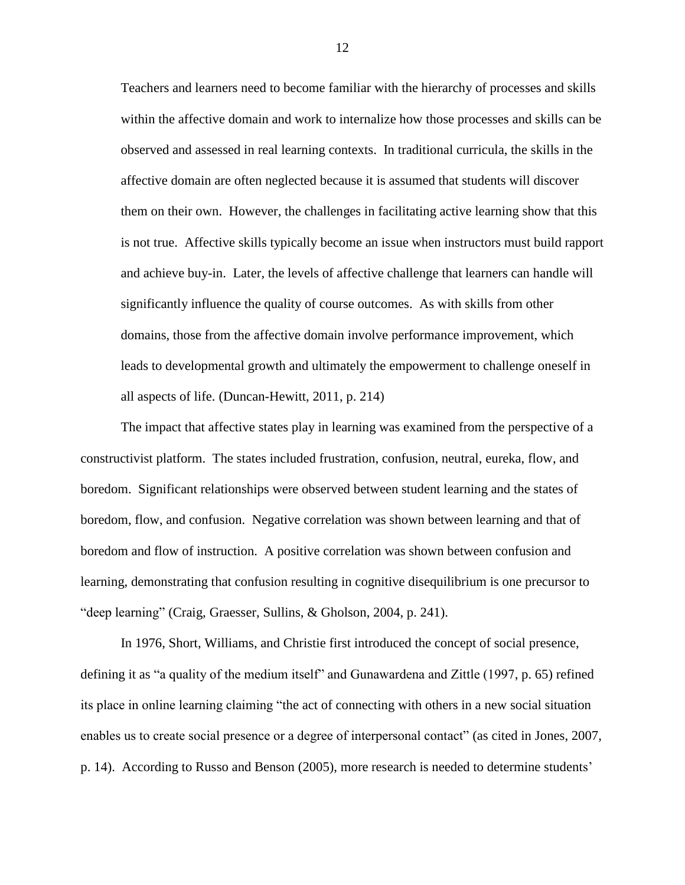Teachers and learners need to become familiar with the hierarchy of processes and skills within the affective domain and work to internalize how those processes and skills can be observed and assessed in real learning contexts. In traditional curricula, the skills in the affective domain are often neglected because it is assumed that students will discover them on their own. However, the challenges in facilitating active learning show that this is not true. Affective skills typically become an issue when instructors must build rapport and achieve buy-in. Later, the levels of affective challenge that learners can handle will significantly influence the quality of course outcomes. As with skills from other domains, those from the affective domain involve performance improvement, which leads to developmental growth and ultimately the empowerment to challenge oneself in all aspects of life. (Duncan-Hewitt, 2011, p. 214)

The impact that affective states play in learning was examined from the perspective of a constructivist platform. The states included frustration, confusion, neutral, eureka, flow, and boredom. Significant relationships were observed between student learning and the states of boredom, flow, and confusion. Negative correlation was shown between learning and that of boredom and flow of instruction. A positive correlation was shown between confusion and learning, demonstrating that confusion resulting in cognitive disequilibrium is one precursor to "deep learning" (Craig, Graesser, Sullins, & Gholson, 2004, p. 241).

In 1976, Short, Williams, and Christie first introduced the concept of social presence, defining it as "a quality of the medium itself" and Gunawardena and Zittle (1997, p. 65) refined its place in online learning claiming "the act of connecting with others in a new social situation enables us to create social presence or a degree of interpersonal contact" (as cited in Jones, 2007, p. 14). According to Russo and Benson (2005), more research is needed to determine students'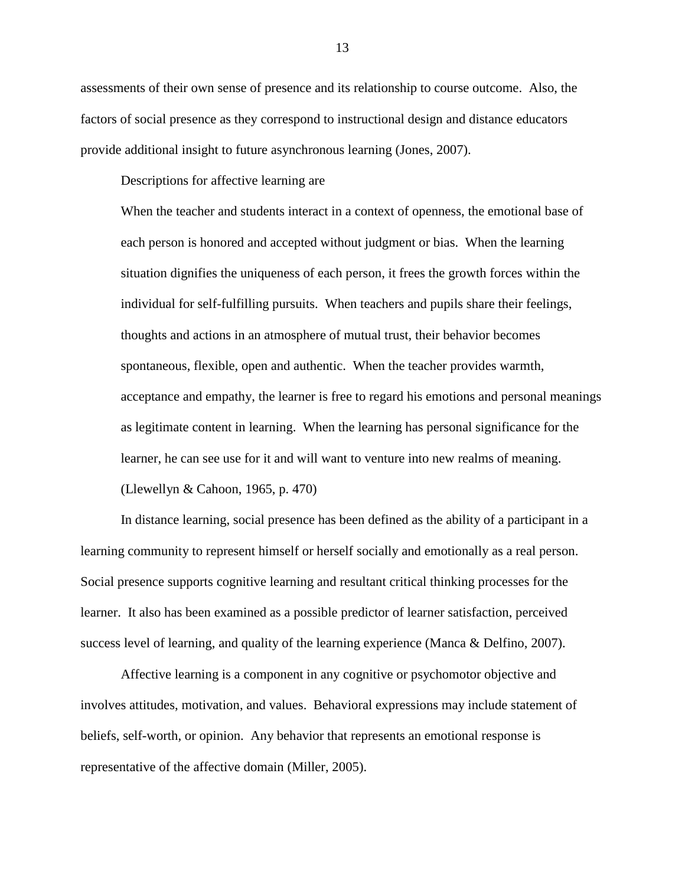assessments of their own sense of presence and its relationship to course outcome. Also, the factors of social presence as they correspond to instructional design and distance educators provide additional insight to future asynchronous learning (Jones, 2007).

Descriptions for affective learning are

When the teacher and students interact in a context of openness, the emotional base of each person is honored and accepted without judgment or bias. When the learning situation dignifies the uniqueness of each person, it frees the growth forces within the individual for self-fulfilling pursuits. When teachers and pupils share their feelings, thoughts and actions in an atmosphere of mutual trust, their behavior becomes spontaneous, flexible, open and authentic. When the teacher provides warmth, acceptance and empathy, the learner is free to regard his emotions and personal meanings as legitimate content in learning. When the learning has personal significance for the learner, he can see use for it and will want to venture into new realms of meaning. (Llewellyn & Cahoon, 1965, p. 470)

In distance learning, social presence has been defined as the ability of a participant in a learning community to represent himself or herself socially and emotionally as a real person. Social presence supports cognitive learning and resultant critical thinking processes for the learner. It also has been examined as a possible predictor of learner satisfaction, perceived success level of learning, and quality of the learning experience (Manca & Delfino, 2007).

Affective learning is a component in any cognitive or psychomotor objective and involves attitudes, motivation, and values. Behavioral expressions may include statement of beliefs, self-worth, or opinion. Any behavior that represents an emotional response is representative of the affective domain (Miller, 2005).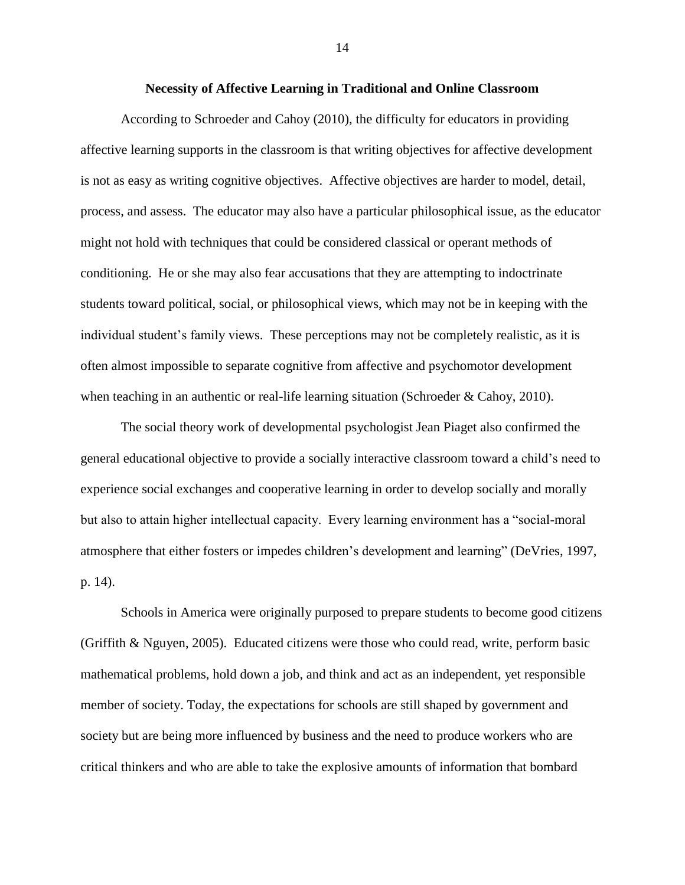### **Necessity of Affective Learning in Traditional and Online Classroom**

According to Schroeder and Cahoy (2010), the difficulty for educators in providing affective learning supports in the classroom is that writing objectives for affective development is not as easy as writing cognitive objectives. Affective objectives are harder to model, detail, process, and assess. The educator may also have a particular philosophical issue, as the educator might not hold with techniques that could be considered classical or operant methods of conditioning. He or she may also fear accusations that they are attempting to indoctrinate students toward political, social, or philosophical views, which may not be in keeping with the individual student's family views. These perceptions may not be completely realistic, as it is often almost impossible to separate cognitive from affective and psychomotor development when teaching in an authentic or real-life learning situation (Schroeder & Cahoy, 2010).

The social theory work of developmental psychologist Jean Piaget also confirmed the general educational objective to provide a socially interactive classroom toward a child's need to experience social exchanges and cooperative learning in order to develop socially and morally but also to attain higher intellectual capacity. Every learning environment has a "social-moral atmosphere that either fosters or impedes children's development and learning" (DeVries, 1997, p. 14).

Schools in America were originally purposed to prepare students to become good citizens (Griffith & Nguyen, 2005). Educated citizens were those who could read, write, perform basic mathematical problems, hold down a job, and think and act as an independent, yet responsible member of society. Today, the expectations for schools are still shaped by government and society but are being more influenced by business and the need to produce workers who are critical thinkers and who are able to take the explosive amounts of information that bombard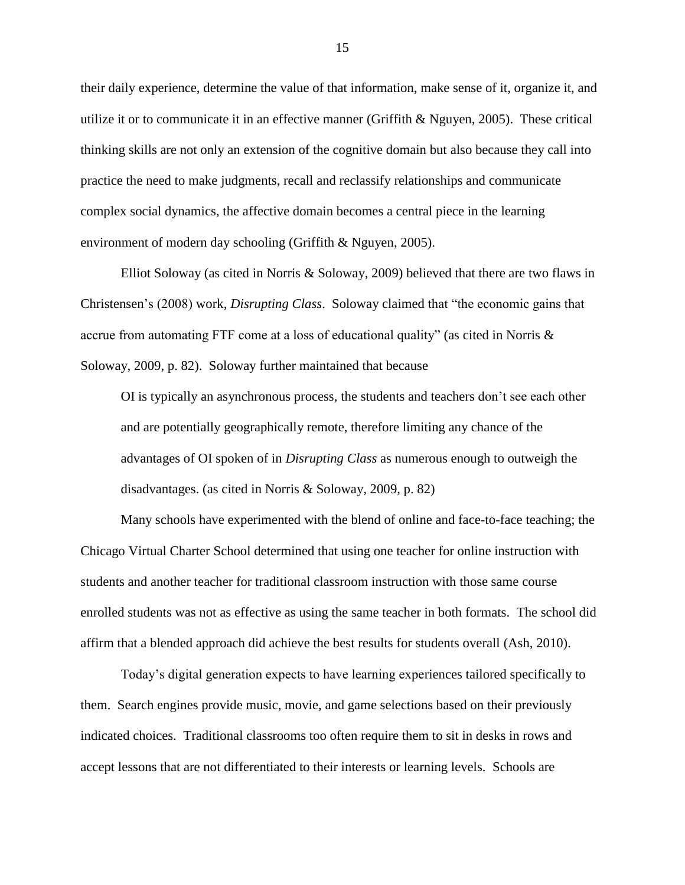their daily experience, determine the value of that information, make sense of it, organize it, and utilize it or to communicate it in an effective manner (Griffith & Nguyen, 2005). These critical thinking skills are not only an extension of the cognitive domain but also because they call into practice the need to make judgments, recall and reclassify relationships and communicate complex social dynamics, the affective domain becomes a central piece in the learning environment of modern day schooling (Griffith & Nguyen, 2005).

Elliot Soloway (as cited in Norris & Soloway, 2009) believed that there are two flaws in Christensen's (2008) work, *Disrupting Class*. Soloway claimed that "the economic gains that accrue from automating FTF come at a loss of educational quality" (as cited in Norris  $\&$ Soloway, 2009, p. 82). Soloway further maintained that because

OI is typically an asynchronous process, the students and teachers don't see each other and are potentially geographically remote, therefore limiting any chance of the advantages of OI spoken of in *Disrupting Class* as numerous enough to outweigh the disadvantages. (as cited in Norris & Soloway, 2009, p. 82)

Many schools have experimented with the blend of online and face-to-face teaching; the Chicago Virtual Charter School determined that using one teacher for online instruction with students and another teacher for traditional classroom instruction with those same course enrolled students was not as effective as using the same teacher in both formats. The school did affirm that a blended approach did achieve the best results for students overall (Ash, 2010).

Today's digital generation expects to have learning experiences tailored specifically to them. Search engines provide music, movie, and game selections based on their previously indicated choices. Traditional classrooms too often require them to sit in desks in rows and accept lessons that are not differentiated to their interests or learning levels. Schools are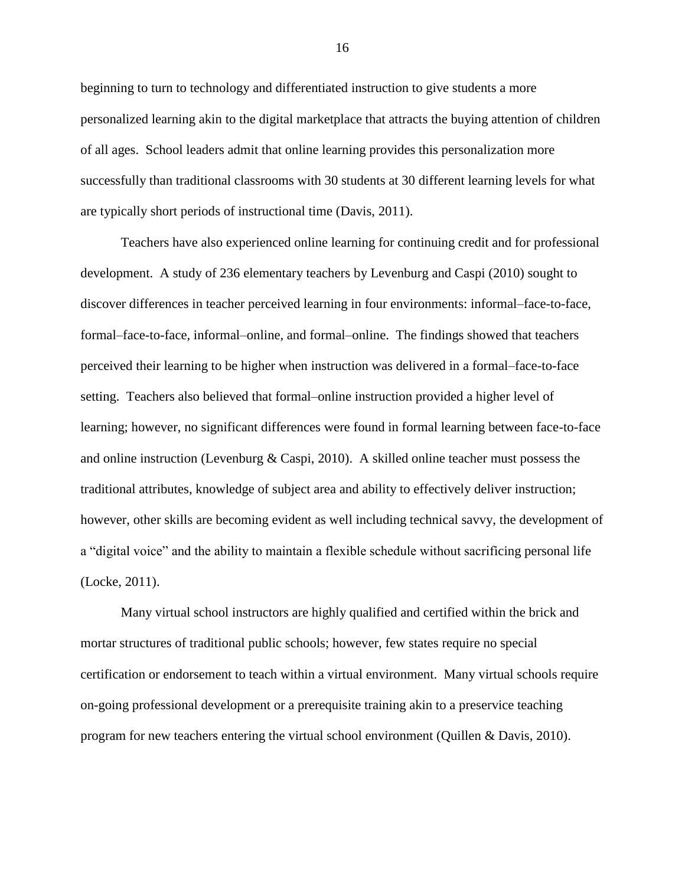beginning to turn to technology and differentiated instruction to give students a more personalized learning akin to the digital marketplace that attracts the buying attention of children of all ages. School leaders admit that online learning provides this personalization more successfully than traditional classrooms with 30 students at 30 different learning levels for what are typically short periods of instructional time (Davis, 2011).

Teachers have also experienced online learning for continuing credit and for professional development. A study of 236 elementary teachers by Levenburg and Caspi (2010) sought to discover differences in teacher perceived learning in four environments: informal–face-to-face, formal–face-to-face, informal–online, and formal–online. The findings showed that teachers perceived their learning to be higher when instruction was delivered in a formal–face-to-face setting. Teachers also believed that formal–online instruction provided a higher level of learning; however, no significant differences were found in formal learning between face-to-face and online instruction (Levenburg & Caspi, 2010). A skilled online teacher must possess the traditional attributes, knowledge of subject area and ability to effectively deliver instruction; however, other skills are becoming evident as well including technical savvy, the development of a "digital voice" and the ability to maintain a flexible schedule without sacrificing personal life (Locke, 2011).

Many virtual school instructors are highly qualified and certified within the brick and mortar structures of traditional public schools; however, few states require no special certification or endorsement to teach within a virtual environment. Many virtual schools require on-going professional development or a prerequisite training akin to a preservice teaching program for new teachers entering the virtual school environment (Quillen & Davis, 2010).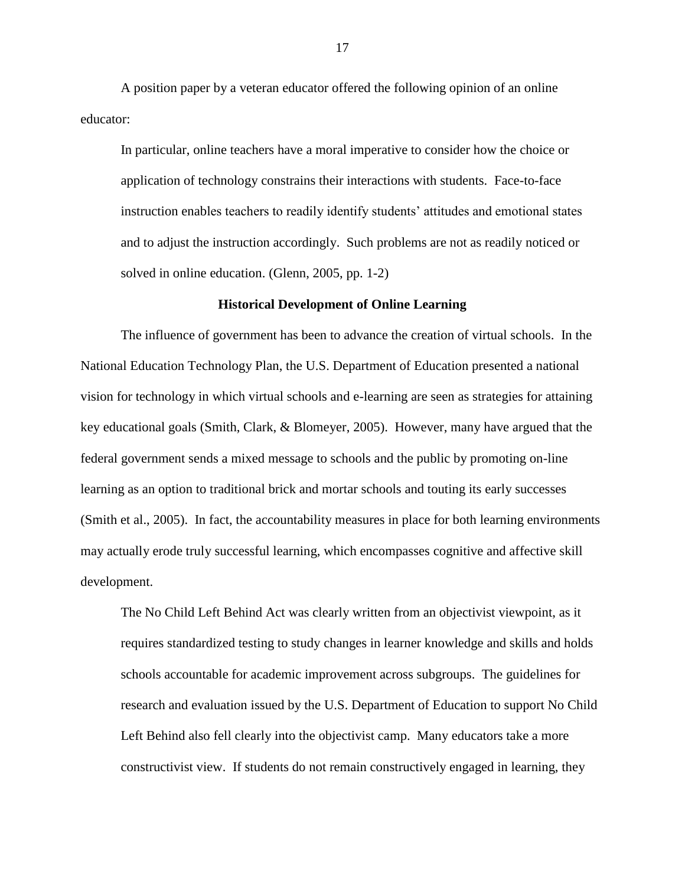A position paper by a veteran educator offered the following opinion of an online educator:

In particular, online teachers have a moral imperative to consider how the choice or application of technology constrains their interactions with students. Face-to-face instruction enables teachers to readily identify students' attitudes and emotional states and to adjust the instruction accordingly. Such problems are not as readily noticed or solved in online education. (Glenn, 2005, pp. 1-2)

## **Historical Development of Online Learning**

The influence of government has been to advance the creation of virtual schools. In the National Education Technology Plan, the U.S. Department of Education presented a national vision for technology in which virtual schools and e-learning are seen as strategies for attaining key educational goals (Smith, Clark, & Blomeyer, 2005). However, many have argued that the federal government sends a mixed message to schools and the public by promoting on-line learning as an option to traditional brick and mortar schools and touting its early successes (Smith et al., 2005). In fact, the accountability measures in place for both learning environments may actually erode truly successful learning, which encompasses cognitive and affective skill development.

The No Child Left Behind Act was clearly written from an objectivist viewpoint, as it requires standardized testing to study changes in learner knowledge and skills and holds schools accountable for academic improvement across subgroups. The guidelines for research and evaluation issued by the U.S. Department of Education to support No Child Left Behind also fell clearly into the objectivist camp. Many educators take a more constructivist view. If students do not remain constructively engaged in learning, they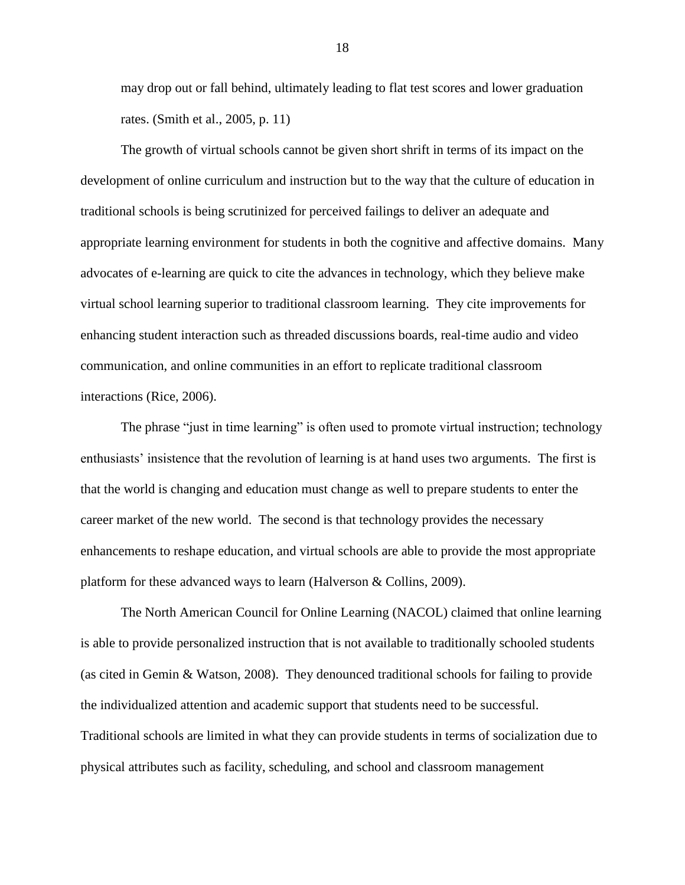may drop out or fall behind, ultimately leading to flat test scores and lower graduation rates. (Smith et al., 2005, p. 11)

The growth of virtual schools cannot be given short shrift in terms of its impact on the development of online curriculum and instruction but to the way that the culture of education in traditional schools is being scrutinized for perceived failings to deliver an adequate and appropriate learning environment for students in both the cognitive and affective domains. Many advocates of e-learning are quick to cite the advances in technology, which they believe make virtual school learning superior to traditional classroom learning. They cite improvements for enhancing student interaction such as threaded discussions boards, real-time audio and video communication, and online communities in an effort to replicate traditional classroom interactions (Rice, 2006).

The phrase "just in time learning" is often used to promote virtual instruction; technology enthusiasts' insistence that the revolution of learning is at hand uses two arguments. The first is that the world is changing and education must change as well to prepare students to enter the career market of the new world. The second is that technology provides the necessary enhancements to reshape education, and virtual schools are able to provide the most appropriate platform for these advanced ways to learn (Halverson & Collins, 2009).

The North American Council for Online Learning (NACOL) claimed that online learning is able to provide personalized instruction that is not available to traditionally schooled students (as cited in Gemin & Watson, 2008). They denounced traditional schools for failing to provide the individualized attention and academic support that students need to be successful. Traditional schools are limited in what they can provide students in terms of socialization due to physical attributes such as facility, scheduling, and school and classroom management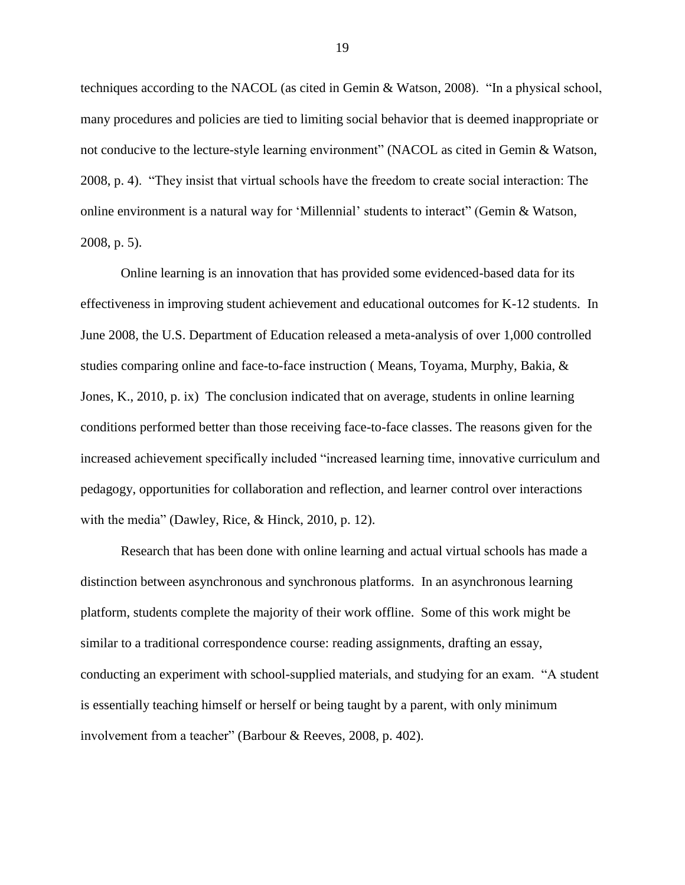techniques according to the NACOL (as cited in Gemin & Watson, 2008). "In a physical school, many procedures and policies are tied to limiting social behavior that is deemed inappropriate or not conducive to the lecture-style learning environment" (NACOL as cited in Gemin & Watson, 2008, p. 4). "They insist that virtual schools have the freedom to create social interaction: The online environment is a natural way for 'Millennial' students to interact" (Gemin & Watson, 2008, p. 5).

Online learning is an innovation that has provided some evidenced-based data for its effectiveness in improving student achievement and educational outcomes for K-12 students. In June 2008, the U.S. Department of Education released a meta-analysis of over 1,000 controlled studies comparing online and face-to-face instruction ( Means, Toyama, Murphy, Bakia, & Jones, K., 2010, p. ix) The conclusion indicated that on average, students in online learning conditions performed better than those receiving face-to-face classes. The reasons given for the increased achievement specifically included "increased learning time, innovative curriculum and pedagogy, opportunities for collaboration and reflection, and learner control over interactions with the media" (Dawley, Rice, & Hinck, 2010, p. 12).

Research that has been done with online learning and actual virtual schools has made a distinction between asynchronous and synchronous platforms. In an asynchronous learning platform, students complete the majority of their work offline. Some of this work might be similar to a traditional correspondence course: reading assignments, drafting an essay, conducting an experiment with school-supplied materials, and studying for an exam. "A student is essentially teaching himself or herself or being taught by a parent, with only minimum involvement from a teacher" (Barbour & Reeves, 2008, p. 402).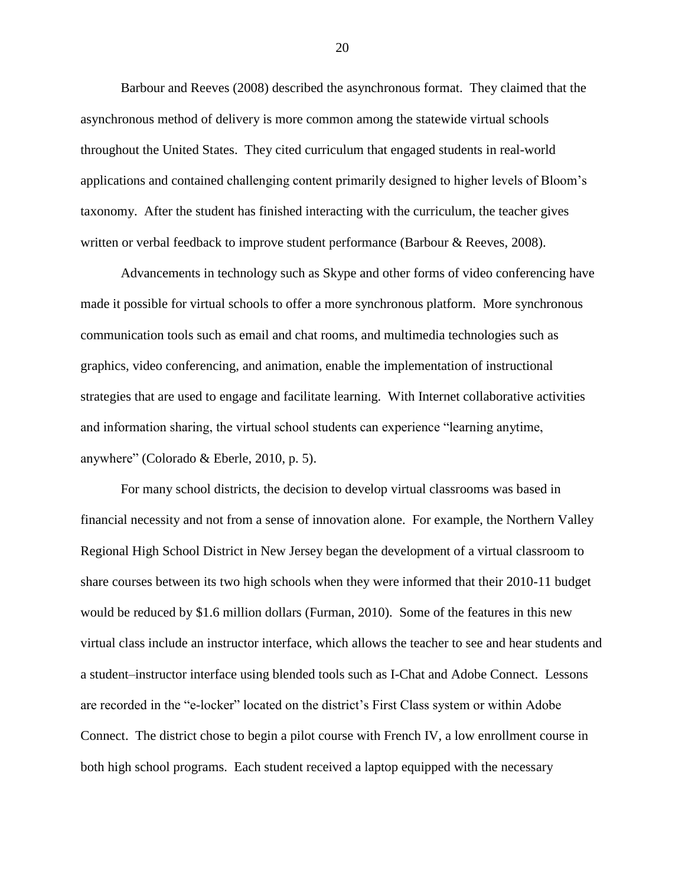Barbour and Reeves (2008) described the asynchronous format. They claimed that the asynchronous method of delivery is more common among the statewide virtual schools throughout the United States. They cited curriculum that engaged students in real-world applications and contained challenging content primarily designed to higher levels of Bloom's taxonomy. After the student has finished interacting with the curriculum, the teacher gives written or verbal feedback to improve student performance (Barbour & Reeves, 2008).

Advancements in technology such as Skype and other forms of video conferencing have made it possible for virtual schools to offer a more synchronous platform. More synchronous communication tools such as email and chat rooms, and multimedia technologies such as graphics, video conferencing, and animation, enable the implementation of instructional strategies that are used to engage and facilitate learning. With Internet collaborative activities and information sharing, the virtual school students can experience "learning anytime, anywhere" (Colorado & Eberle, 2010, p. 5).

For many school districts, the decision to develop virtual classrooms was based in financial necessity and not from a sense of innovation alone. For example, the Northern Valley Regional High School District in New Jersey began the development of a virtual classroom to share courses between its two high schools when they were informed that their 2010-11 budget would be reduced by \$1.6 million dollars (Furman, 2010). Some of the features in this new virtual class include an instructor interface, which allows the teacher to see and hear students and a student–instructor interface using blended tools such as I-Chat and Adobe Connect. Lessons are recorded in the "e-locker" located on the district's First Class system or within Adobe Connect. The district chose to begin a pilot course with French IV, a low enrollment course in both high school programs. Each student received a laptop equipped with the necessary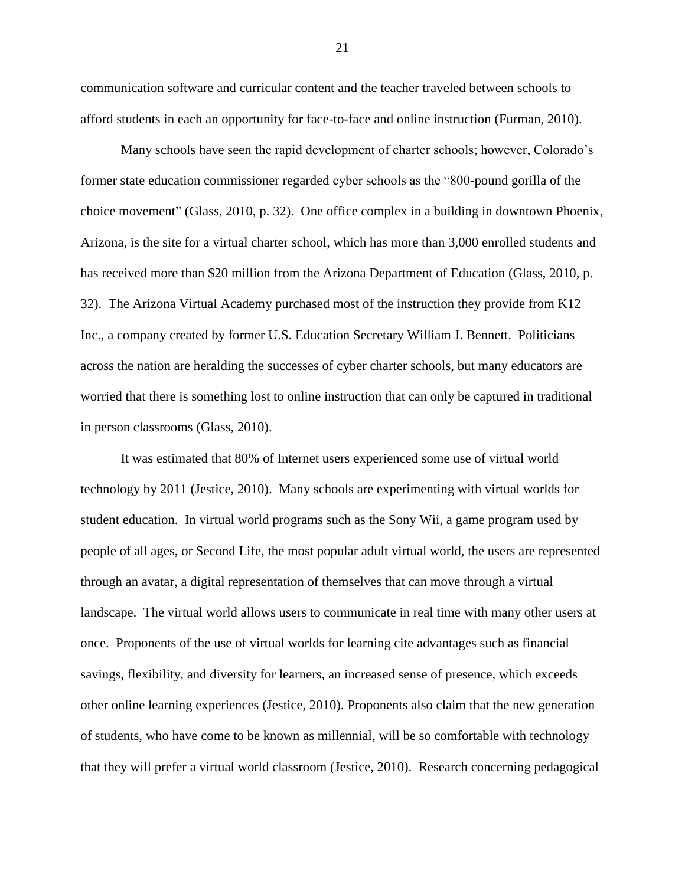communication software and curricular content and the teacher traveled between schools to afford students in each an opportunity for face-to-face and online instruction (Furman, 2010).

Many schools have seen the rapid development of charter schools; however, Colorado's former state education commissioner regarded cyber schools as the "800-pound gorilla of the choice movement" (Glass, 2010, p. 32). One office complex in a building in downtown Phoenix, Arizona, is the site for a virtual charter school, which has more than 3,000 enrolled students and has received more than \$20 million from the Arizona Department of Education (Glass, 2010, p. 32). The Arizona Virtual Academy purchased most of the instruction they provide from K12 Inc., a company created by former U.S. Education Secretary William J. Bennett. Politicians across the nation are heralding the successes of cyber charter schools, but many educators are worried that there is something lost to online instruction that can only be captured in traditional in person classrooms (Glass, 2010).

It was estimated that 80% of Internet users experienced some use of virtual world technology by 2011 (Jestice, 2010). Many schools are experimenting with virtual worlds for student education. In virtual world programs such as the Sony Wii, a game program used by people of all ages, or Second Life, the most popular adult virtual world, the users are represented through an avatar, a digital representation of themselves that can move through a virtual landscape. The virtual world allows users to communicate in real time with many other users at once. Proponents of the use of virtual worlds for learning cite advantages such as financial savings, flexibility, and diversity for learners, an increased sense of presence, which exceeds other online learning experiences (Jestice, 2010). Proponents also claim that the new generation of students, who have come to be known as millennial, will be so comfortable with technology that they will prefer a virtual world classroom (Jestice, 2010). Research concerning pedagogical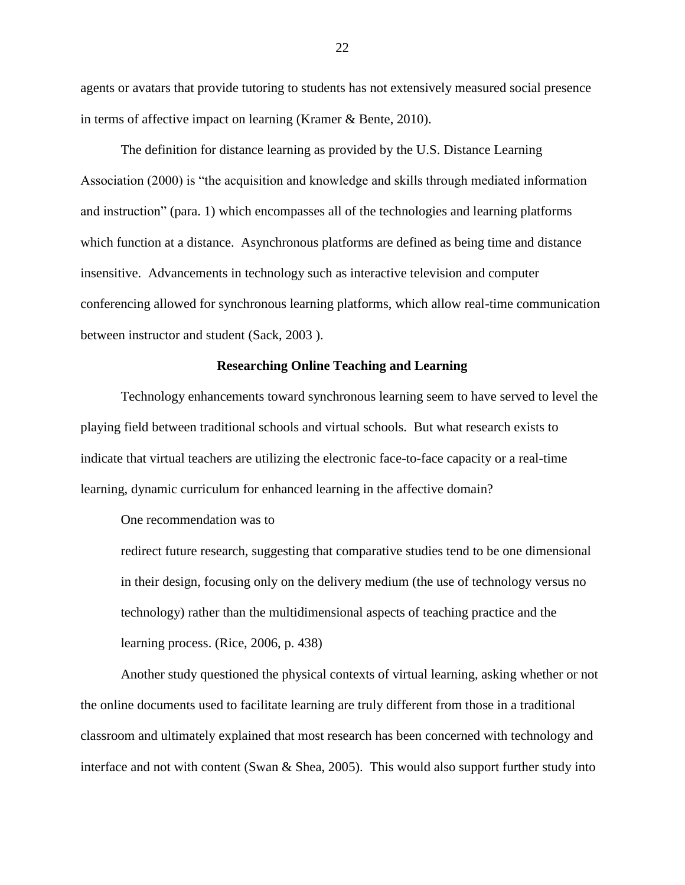agents or avatars that provide tutoring to students has not extensively measured social presence in terms of affective impact on learning (Kramer & Bente, 2010).

The definition for distance learning as provided by the U.S. Distance Learning Association (2000) is "the acquisition and knowledge and skills through mediated information and instruction" (para. 1) which encompasses all of the technologies and learning platforms which function at a distance. Asynchronous platforms are defined as being time and distance insensitive. Advancements in technology such as interactive television and computer conferencing allowed for synchronous learning platforms, which allow real-time communication between instructor and student (Sack, 2003 ).

### **Researching Online Teaching and Learning**

Technology enhancements toward synchronous learning seem to have served to level the playing field between traditional schools and virtual schools. But what research exists to indicate that virtual teachers are utilizing the electronic face-to-face capacity or a real-time learning, dynamic curriculum for enhanced learning in the affective domain?

One recommendation was to

redirect future research, suggesting that comparative studies tend to be one dimensional in their design, focusing only on the delivery medium (the use of technology versus no technology) rather than the multidimensional aspects of teaching practice and the learning process. (Rice, 2006, p. 438)

Another study questioned the physical contexts of virtual learning, asking whether or not the online documents used to facilitate learning are truly different from those in a traditional classroom and ultimately explained that most research has been concerned with technology and interface and not with content (Swan & Shea, 2005). This would also support further study into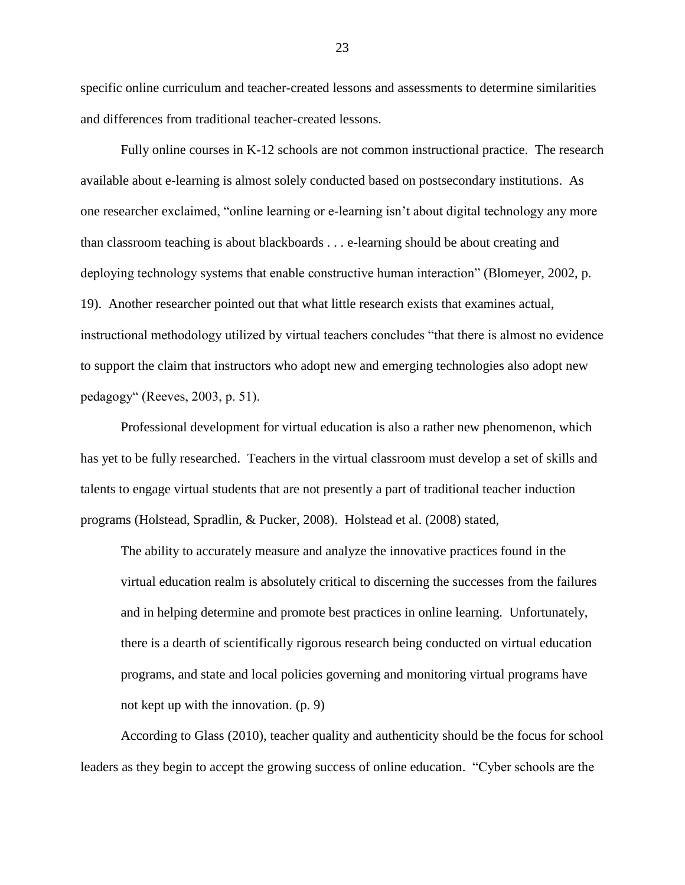specific online curriculum and teacher-created lessons and assessments to determine similarities and differences from traditional teacher-created lessons.

Fully online courses in K-12 schools are not common instructional practice. The research available about e-learning is almost solely conducted based on postsecondary institutions. As one researcher exclaimed, "online learning or e-learning isn't about digital technology any more than classroom teaching is about blackboards . . . e-learning should be about creating and deploying technology systems that enable constructive human interaction" (Blomeyer, 2002, p. 19). Another researcher pointed out that what little research exists that examines actual, instructional methodology utilized by virtual teachers concludes "that there is almost no evidence to support the claim that instructors who adopt new and emerging technologies also adopt new pedagogy" (Reeves, 2003, p. 51).

Professional development for virtual education is also a rather new phenomenon, which has yet to be fully researched. Teachers in the virtual classroom must develop a set of skills and talents to engage virtual students that are not presently a part of traditional teacher induction programs (Holstead, Spradlin, & Pucker, 2008). Holstead et al. (2008) stated,

The ability to accurately measure and analyze the innovative practices found in the virtual education realm is absolutely critical to discerning the successes from the failures and in helping determine and promote best practices in online learning. Unfortunately, there is a dearth of scientifically rigorous research being conducted on virtual education programs, and state and local policies governing and monitoring virtual programs have not kept up with the innovation. (p. 9)

According to Glass (2010), teacher quality and authenticity should be the focus for school leaders as they begin to accept the growing success of online education. "Cyber schools are the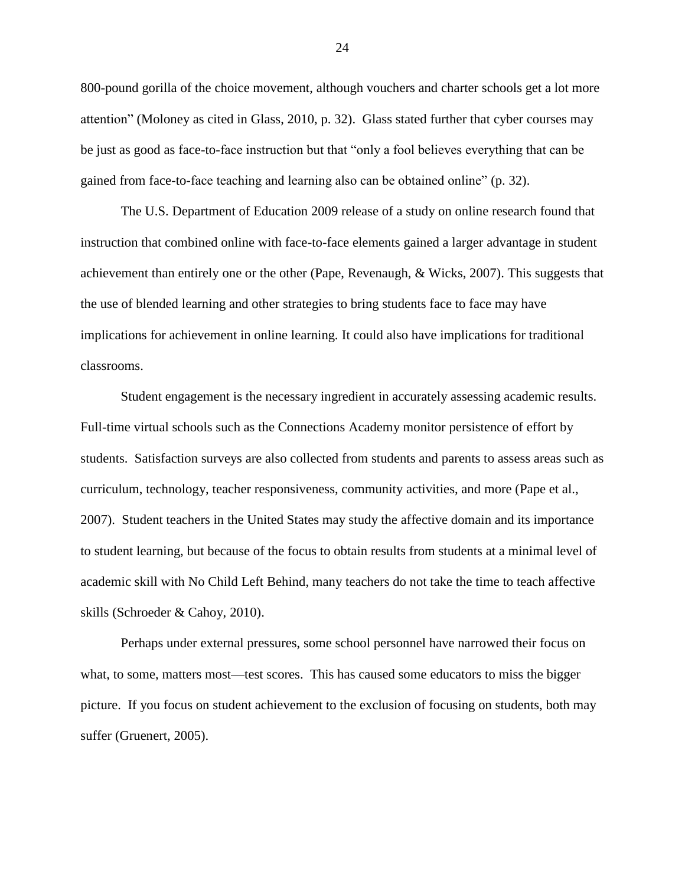800-pound gorilla of the choice movement, although vouchers and charter schools get a lot more attention" (Moloney as cited in Glass, 2010, p. 32). Glass stated further that cyber courses may be just as good as face-to-face instruction but that "only a fool believes everything that can be gained from face-to-face teaching and learning also can be obtained online" (p. 32).

The U.S. Department of Education 2009 release of a study on online research found that instruction that combined online with face-to-face elements gained a larger advantage in student achievement than entirely one or the other (Pape, Revenaugh, & Wicks, 2007). This suggests that the use of blended learning and other strategies to bring students face to face may have implications for achievement in online learning. It could also have implications for traditional classrooms.

Student engagement is the necessary ingredient in accurately assessing academic results. Full-time virtual schools such as the Connections Academy monitor persistence of effort by students. Satisfaction surveys are also collected from students and parents to assess areas such as curriculum, technology, teacher responsiveness, community activities, and more (Pape et al., 2007). Student teachers in the United States may study the affective domain and its importance to student learning, but because of the focus to obtain results from students at a minimal level of academic skill with No Child Left Behind, many teachers do not take the time to teach affective skills (Schroeder & Cahoy, 2010).

Perhaps under external pressures, some school personnel have narrowed their focus on what, to some, matters most—test scores. This has caused some educators to miss the bigger picture. If you focus on student achievement to the exclusion of focusing on students, both may suffer (Gruenert, 2005).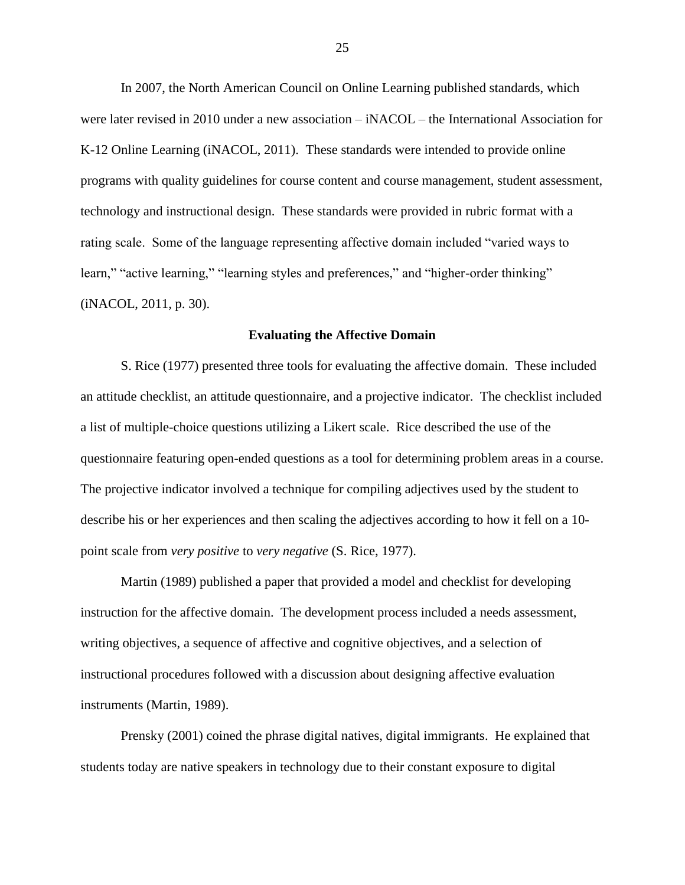In 2007, the North American Council on Online Learning published standards, which were later revised in 2010 under a new association – iNACOL – the International Association for K-12 Online Learning (iNACOL, 2011). These standards were intended to provide online programs with quality guidelines for course content and course management, student assessment, technology and instructional design. These standards were provided in rubric format with a rating scale. Some of the language representing affective domain included "varied ways to learn," "active learning," "learning styles and preferences," and "higher-order thinking" (iNACOL, 2011, p. 30).

#### **Evaluating the Affective Domain**

S. Rice (1977) presented three tools for evaluating the affective domain. These included an attitude checklist, an attitude questionnaire, and a projective indicator. The checklist included a list of multiple-choice questions utilizing a Likert scale. Rice described the use of the questionnaire featuring open-ended questions as a tool for determining problem areas in a course. The projective indicator involved a technique for compiling adjectives used by the student to describe his or her experiences and then scaling the adjectives according to how it fell on a 10 point scale from *very positive* to *very negative* (S. Rice, 1977).

Martin (1989) published a paper that provided a model and checklist for developing instruction for the affective domain. The development process included a needs assessment, writing objectives, a sequence of affective and cognitive objectives, and a selection of instructional procedures followed with a discussion about designing affective evaluation instruments (Martin, 1989).

Prensky (2001) coined the phrase digital natives, digital immigrants. He explained that students today are native speakers in technology due to their constant exposure to digital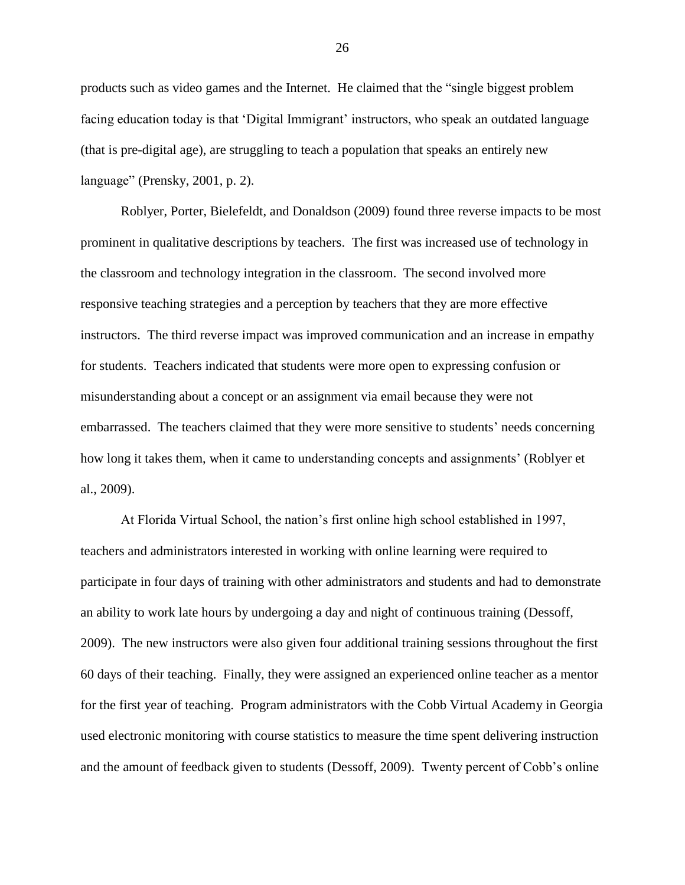products such as video games and the Internet. He claimed that the "single biggest problem facing education today is that 'Digital Immigrant' instructors, who speak an outdated language (that is pre-digital age), are struggling to teach a population that speaks an entirely new language" (Prensky, 2001, p. 2).

Roblyer, Porter, Bielefeldt, and Donaldson (2009) found three reverse impacts to be most prominent in qualitative descriptions by teachers. The first was increased use of technology in the classroom and technology integration in the classroom. The second involved more responsive teaching strategies and a perception by teachers that they are more effective instructors. The third reverse impact was improved communication and an increase in empathy for students. Teachers indicated that students were more open to expressing confusion or misunderstanding about a concept or an assignment via email because they were not embarrassed. The teachers claimed that they were more sensitive to students' needs concerning how long it takes them, when it came to understanding concepts and assignments' (Roblyer et al., 2009).

At Florida Virtual School, the nation's first online high school established in 1997, teachers and administrators interested in working with online learning were required to participate in four days of training with other administrators and students and had to demonstrate an ability to work late hours by undergoing a day and night of continuous training (Dessoff, 2009). The new instructors were also given four additional training sessions throughout the first 60 days of their teaching. Finally, they were assigned an experienced online teacher as a mentor for the first year of teaching. Program administrators with the Cobb Virtual Academy in Georgia used electronic monitoring with course statistics to measure the time spent delivering instruction and the amount of feedback given to students (Dessoff, 2009). Twenty percent of Cobb's online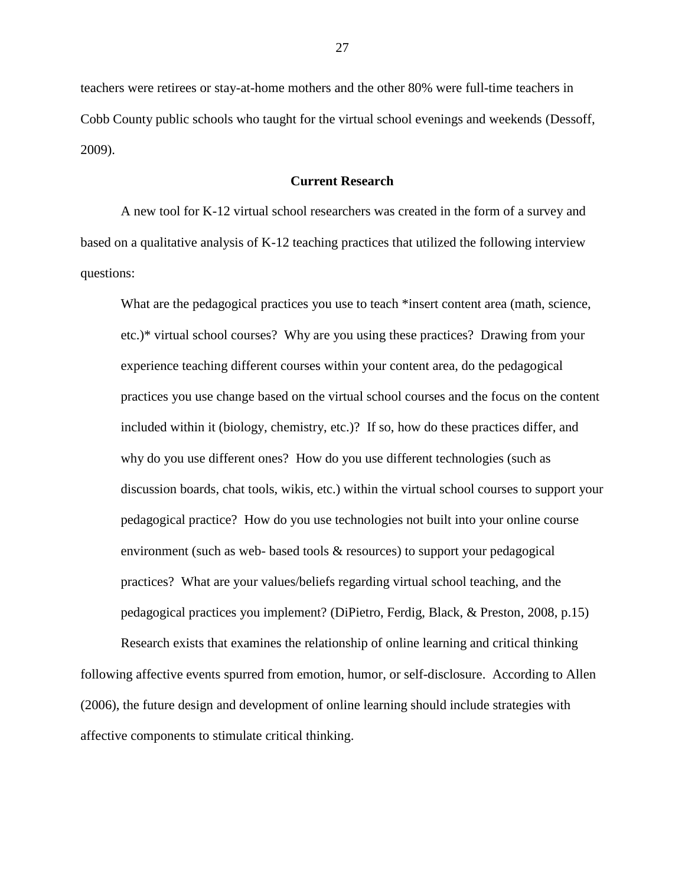teachers were retirees or stay-at-home mothers and the other 80% were full-time teachers in Cobb County public schools who taught for the virtual school evenings and weekends (Dessoff, 2009).

# **Current Research**

A new tool for K-12 virtual school researchers was created in the form of a survey and based on a qualitative analysis of K-12 teaching practices that utilized the following interview questions:

What are the pedagogical practices you use to teach \*insert content area (math, science, etc.)\* virtual school courses? Why are you using these practices? Drawing from your experience teaching different courses within your content area, do the pedagogical practices you use change based on the virtual school courses and the focus on the content included within it (biology, chemistry, etc.)? If so, how do these practices differ, and why do you use different ones? How do you use different technologies (such as discussion boards, chat tools, wikis, etc.) within the virtual school courses to support your pedagogical practice? How do you use technologies not built into your online course environment (such as web- based tools & resources) to support your pedagogical practices? What are your values/beliefs regarding virtual school teaching, and the pedagogical practices you implement? (DiPietro, Ferdig, Black, & Preston, 2008, p.15)

Research exists that examines the relationship of online learning and critical thinking following affective events spurred from emotion, humor, or self-disclosure. According to Allen (2006), the future design and development of online learning should include strategies with affective components to stimulate critical thinking.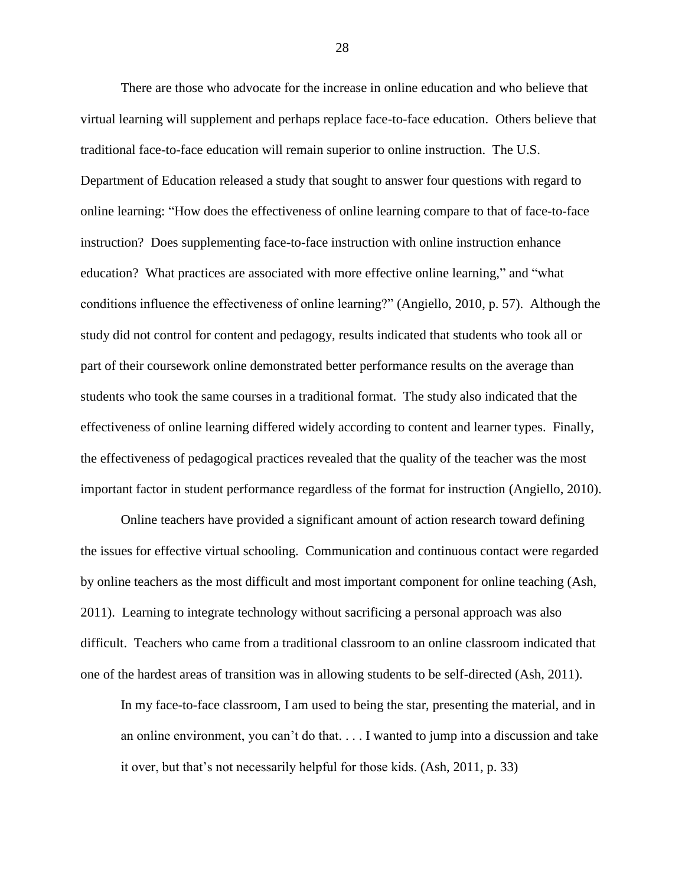There are those who advocate for the increase in online education and who believe that virtual learning will supplement and perhaps replace face-to-face education. Others believe that traditional face-to-face education will remain superior to online instruction. The U.S. Department of Education released a study that sought to answer four questions with regard to online learning: "How does the effectiveness of online learning compare to that of face-to-face instruction? Does supplementing face-to-face instruction with online instruction enhance education? What practices are associated with more effective online learning," and "what conditions influence the effectiveness of online learning?" (Angiello, 2010, p. 57). Although the study did not control for content and pedagogy, results indicated that students who took all or part of their coursework online demonstrated better performance results on the average than students who took the same courses in a traditional format. The study also indicated that the effectiveness of online learning differed widely according to content and learner types. Finally, the effectiveness of pedagogical practices revealed that the quality of the teacher was the most important factor in student performance regardless of the format for instruction (Angiello, 2010).

Online teachers have provided a significant amount of action research toward defining the issues for effective virtual schooling. Communication and continuous contact were regarded by online teachers as the most difficult and most important component for online teaching (Ash, 2011). Learning to integrate technology without sacrificing a personal approach was also difficult. Teachers who came from a traditional classroom to an online classroom indicated that one of the hardest areas of transition was in allowing students to be self-directed (Ash, 2011).

In my face-to-face classroom, I am used to being the star, presenting the material, and in an online environment, you can't do that. . . . I wanted to jump into a discussion and take it over, but that's not necessarily helpful for those kids. (Ash, 2011, p. 33)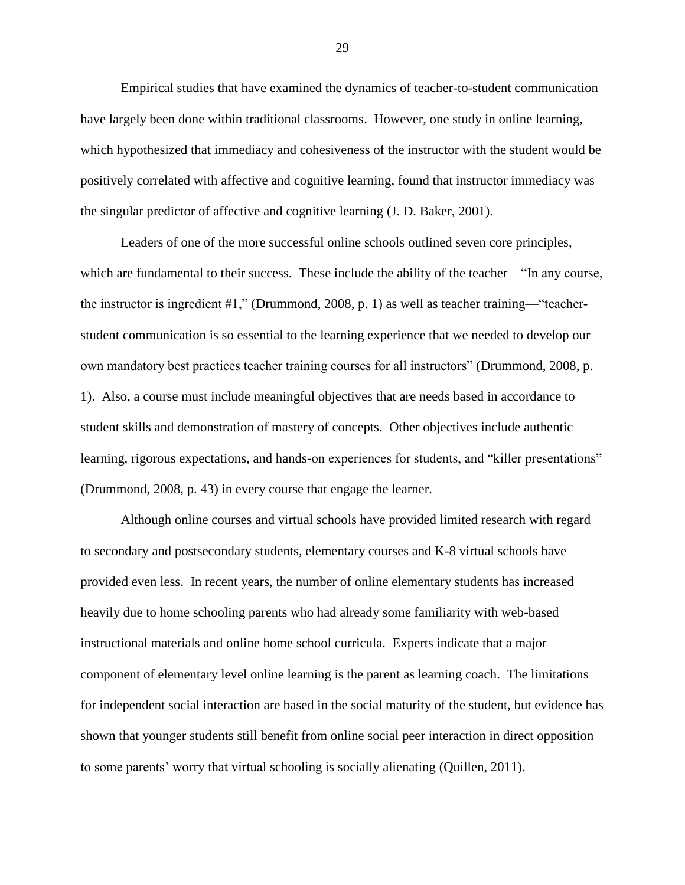Empirical studies that have examined the dynamics of teacher-to-student communication have largely been done within traditional classrooms. However, one study in online learning, which hypothesized that immediacy and cohesiveness of the instructor with the student would be positively correlated with affective and cognitive learning, found that instructor immediacy was the singular predictor of affective and cognitive learning (J. D. Baker, 2001).

Leaders of one of the more successful online schools outlined seven core principles, which are fundamental to their success. These include the ability of the teacher—"In any course, the instructor is ingredient #1," (Drummond, 2008, p. 1) as well as teacher training—"teacherstudent communication is so essential to the learning experience that we needed to develop our own mandatory best practices teacher training courses for all instructors" (Drummond, 2008, p. 1). Also, a course must include meaningful objectives that are needs based in accordance to student skills and demonstration of mastery of concepts. Other objectives include authentic learning, rigorous expectations, and hands-on experiences for students, and "killer presentations" (Drummond, 2008, p. 43) in every course that engage the learner.

Although online courses and virtual schools have provided limited research with regard to secondary and postsecondary students, elementary courses and K-8 virtual schools have provided even less. In recent years, the number of online elementary students has increased heavily due to home schooling parents who had already some familiarity with web-based instructional materials and online home school curricula. Experts indicate that a major component of elementary level online learning is the parent as learning coach. The limitations for independent social interaction are based in the social maturity of the student, but evidence has shown that younger students still benefit from online social peer interaction in direct opposition to some parents' worry that virtual schooling is socially alienating (Quillen, 2011).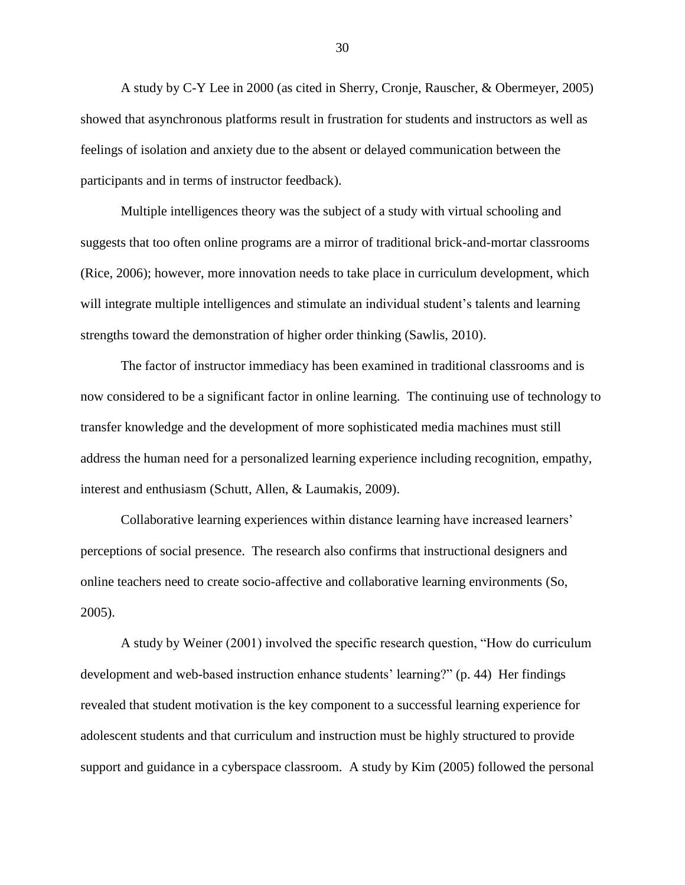A study by C-Y Lee in 2000 (as cited in Sherry, Cronje, Rauscher, & Obermeyer, 2005) showed that asynchronous platforms result in frustration for students and instructors as well as feelings of isolation and anxiety due to the absent or delayed communication between the participants and in terms of instructor feedback).

Multiple intelligences theory was the subject of a study with virtual schooling and suggests that too often online programs are a mirror of traditional brick-and-mortar classrooms (Rice, 2006); however, more innovation needs to take place in curriculum development, which will integrate multiple intelligences and stimulate an individual student's talents and learning strengths toward the demonstration of higher order thinking (Sawlis, 2010).

The factor of instructor immediacy has been examined in traditional classrooms and is now considered to be a significant factor in online learning. The continuing use of technology to transfer knowledge and the development of more sophisticated media machines must still address the human need for a personalized learning experience including recognition, empathy, interest and enthusiasm (Schutt, Allen, & Laumakis, 2009).

Collaborative learning experiences within distance learning have increased learners' perceptions of social presence. The research also confirms that instructional designers and online teachers need to create socio-affective and collaborative learning environments (So, 2005).

A study by Weiner (2001) involved the specific research question, "How do curriculum development and web-based instruction enhance students' learning?" (p. 44) Her findings revealed that student motivation is the key component to a successful learning experience for adolescent students and that curriculum and instruction must be highly structured to provide support and guidance in a cyberspace classroom. A study by Kim (2005) followed the personal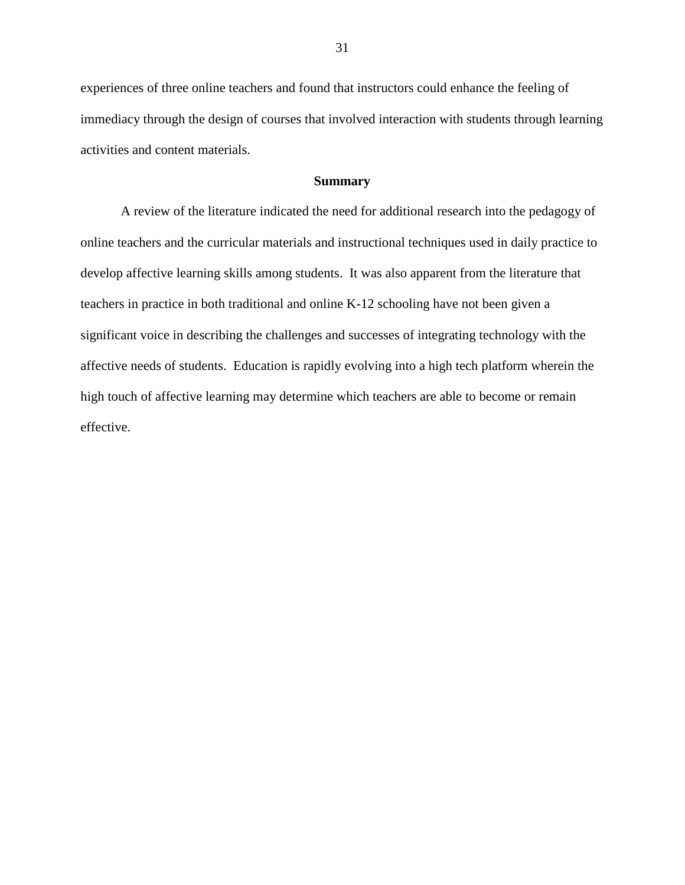experiences of three online teachers and found that instructors could enhance the feeling of immediacy through the design of courses that involved interaction with students through learning activities and content materials.

### **Summary**

A review of the literature indicated the need for additional research into the pedagogy of online teachers and the curricular materials and instructional techniques used in daily practice to develop affective learning skills among students. It was also apparent from the literature that teachers in practice in both traditional and online K-12 schooling have not been given a significant voice in describing the challenges and successes of integrating technology with the affective needs of students. Education is rapidly evolving into a high tech platform wherein the high touch of affective learning may determine which teachers are able to become or remain effective.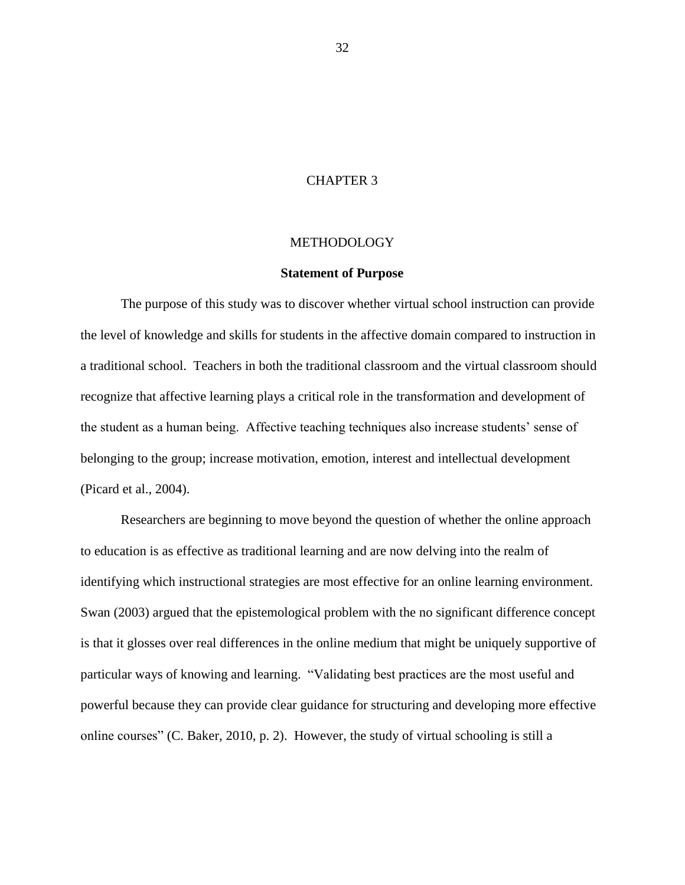# CHAPTER 3

## **METHODOLOGY**

#### **Statement of Purpose**

The purpose of this study was to discover whether virtual school instruction can provide the level of knowledge and skills for students in the affective domain compared to instruction in a traditional school. Teachers in both the traditional classroom and the virtual classroom should recognize that affective learning plays a critical role in the transformation and development of the student as a human being. Affective teaching techniques also increase students' sense of belonging to the group; increase motivation, emotion, interest and intellectual development (Picard et al., 2004).

Researchers are beginning to move beyond the question of whether the online approach to education is as effective as traditional learning and are now delving into the realm of identifying which instructional strategies are most effective for an online learning environment. Swan (2003) argued that the epistemological problem with the no significant difference concept is that it glosses over real differences in the online medium that might be uniquely supportive of particular ways of knowing and learning. "Validating best practices are the most useful and powerful because they can provide clear guidance for structuring and developing more effective online courses" (C. Baker, 2010, p. 2). However, the study of virtual schooling is still a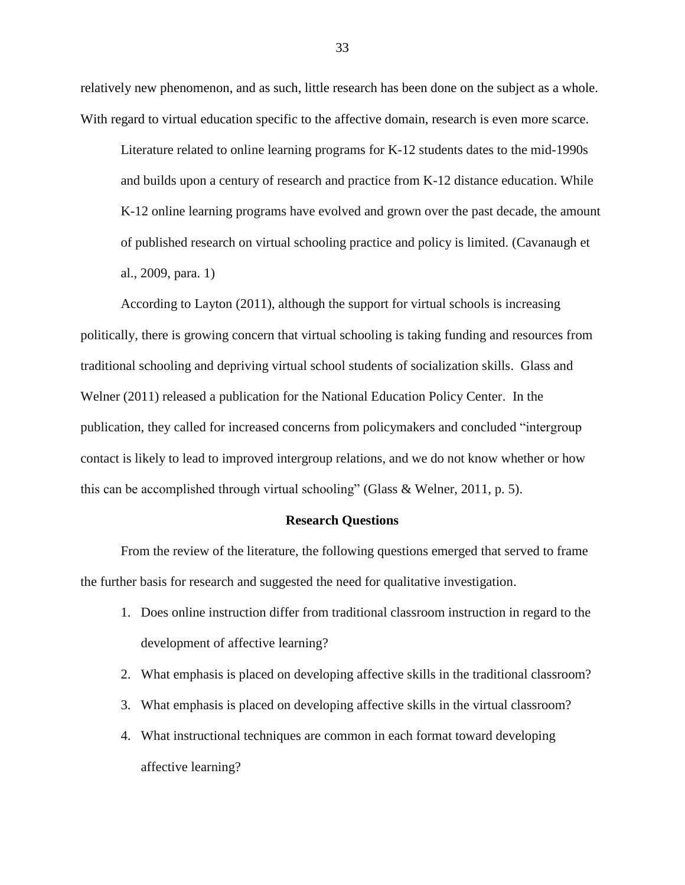relatively new phenomenon, and as such, little research has been done on the subject as a whole. With regard to virtual education specific to the affective domain, research is even more scarce.

Literature related to online learning programs for K-12 students dates to the mid-1990s and builds upon a century of research and practice from K-12 distance education. While K-12 online learning programs have evolved and grown over the past decade, the amount of published research on virtual schooling practice and policy is limited. (Cavanaugh et al., 2009, para. 1)

According to Layton (2011), although the support for virtual schools is increasing politically, there is growing concern that virtual schooling is taking funding and resources from traditional schooling and depriving virtual school students of socialization skills. Glass and Welner (2011) released a publication for the National Education Policy Center. In the publication, they called for increased concerns from policymakers and concluded "intergroup contact is likely to lead to improved intergroup relations, and we do not know whether or how this can be accomplished through virtual schooling" (Glass & Welner, 2011, p. 5).

#### **Research Questions**

From the review of the literature, the following questions emerged that served to frame the further basis for research and suggested the need for qualitative investigation.

- 1. Does online instruction differ from traditional classroom instruction in regard to the development of affective learning?
- 2. What emphasis is placed on developing affective skills in the traditional classroom?
- 3. What emphasis is placed on developing affective skills in the virtual classroom?
- 4. What instructional techniques are common in each format toward developing affective learning?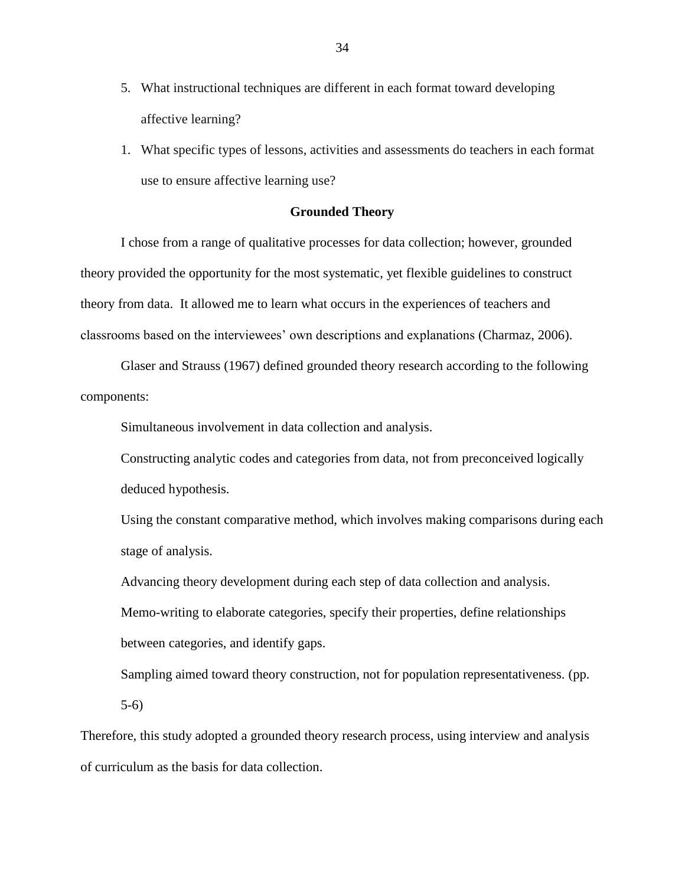- 5. What instructional techniques are different in each format toward developing affective learning?
- 1. What specific types of lessons, activities and assessments do teachers in each format use to ensure affective learning use?

# **Grounded Theory**

I chose from a range of qualitative processes for data collection; however, grounded theory provided the opportunity for the most systematic, yet flexible guidelines to construct theory from data. It allowed me to learn what occurs in the experiences of teachers and classrooms based on the interviewees' own descriptions and explanations (Charmaz, 2006).

Glaser and Strauss (1967) defined grounded theory research according to the following components:

Simultaneous involvement in data collection and analysis.

Constructing analytic codes and categories from data, not from preconceived logically deduced hypothesis.

Using the constant comparative method, which involves making comparisons during each stage of analysis.

Advancing theory development during each step of data collection and analysis. Memo-writing to elaborate categories, specify their properties, define relationships between categories, and identify gaps.

Sampling aimed toward theory construction, not for population representativeness. (pp. 5-6)

Therefore, this study adopted a grounded theory research process, using interview and analysis of curriculum as the basis for data collection.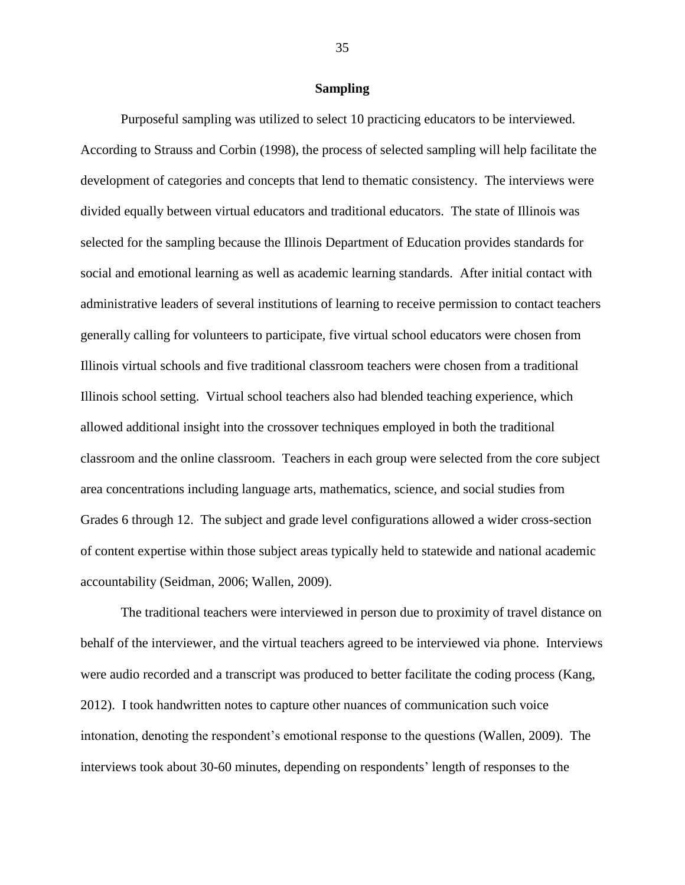# **Sampling**

Purposeful sampling was utilized to select 10 practicing educators to be interviewed. According to Strauss and Corbin (1998), the process of selected sampling will help facilitate the development of categories and concepts that lend to thematic consistency. The interviews were divided equally between virtual educators and traditional educators. The state of Illinois was selected for the sampling because the Illinois Department of Education provides standards for social and emotional learning as well as academic learning standards. After initial contact with administrative leaders of several institutions of learning to receive permission to contact teachers generally calling for volunteers to participate, five virtual school educators were chosen from Illinois virtual schools and five traditional classroom teachers were chosen from a traditional Illinois school setting. Virtual school teachers also had blended teaching experience, which allowed additional insight into the crossover techniques employed in both the traditional classroom and the online classroom. Teachers in each group were selected from the core subject area concentrations including language arts, mathematics, science, and social studies from Grades 6 through 12. The subject and grade level configurations allowed a wider cross-section of content expertise within those subject areas typically held to statewide and national academic accountability (Seidman, 2006; Wallen, 2009).

The traditional teachers were interviewed in person due to proximity of travel distance on behalf of the interviewer, and the virtual teachers agreed to be interviewed via phone. Interviews were audio recorded and a transcript was produced to better facilitate the coding process (Kang, 2012). I took handwritten notes to capture other nuances of communication such voice intonation, denoting the respondent's emotional response to the questions (Wallen, 2009). The interviews took about 30-60 minutes, depending on respondents' length of responses to the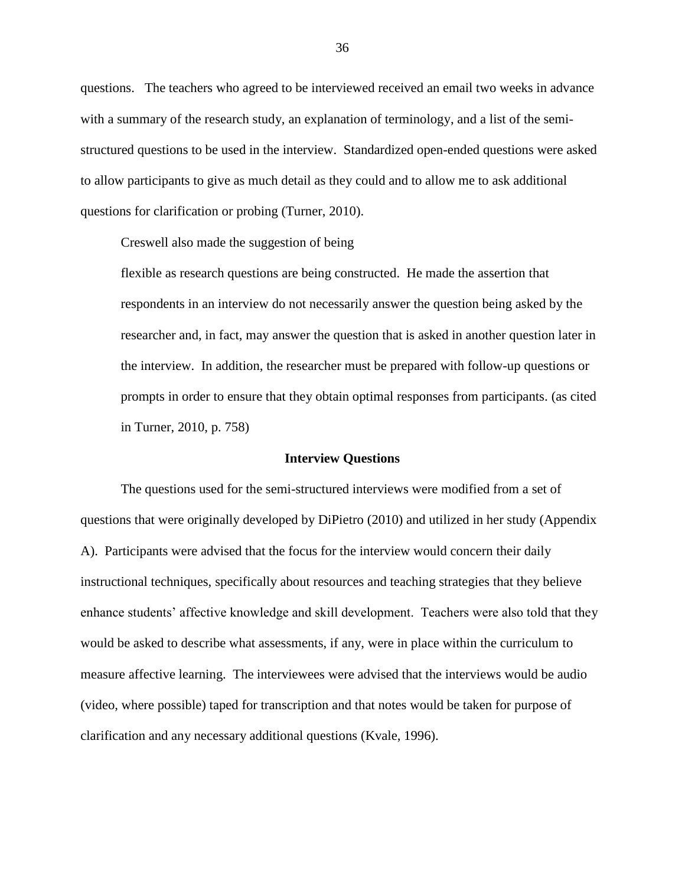questions. The teachers who agreed to be interviewed received an email two weeks in advance with a summary of the research study, an explanation of terminology, and a list of the semistructured questions to be used in the interview. Standardized open-ended questions were asked to allow participants to give as much detail as they could and to allow me to ask additional questions for clarification or probing (Turner, 2010).

Creswell also made the suggestion of being

flexible as research questions are being constructed. He made the assertion that respondents in an interview do not necessarily answer the question being asked by the researcher and, in fact, may answer the question that is asked in another question later in the interview. In addition, the researcher must be prepared with follow-up questions or prompts in order to ensure that they obtain optimal responses from participants. (as cited in Turner, 2010, p. 758)

# **Interview Questions**

The questions used for the semi-structured interviews were modified from a set of questions that were originally developed by DiPietro (2010) and utilized in her study (Appendix A). Participants were advised that the focus for the interview would concern their daily instructional techniques, specifically about resources and teaching strategies that they believe enhance students' affective knowledge and skill development. Teachers were also told that they would be asked to describe what assessments, if any, were in place within the curriculum to measure affective learning. The interviewees were advised that the interviews would be audio (video, where possible) taped for transcription and that notes would be taken for purpose of clarification and any necessary additional questions (Kvale, 1996).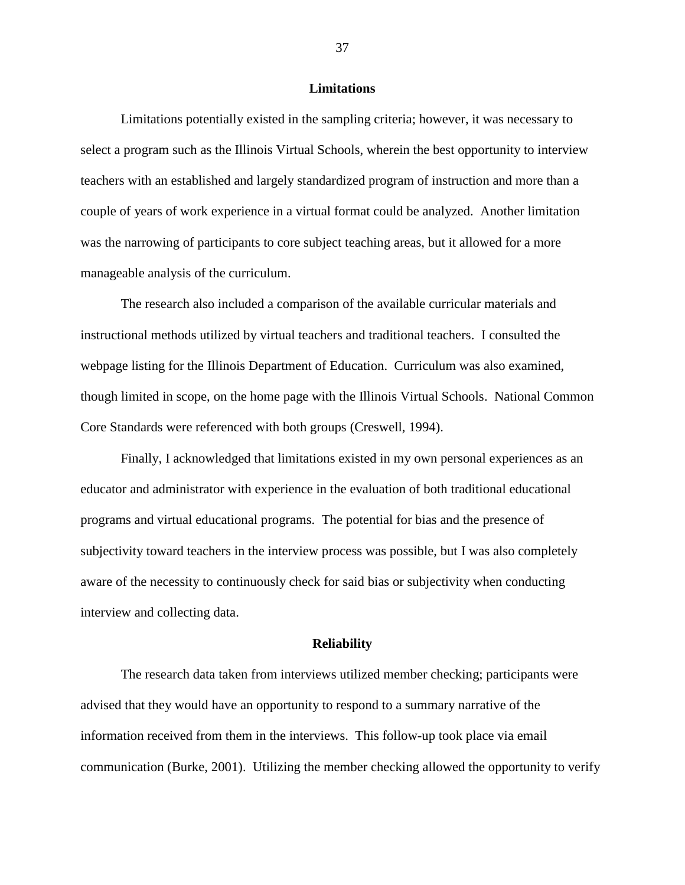#### **Limitations**

Limitations potentially existed in the sampling criteria; however, it was necessary to select a program such as the Illinois Virtual Schools, wherein the best opportunity to interview teachers with an established and largely standardized program of instruction and more than a couple of years of work experience in a virtual format could be analyzed. Another limitation was the narrowing of participants to core subject teaching areas, but it allowed for a more manageable analysis of the curriculum.

The research also included a comparison of the available curricular materials and instructional methods utilized by virtual teachers and traditional teachers. I consulted the webpage listing for the Illinois Department of Education. Curriculum was also examined, though limited in scope, on the home page with the Illinois Virtual Schools. National Common Core Standards were referenced with both groups (Creswell, 1994).

Finally, I acknowledged that limitations existed in my own personal experiences as an educator and administrator with experience in the evaluation of both traditional educational programs and virtual educational programs. The potential for bias and the presence of subjectivity toward teachers in the interview process was possible, but I was also completely aware of the necessity to continuously check for said bias or subjectivity when conducting interview and collecting data.

#### **Reliability**

The research data taken from interviews utilized member checking; participants were advised that they would have an opportunity to respond to a summary narrative of the information received from them in the interviews. This follow-up took place via email communication (Burke, 2001). Utilizing the member checking allowed the opportunity to verify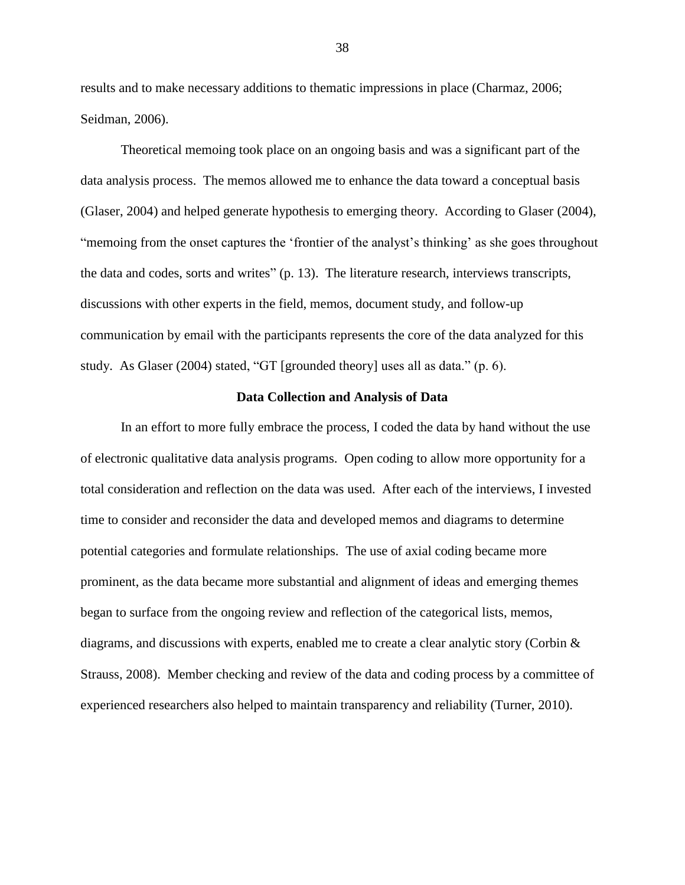results and to make necessary additions to thematic impressions in place (Charmaz, 2006; Seidman, 2006).

Theoretical memoing took place on an ongoing basis and was a significant part of the data analysis process. The memos allowed me to enhance the data toward a conceptual basis (Glaser, 2004) and helped generate hypothesis to emerging theory. According to Glaser (2004), "memoing from the onset captures the 'frontier of the analyst's thinking' as she goes throughout the data and codes, sorts and writes" (p. 13). The literature research, interviews transcripts, discussions with other experts in the field, memos, document study, and follow-up communication by email with the participants represents the core of the data analyzed for this study. As Glaser (2004) stated, "GT [grounded theory] uses all as data." (p. 6).

## **Data Collection and Analysis of Data**

In an effort to more fully embrace the process, I coded the data by hand without the use of electronic qualitative data analysis programs. Open coding to allow more opportunity for a total consideration and reflection on the data was used. After each of the interviews, I invested time to consider and reconsider the data and developed memos and diagrams to determine potential categories and formulate relationships. The use of axial coding became more prominent, as the data became more substantial and alignment of ideas and emerging themes began to surface from the ongoing review and reflection of the categorical lists, memos, diagrams, and discussions with experts, enabled me to create a clear analytic story (Corbin  $\&$ Strauss, 2008). Member checking and review of the data and coding process by a committee of experienced researchers also helped to maintain transparency and reliability (Turner, 2010).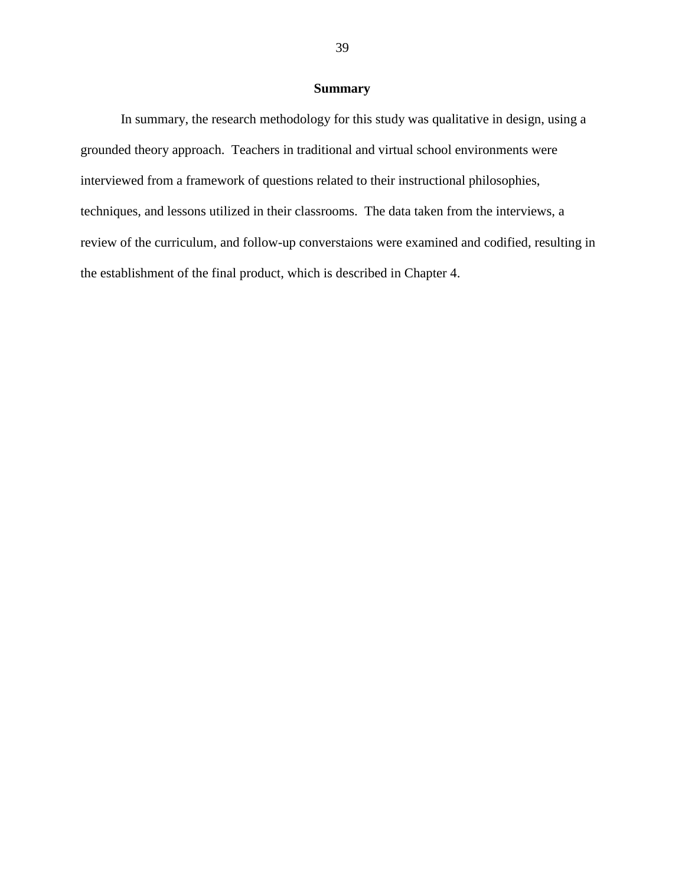# **Summary**

In summary, the research methodology for this study was qualitative in design, using a grounded theory approach. Teachers in traditional and virtual school environments were interviewed from a framework of questions related to their instructional philosophies, techniques, and lessons utilized in their classrooms. The data taken from the interviews, a review of the curriculum, and follow-up converstaions were examined and codified, resulting in the establishment of the final product, which is described in Chapter 4.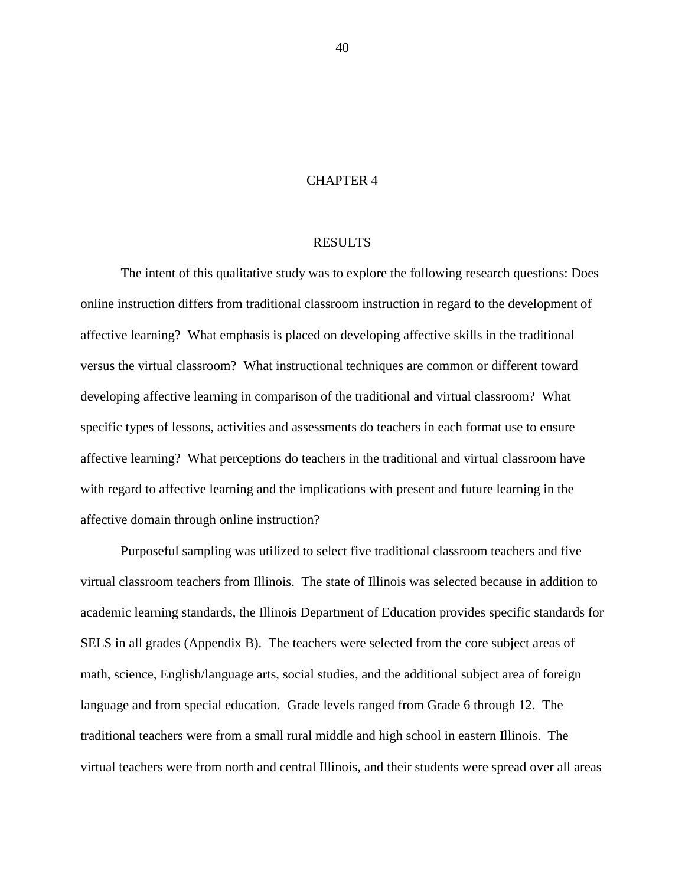## CHAPTER 4

#### RESULTS

The intent of this qualitative study was to explore the following research questions: Does online instruction differs from traditional classroom instruction in regard to the development of affective learning? What emphasis is placed on developing affective skills in the traditional versus the virtual classroom? What instructional techniques are common or different toward developing affective learning in comparison of the traditional and virtual classroom? What specific types of lessons, activities and assessments do teachers in each format use to ensure affective learning? What perceptions do teachers in the traditional and virtual classroom have with regard to affective learning and the implications with present and future learning in the affective domain through online instruction?

Purposeful sampling was utilized to select five traditional classroom teachers and five virtual classroom teachers from Illinois. The state of Illinois was selected because in addition to academic learning standards, the Illinois Department of Education provides specific standards for SELS in all grades (Appendix B). The teachers were selected from the core subject areas of math, science, English/language arts, social studies, and the additional subject area of foreign language and from special education. Grade levels ranged from Grade 6 through 12. The traditional teachers were from a small rural middle and high school in eastern Illinois. The virtual teachers were from north and central Illinois, and their students were spread over all areas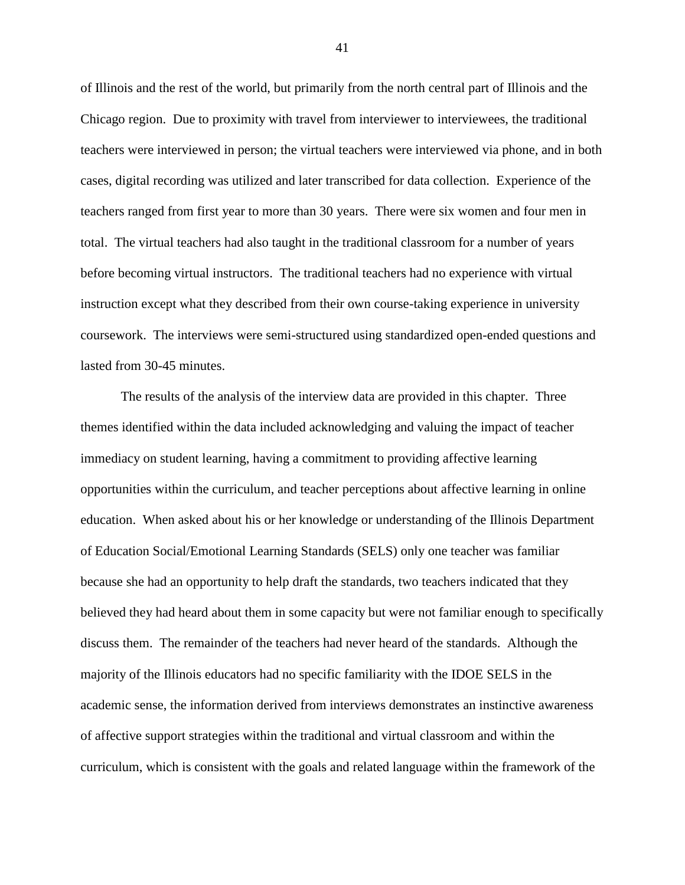of Illinois and the rest of the world, but primarily from the north central part of Illinois and the Chicago region. Due to proximity with travel from interviewer to interviewees, the traditional teachers were interviewed in person; the virtual teachers were interviewed via phone, and in both cases, digital recording was utilized and later transcribed for data collection. Experience of the teachers ranged from first year to more than 30 years. There were six women and four men in total. The virtual teachers had also taught in the traditional classroom for a number of years before becoming virtual instructors. The traditional teachers had no experience with virtual instruction except what they described from their own course-taking experience in university coursework. The interviews were semi-structured using standardized open-ended questions and lasted from 30-45 minutes.

The results of the analysis of the interview data are provided in this chapter. Three themes identified within the data included acknowledging and valuing the impact of teacher immediacy on student learning, having a commitment to providing affective learning opportunities within the curriculum, and teacher perceptions about affective learning in online education. When asked about his or her knowledge or understanding of the Illinois Department of Education Social/Emotional Learning Standards (SELS) only one teacher was familiar because she had an opportunity to help draft the standards, two teachers indicated that they believed they had heard about them in some capacity but were not familiar enough to specifically discuss them. The remainder of the teachers had never heard of the standards. Although the majority of the Illinois educators had no specific familiarity with the IDOE SELS in the academic sense, the information derived from interviews demonstrates an instinctive awareness of affective support strategies within the traditional and virtual classroom and within the curriculum, which is consistent with the goals and related language within the framework of the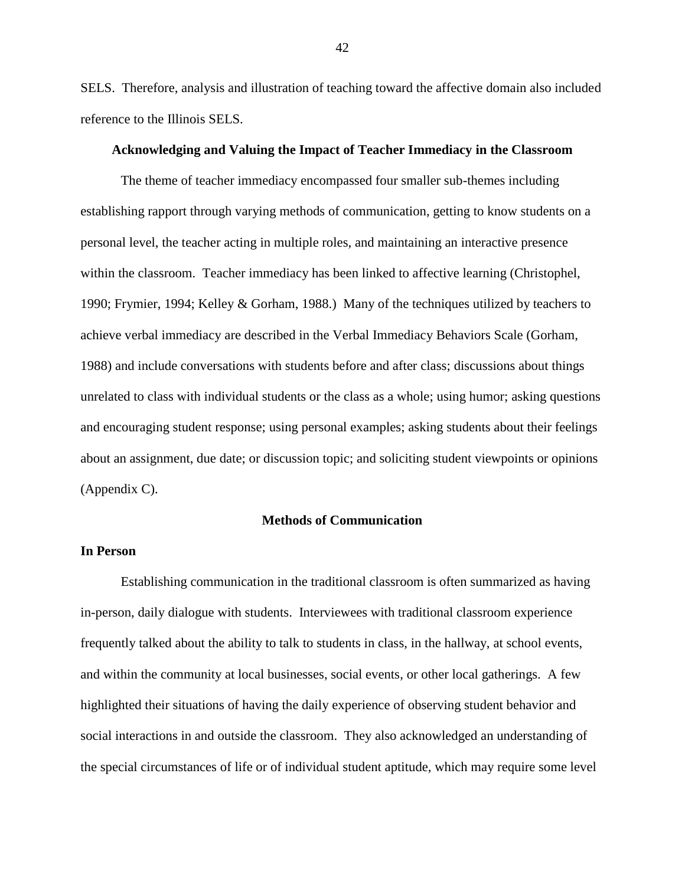SELS. Therefore, analysis and illustration of teaching toward the affective domain also included reference to the Illinois SELS.

# **Acknowledging and Valuing the Impact of Teacher Immediacy in the Classroom**

The theme of teacher immediacy encompassed four smaller sub-themes including establishing rapport through varying methods of communication, getting to know students on a personal level, the teacher acting in multiple roles, and maintaining an interactive presence within the classroom. Teacher immediacy has been linked to affective learning (Christophel, 1990; Frymier, 1994; Kelley & Gorham, 1988.) Many of the techniques utilized by teachers to achieve verbal immediacy are described in the Verbal Immediacy Behaviors Scale (Gorham, 1988) and include conversations with students before and after class; discussions about things unrelated to class with individual students or the class as a whole; using humor; asking questions and encouraging student response; using personal examples; asking students about their feelings about an assignment, due date; or discussion topic; and soliciting student viewpoints or opinions (Appendix C).

#### **Methods of Communication**

# **In Person**

Establishing communication in the traditional classroom is often summarized as having in-person, daily dialogue with students. Interviewees with traditional classroom experience frequently talked about the ability to talk to students in class, in the hallway, at school events, and within the community at local businesses, social events, or other local gatherings. A few highlighted their situations of having the daily experience of observing student behavior and social interactions in and outside the classroom. They also acknowledged an understanding of the special circumstances of life or of individual student aptitude, which may require some level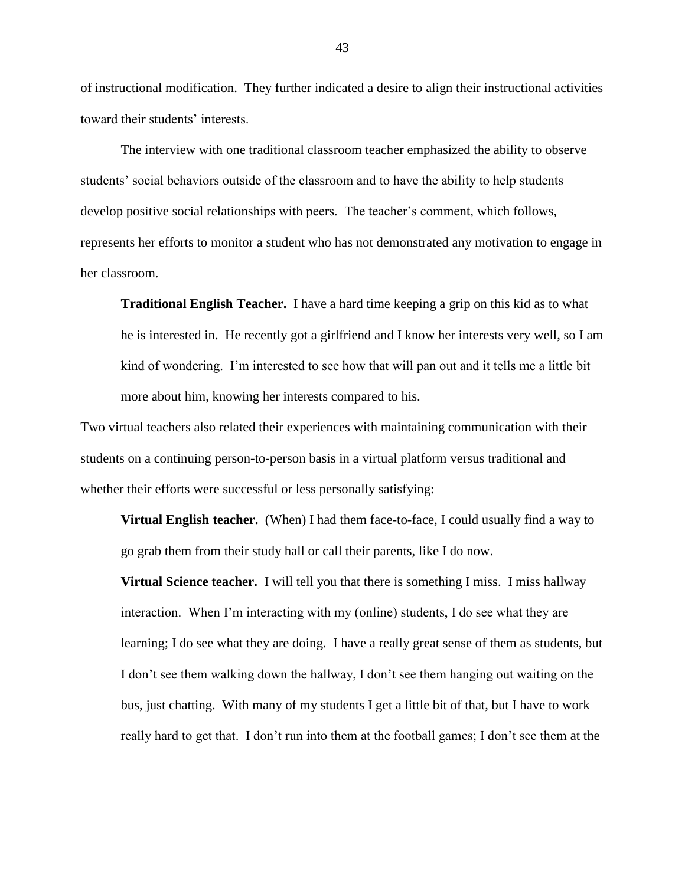of instructional modification. They further indicated a desire to align their instructional activities toward their students' interests.

The interview with one traditional classroom teacher emphasized the ability to observe students' social behaviors outside of the classroom and to have the ability to help students develop positive social relationships with peers. The teacher's comment, which follows, represents her efforts to monitor a student who has not demonstrated any motivation to engage in her classroom.

**Traditional English Teacher.** I have a hard time keeping a grip on this kid as to what he is interested in. He recently got a girlfriend and I know her interests very well, so I am kind of wondering. I'm interested to see how that will pan out and it tells me a little bit more about him, knowing her interests compared to his.

Two virtual teachers also related their experiences with maintaining communication with their students on a continuing person-to-person basis in a virtual platform versus traditional and whether their efforts were successful or less personally satisfying:

**Virtual English teacher.** (When) I had them face-to-face, I could usually find a way to go grab them from their study hall or call their parents, like I do now.

**Virtual Science teacher.** I will tell you that there is something I miss. I miss hallway interaction. When I'm interacting with my (online) students, I do see what they are learning; I do see what they are doing. I have a really great sense of them as students, but I don't see them walking down the hallway, I don't see them hanging out waiting on the bus, just chatting. With many of my students I get a little bit of that, but I have to work really hard to get that. I don't run into them at the football games; I don't see them at the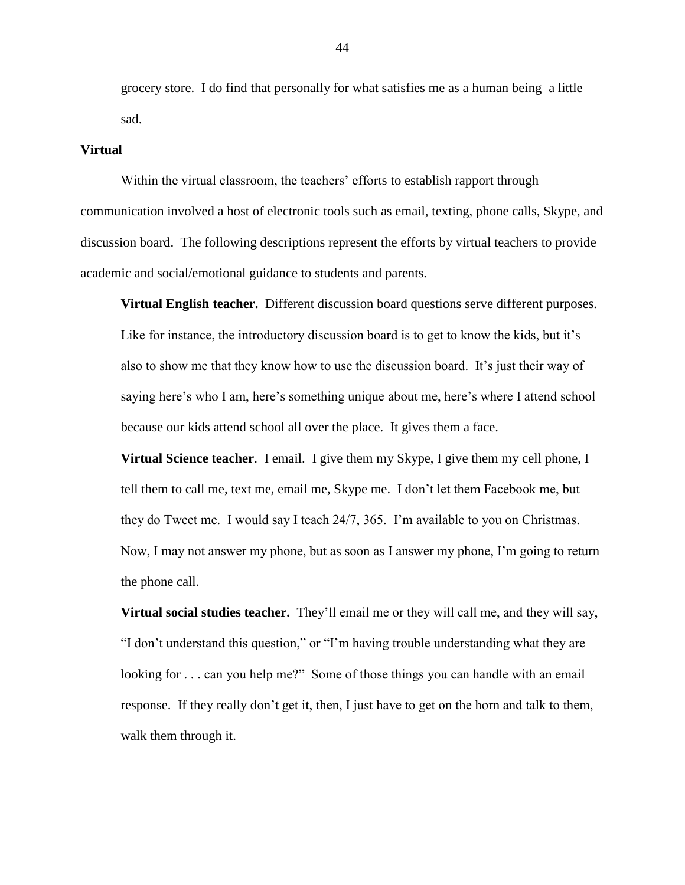grocery store. I do find that personally for what satisfies me as a human being–a little sad.

#### **Virtual**

Within the virtual classroom, the teachers' efforts to establish rapport through communication involved a host of electronic tools such as email, texting, phone calls, Skype, and discussion board. The following descriptions represent the efforts by virtual teachers to provide academic and social/emotional guidance to students and parents.

**Virtual English teacher.** Different discussion board questions serve different purposes. Like for instance, the introductory discussion board is to get to know the kids, but it's also to show me that they know how to use the discussion board. It's just their way of saying here's who I am, here's something unique about me, here's where I attend school because our kids attend school all over the place. It gives them a face.

**Virtual Science teacher**. I email. I give them my Skype, I give them my cell phone, I tell them to call me, text me, email me, Skype me. I don't let them Facebook me, but they do Tweet me. I would say I teach 24/7, 365. I'm available to you on Christmas. Now, I may not answer my phone, but as soon as I answer my phone, I'm going to return the phone call.

**Virtual social studies teacher.** They'll email me or they will call me, and they will say, "I don't understand this question," or "I'm having trouble understanding what they are looking for . . . can you help me?" Some of those things you can handle with an email response. If they really don't get it, then, I just have to get on the horn and talk to them, walk them through it.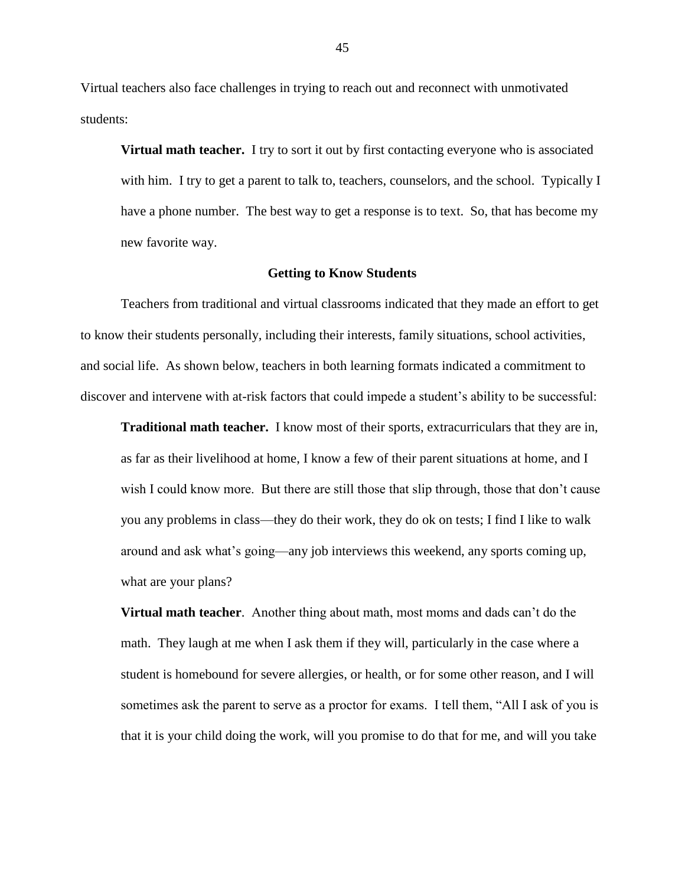Virtual teachers also face challenges in trying to reach out and reconnect with unmotivated students:

**Virtual math teacher.** I try to sort it out by first contacting everyone who is associated with him. I try to get a parent to talk to, teachers, counselors, and the school. Typically I have a phone number. The best way to get a response is to text. So, that has become my new favorite way.

#### **Getting to Know Students**

Teachers from traditional and virtual classrooms indicated that they made an effort to get to know their students personally, including their interests, family situations, school activities, and social life. As shown below, teachers in both learning formats indicated a commitment to discover and intervene with at-risk factors that could impede a student's ability to be successful:

**Traditional math teacher.** I know most of their sports, extracurriculars that they are in, as far as their livelihood at home, I know a few of their parent situations at home, and I wish I could know more. But there are still those that slip through, those that don't cause you any problems in class—they do their work, they do ok on tests; I find I like to walk around and ask what's going—any job interviews this weekend, any sports coming up, what are your plans?

**Virtual math teacher**. Another thing about math, most moms and dads can't do the math. They laugh at me when I ask them if they will, particularly in the case where a student is homebound for severe allergies, or health, or for some other reason, and I will sometimes ask the parent to serve as a proctor for exams. I tell them, "All I ask of you is that it is your child doing the work, will you promise to do that for me, and will you take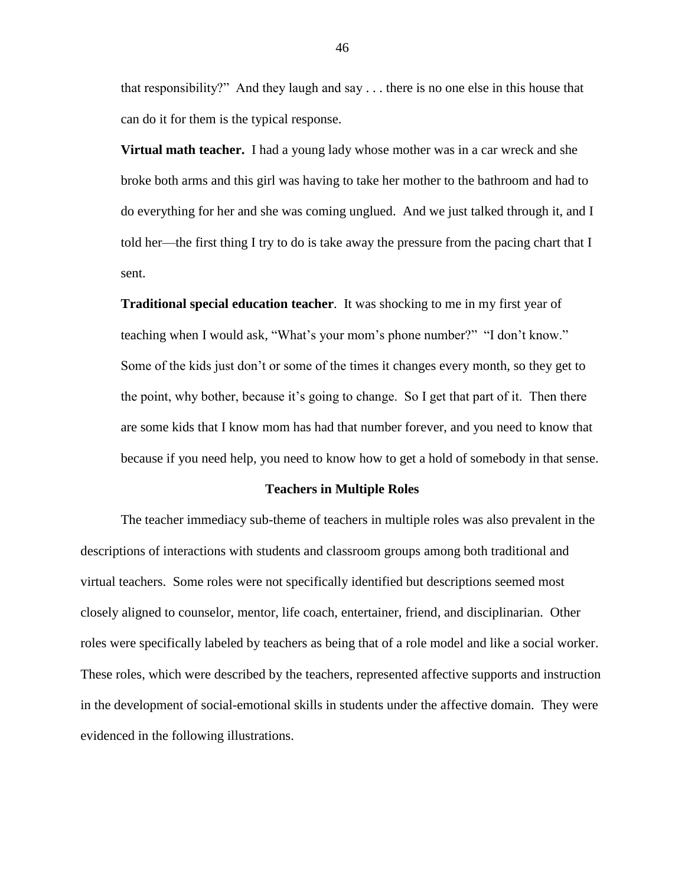that responsibility?" And they laugh and say . . . there is no one else in this house that can do it for them is the typical response.

**Virtual math teacher.** I had a young lady whose mother was in a car wreck and she broke both arms and this girl was having to take her mother to the bathroom and had to do everything for her and she was coming unglued. And we just talked through it, and I told her—the first thing I try to do is take away the pressure from the pacing chart that I sent.

**Traditional special education teacher**. It was shocking to me in my first year of teaching when I would ask, "What's your mom's phone number?" "I don't know." Some of the kids just don't or some of the times it changes every month, so they get to the point, why bother, because it's going to change. So I get that part of it. Then there are some kids that I know mom has had that number forever, and you need to know that because if you need help, you need to know how to get a hold of somebody in that sense.

#### **Teachers in Multiple Roles**

The teacher immediacy sub-theme of teachers in multiple roles was also prevalent in the descriptions of interactions with students and classroom groups among both traditional and virtual teachers. Some roles were not specifically identified but descriptions seemed most closely aligned to counselor, mentor, life coach, entertainer, friend, and disciplinarian. Other roles were specifically labeled by teachers as being that of a role model and like a social worker. These roles, which were described by the teachers, represented affective supports and instruction in the development of social-emotional skills in students under the affective domain. They were evidenced in the following illustrations.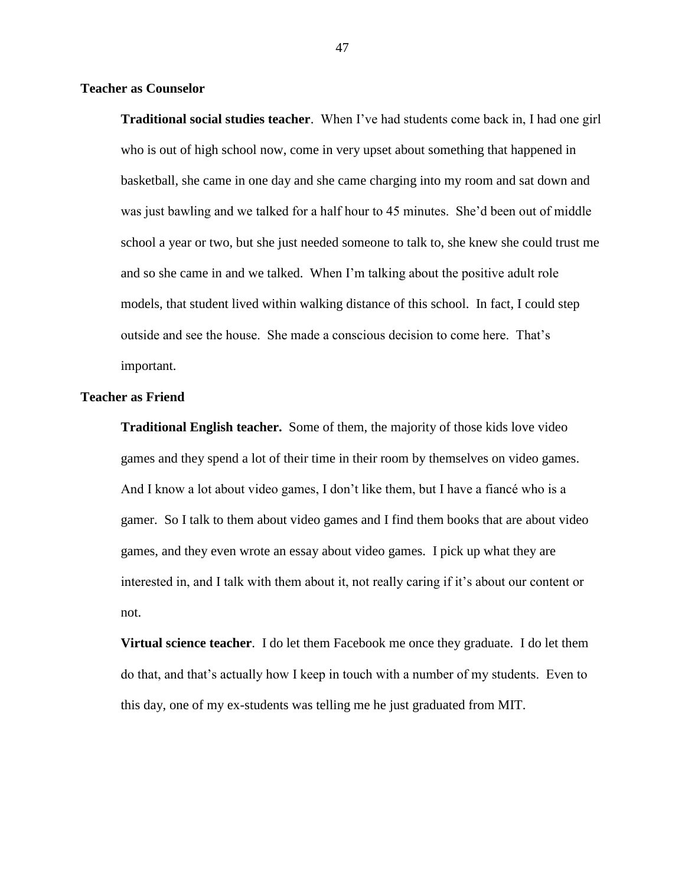# **Teacher as Counselor**

**Traditional social studies teacher**. When I've had students come back in, I had one girl who is out of high school now, come in very upset about something that happened in basketball, she came in one day and she came charging into my room and sat down and was just bawling and we talked for a half hour to 45 minutes. She'd been out of middle school a year or two, but she just needed someone to talk to, she knew she could trust me and so she came in and we talked. When I'm talking about the positive adult role models, that student lived within walking distance of this school. In fact, I could step outside and see the house. She made a conscious decision to come here. That's important.

## **Teacher as Friend**

**Traditional English teacher.** Some of them, the majority of those kids love video games and they spend a lot of their time in their room by themselves on video games. And I know a lot about video games, I don't like them, but I have a fiancé who is a gamer. So I talk to them about video games and I find them books that are about video games, and they even wrote an essay about video games. I pick up what they are interested in, and I talk with them about it, not really caring if it's about our content or not.

**Virtual science teacher**. I do let them Facebook me once they graduate. I do let them do that, and that's actually how I keep in touch with a number of my students. Even to this day, one of my ex-students was telling me he just graduated from MIT.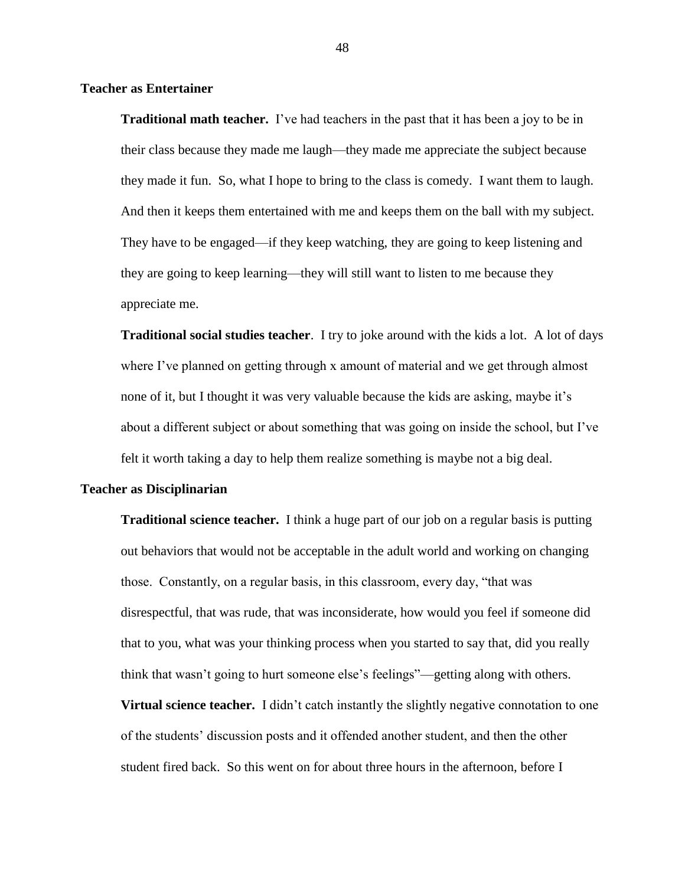**Teacher as Entertainer**

**Traditional math teacher.** I've had teachers in the past that it has been a joy to be in their class because they made me laugh—they made me appreciate the subject because they made it fun. So, what I hope to bring to the class is comedy. I want them to laugh. And then it keeps them entertained with me and keeps them on the ball with my subject. They have to be engaged—if they keep watching, they are going to keep listening and they are going to keep learning—they will still want to listen to me because they appreciate me.

**Traditional social studies teacher**. I try to joke around with the kids a lot. A lot of days where I've planned on getting through x amount of material and we get through almost none of it, but I thought it was very valuable because the kids are asking, maybe it's about a different subject or about something that was going on inside the school, but I've felt it worth taking a day to help them realize something is maybe not a big deal.

## **Teacher as Disciplinarian**

**Traditional science teacher.** I think a huge part of our job on a regular basis is putting out behaviors that would not be acceptable in the adult world and working on changing those. Constantly, on a regular basis, in this classroom, every day, "that was disrespectful, that was rude, that was inconsiderate, how would you feel if someone did that to you, what was your thinking process when you started to say that, did you really think that wasn't going to hurt someone else's feelings"—getting along with others.

**Virtual science teacher.** I didn't catch instantly the slightly negative connotation to one of the students' discussion posts and it offended another student, and then the other student fired back. So this went on for about three hours in the afternoon, before I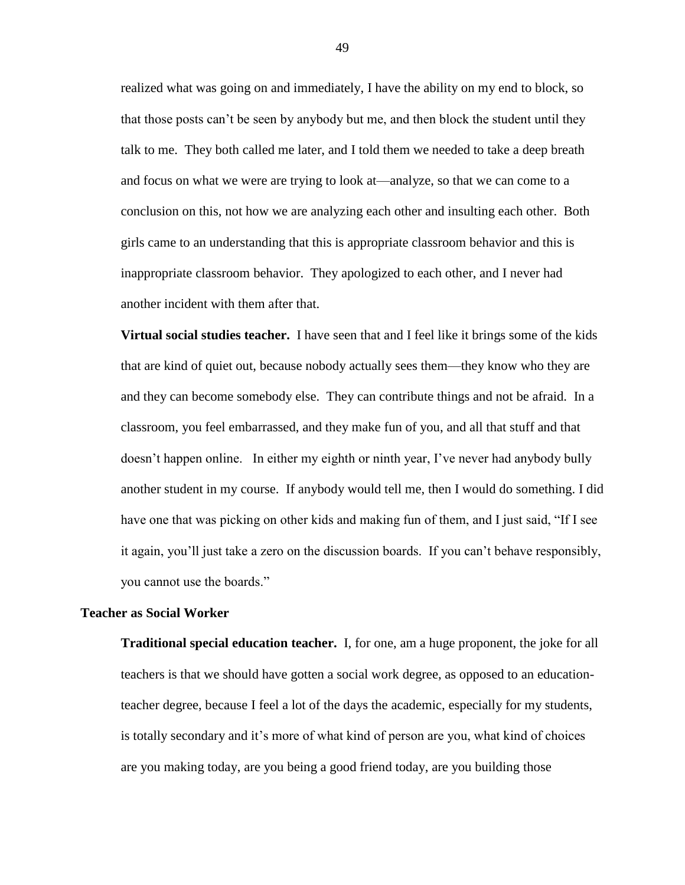realized what was going on and immediately, I have the ability on my end to block, so that those posts can't be seen by anybody but me, and then block the student until they talk to me. They both called me later, and I told them we needed to take a deep breath and focus on what we were are trying to look at—analyze, so that we can come to a conclusion on this, not how we are analyzing each other and insulting each other. Both girls came to an understanding that this is appropriate classroom behavior and this is inappropriate classroom behavior. They apologized to each other, and I never had another incident with them after that.

**Virtual social studies teacher.** I have seen that and I feel like it brings some of the kids that are kind of quiet out, because nobody actually sees them—they know who they are and they can become somebody else. They can contribute things and not be afraid. In a classroom, you feel embarrassed, and they make fun of you, and all that stuff and that doesn't happen online. In either my eighth or ninth year, I've never had anybody bully another student in my course. If anybody would tell me, then I would do something. I did have one that was picking on other kids and making fun of them, and I just said, "If I see it again, you'll just take a zero on the discussion boards. If you can't behave responsibly, you cannot use the boards."

## **Teacher as Social Worker**

**Traditional special education teacher.** I, for one, am a huge proponent, the joke for all teachers is that we should have gotten a social work degree, as opposed to an educationteacher degree, because I feel a lot of the days the academic, especially for my students, is totally secondary and it's more of what kind of person are you, what kind of choices are you making today, are you being a good friend today, are you building those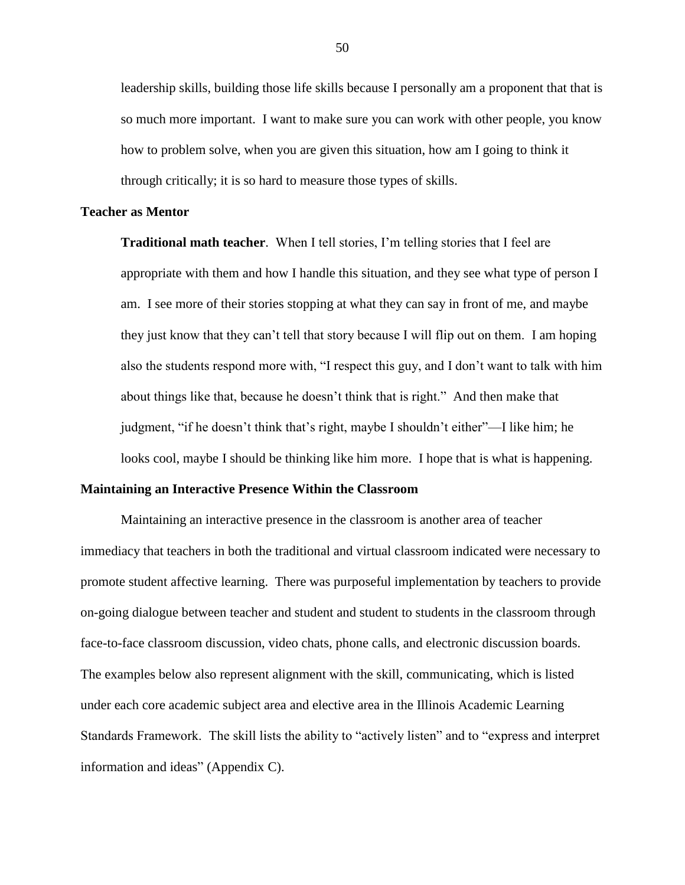leadership skills, building those life skills because I personally am a proponent that that is so much more important. I want to make sure you can work with other people, you know how to problem solve, when you are given this situation, how am I going to think it through critically; it is so hard to measure those types of skills.

## **Teacher as Mentor**

**Traditional math teacher**. When I tell stories, I'm telling stories that I feel are appropriate with them and how I handle this situation, and they see what type of person I am. I see more of their stories stopping at what they can say in front of me, and maybe they just know that they can't tell that story because I will flip out on them. I am hoping also the students respond more with, "I respect this guy, and I don't want to talk with him about things like that, because he doesn't think that is right." And then make that judgment, "if he doesn't think that's right, maybe I shouldn't either"—I like him; he looks cool, maybe I should be thinking like him more. I hope that is what is happening.

# **Maintaining an Interactive Presence Within the Classroom**

Maintaining an interactive presence in the classroom is another area of teacher immediacy that teachers in both the traditional and virtual classroom indicated were necessary to promote student affective learning. There was purposeful implementation by teachers to provide on-going dialogue between teacher and student and student to students in the classroom through face-to-face classroom discussion, video chats, phone calls, and electronic discussion boards. The examples below also represent alignment with the skill, communicating, which is listed under each core academic subject area and elective area in the Illinois Academic Learning Standards Framework. The skill lists the ability to "actively listen" and to "express and interpret information and ideas" (Appendix C).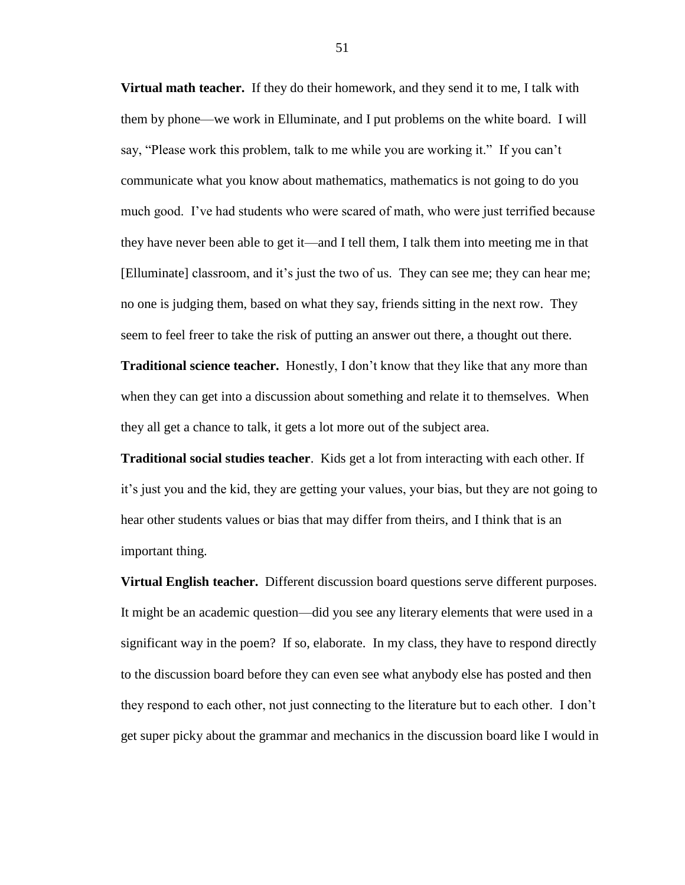**Virtual math teacher.** If they do their homework, and they send it to me, I talk with them by phone—we work in Elluminate, and I put problems on the white board. I will say, "Please work this problem, talk to me while you are working it." If you can't communicate what you know about mathematics, mathematics is not going to do you much good. I've had students who were scared of math, who were just terrified because they have never been able to get it—and I tell them, I talk them into meeting me in that [Elluminate] classroom, and it's just the two of us. They can see me; they can hear me; no one is judging them, based on what they say, friends sitting in the next row. They seem to feel freer to take the risk of putting an answer out there, a thought out there.

**Traditional science teacher.** Honestly, I don't know that they like that any more than when they can get into a discussion about something and relate it to themselves. When they all get a chance to talk, it gets a lot more out of the subject area.

**Traditional social studies teacher**. Kids get a lot from interacting with each other. If it's just you and the kid, they are getting your values, your bias, but they are not going to hear other students values or bias that may differ from theirs, and I think that is an important thing.

**Virtual English teacher.** Different discussion board questions serve different purposes. It might be an academic question—did you see any literary elements that were used in a significant way in the poem? If so, elaborate. In my class, they have to respond directly to the discussion board before they can even see what anybody else has posted and then they respond to each other, not just connecting to the literature but to each other. I don't get super picky about the grammar and mechanics in the discussion board like I would in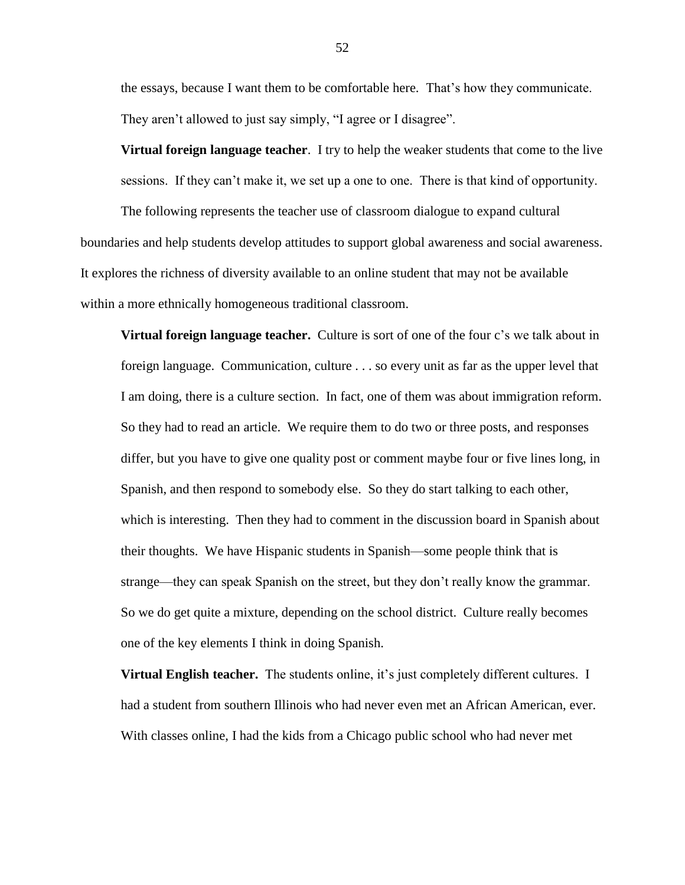the essays, because I want them to be comfortable here. That's how they communicate. They aren't allowed to just say simply, "I agree or I disagree".

**Virtual foreign language teacher**. I try to help the weaker students that come to the live sessions. If they can't make it, we set up a one to one. There is that kind of opportunity.

The following represents the teacher use of classroom dialogue to expand cultural boundaries and help students develop attitudes to support global awareness and social awareness. It explores the richness of diversity available to an online student that may not be available within a more ethnically homogeneous traditional classroom.

**Virtual foreign language teacher.** Culture is sort of one of the four c's we talk about in foreign language. Communication, culture . . . so every unit as far as the upper level that I am doing, there is a culture section. In fact, one of them was about immigration reform. So they had to read an article. We require them to do two or three posts, and responses differ, but you have to give one quality post or comment maybe four or five lines long, in Spanish, and then respond to somebody else. So they do start talking to each other, which is interesting. Then they had to comment in the discussion board in Spanish about their thoughts. We have Hispanic students in Spanish—some people think that is strange—they can speak Spanish on the street, but they don't really know the grammar. So we do get quite a mixture, depending on the school district. Culture really becomes one of the key elements I think in doing Spanish.

**Virtual English teacher.** The students online, it's just completely different cultures. I had a student from southern Illinois who had never even met an African American, ever. With classes online, I had the kids from a Chicago public school who had never met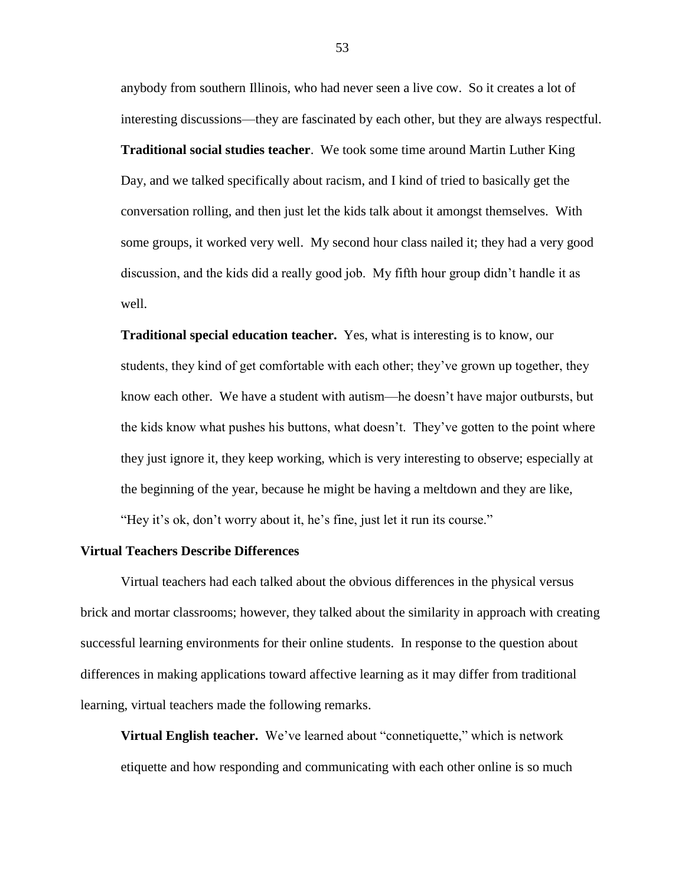anybody from southern Illinois, who had never seen a live cow. So it creates a lot of interesting discussions—they are fascinated by each other, but they are always respectful. **Traditional social studies teacher**. We took some time around Martin Luther King Day, and we talked specifically about racism, and I kind of tried to basically get the conversation rolling, and then just let the kids talk about it amongst themselves. With some groups, it worked very well. My second hour class nailed it; they had a very good discussion, and the kids did a really good job. My fifth hour group didn't handle it as well.

**Traditional special education teacher.** Yes, what is interesting is to know, our students, they kind of get comfortable with each other; they've grown up together, they know each other. We have a student with autism—he doesn't have major outbursts, but the kids know what pushes his buttons, what doesn't. They've gotten to the point where they just ignore it, they keep working, which is very interesting to observe; especially at the beginning of the year, because he might be having a meltdown and they are like, "Hey it's ok, don't worry about it, he's fine, just let it run its course."

### **Virtual Teachers Describe Differences**

Virtual teachers had each talked about the obvious differences in the physical versus brick and mortar classrooms; however, they talked about the similarity in approach with creating successful learning environments for their online students. In response to the question about differences in making applications toward affective learning as it may differ from traditional learning, virtual teachers made the following remarks.

**Virtual English teacher.** We've learned about "connetiquette," which is network etiquette and how responding and communicating with each other online is so much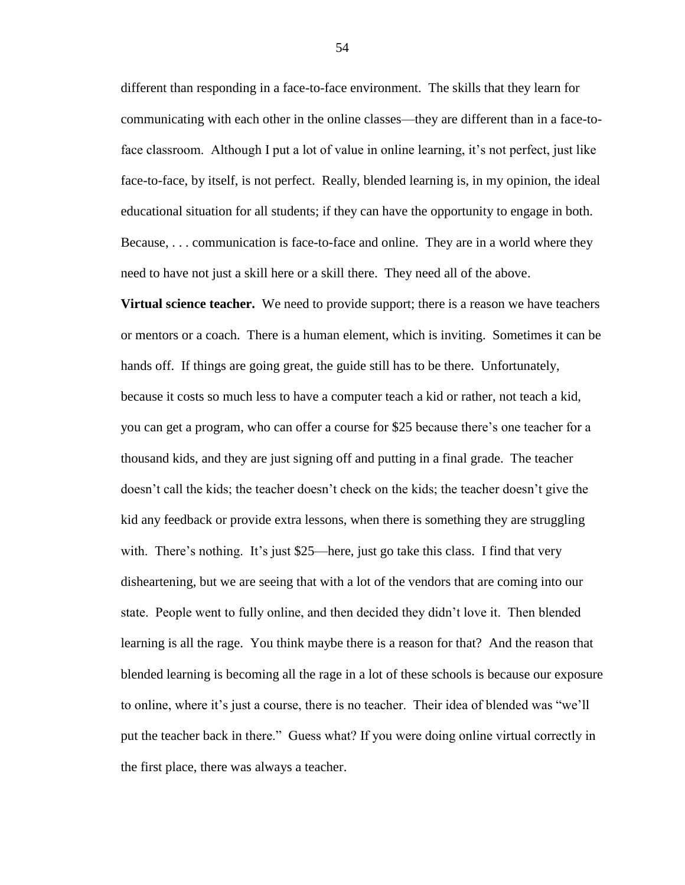different than responding in a face-to-face environment. The skills that they learn for communicating with each other in the online classes—they are different than in a face-toface classroom. Although I put a lot of value in online learning, it's not perfect, just like face-to-face, by itself, is not perfect. Really, blended learning is, in my opinion, the ideal educational situation for all students; if they can have the opportunity to engage in both. Because, . . . communication is face-to-face and online. They are in a world where they need to have not just a skill here or a skill there. They need all of the above.

**Virtual science teacher.** We need to provide support; there is a reason we have teachers or mentors or a coach. There is a human element, which is inviting. Sometimes it can be hands off. If things are going great, the guide still has to be there. Unfortunately, because it costs so much less to have a computer teach a kid or rather, not teach a kid, you can get a program, who can offer a course for \$25 because there's one teacher for a thousand kids, and they are just signing off and putting in a final grade. The teacher doesn't call the kids; the teacher doesn't check on the kids; the teacher doesn't give the kid any feedback or provide extra lessons, when there is something they are struggling with. There's nothing. It's just \$25—here, just go take this class. I find that very disheartening, but we are seeing that with a lot of the vendors that are coming into our state. People went to fully online, and then decided they didn't love it. Then blended learning is all the rage. You think maybe there is a reason for that? And the reason that blended learning is becoming all the rage in a lot of these schools is because our exposure to online, where it's just a course, there is no teacher. Their idea of blended was "we'll put the teacher back in there." Guess what? If you were doing online virtual correctly in the first place, there was always a teacher.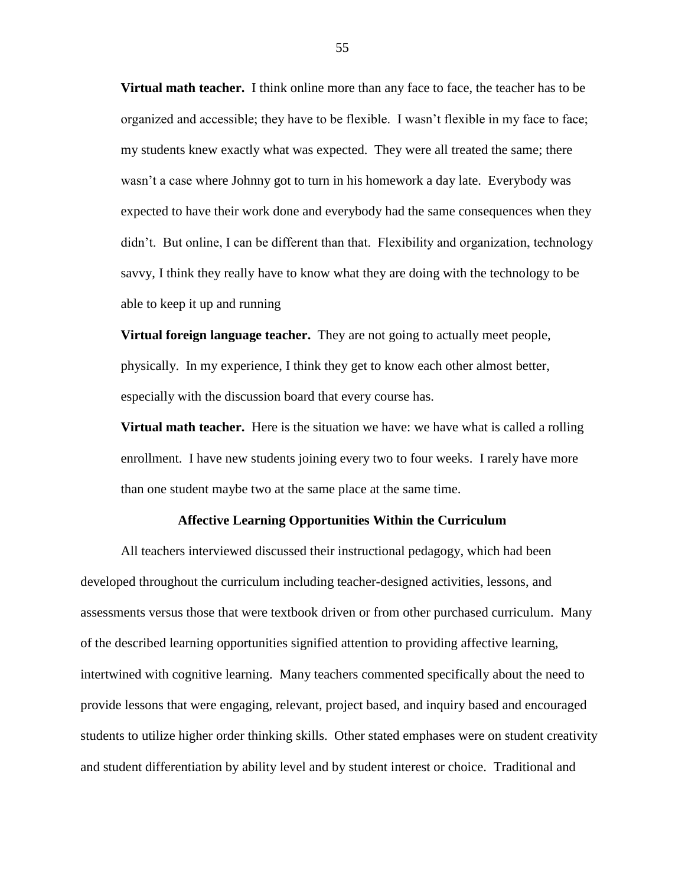**Virtual math teacher.** I think online more than any face to face, the teacher has to be organized and accessible; they have to be flexible. I wasn't flexible in my face to face; my students knew exactly what was expected. They were all treated the same; there wasn't a case where Johnny got to turn in his homework a day late. Everybody was expected to have their work done and everybody had the same consequences when they didn't. But online, I can be different than that. Flexibility and organization, technology savvy, I think they really have to know what they are doing with the technology to be able to keep it up and running

**Virtual foreign language teacher.** They are not going to actually meet people, physically. In my experience, I think they get to know each other almost better, especially with the discussion board that every course has.

**Virtual math teacher.** Here is the situation we have: we have what is called a rolling enrollment. I have new students joining every two to four weeks. I rarely have more than one student maybe two at the same place at the same time.

#### **Affective Learning Opportunities Within the Curriculum**

All teachers interviewed discussed their instructional pedagogy, which had been developed throughout the curriculum including teacher-designed activities, lessons, and assessments versus those that were textbook driven or from other purchased curriculum. Many of the described learning opportunities signified attention to providing affective learning, intertwined with cognitive learning. Many teachers commented specifically about the need to provide lessons that were engaging, relevant, project based, and inquiry based and encouraged students to utilize higher order thinking skills. Other stated emphases were on student creativity and student differentiation by ability level and by student interest or choice. Traditional and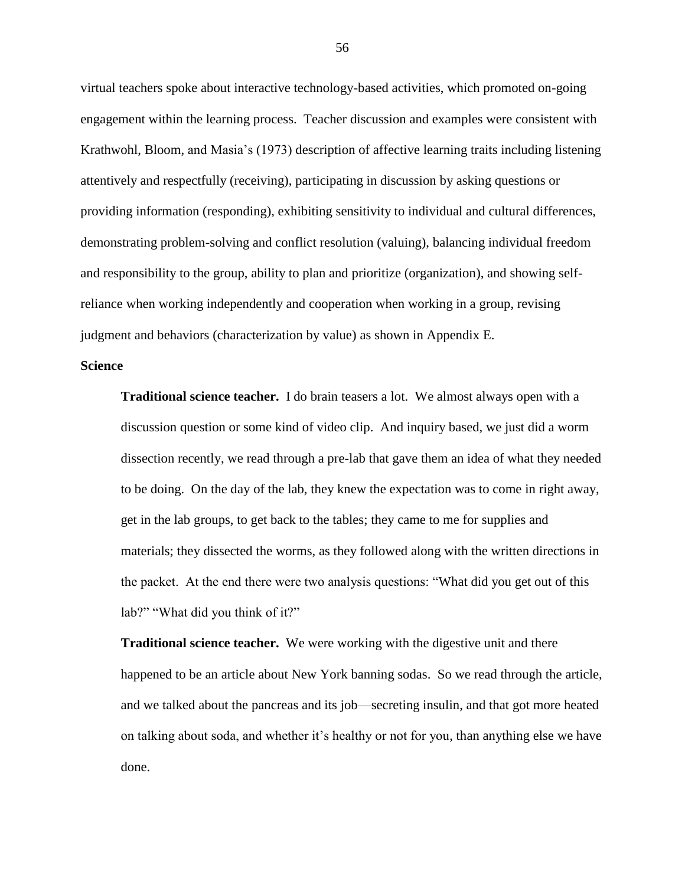virtual teachers spoke about interactive technology-based activities, which promoted on-going engagement within the learning process. Teacher discussion and examples were consistent with Krathwohl, Bloom, and Masia's (1973) description of affective learning traits including listening attentively and respectfully (receiving), participating in discussion by asking questions or providing information (responding), exhibiting sensitivity to individual and cultural differences, demonstrating problem-solving and conflict resolution (valuing), balancing individual freedom and responsibility to the group, ability to plan and prioritize (organization), and showing selfreliance when working independently and cooperation when working in a group, revising judgment and behaviors (characterization by value) as shown in Appendix E.

# **Science**

**Traditional science teacher.** I do brain teasers a lot. We almost always open with a discussion question or some kind of video clip. And inquiry based, we just did a worm dissection recently, we read through a pre-lab that gave them an idea of what they needed to be doing. On the day of the lab, they knew the expectation was to come in right away, get in the lab groups, to get back to the tables; they came to me for supplies and materials; they dissected the worms, as they followed along with the written directions in the packet. At the end there were two analysis questions: "What did you get out of this lab?" "What did you think of it?"

**Traditional science teacher.** We were working with the digestive unit and there happened to be an article about New York banning sodas. So we read through the article, and we talked about the pancreas and its job—secreting insulin, and that got more heated on talking about soda, and whether it's healthy or not for you, than anything else we have done.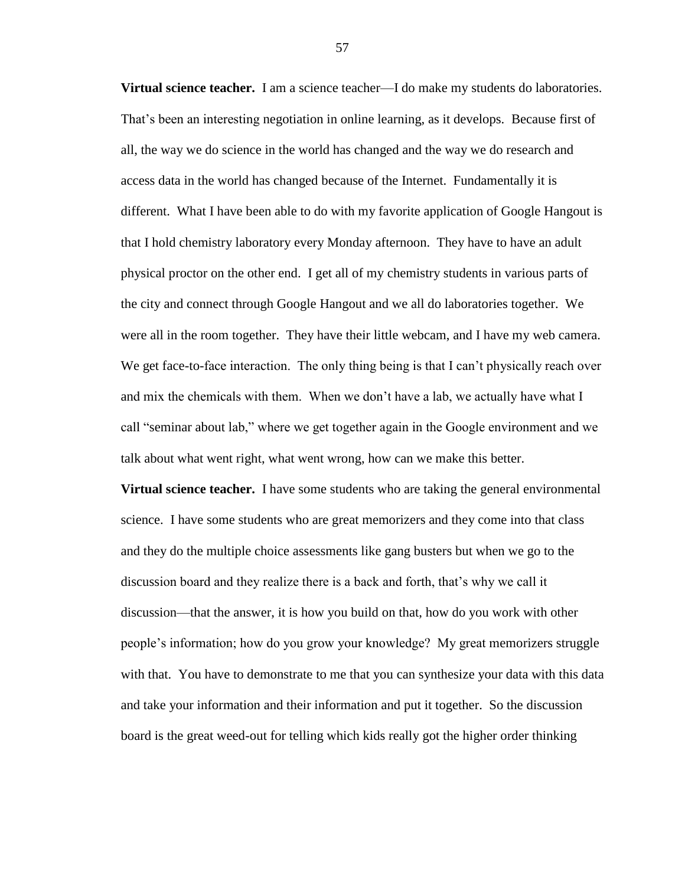**Virtual science teacher.** I am a science teacher—I do make my students do laboratories. That's been an interesting negotiation in online learning, as it develops. Because first of all, the way we do science in the world has changed and the way we do research and access data in the world has changed because of the Internet. Fundamentally it is different. What I have been able to do with my favorite application of Google Hangout is that I hold chemistry laboratory every Monday afternoon. They have to have an adult physical proctor on the other end. I get all of my chemistry students in various parts of the city and connect through Google Hangout and we all do laboratories together. We were all in the room together. They have their little webcam, and I have my web camera. We get face-to-face interaction. The only thing being is that I can't physically reach over and mix the chemicals with them. When we don't have a lab, we actually have what I call "seminar about lab," where we get together again in the Google environment and we talk about what went right, what went wrong, how can we make this better.

**Virtual science teacher.** I have some students who are taking the general environmental science. I have some students who are great memorizers and they come into that class and they do the multiple choice assessments like gang busters but when we go to the discussion board and they realize there is a back and forth, that's why we call it discussion—that the answer, it is how you build on that, how do you work with other people's information; how do you grow your knowledge? My great memorizers struggle with that. You have to demonstrate to me that you can synthesize your data with this data and take your information and their information and put it together. So the discussion board is the great weed-out for telling which kids really got the higher order thinking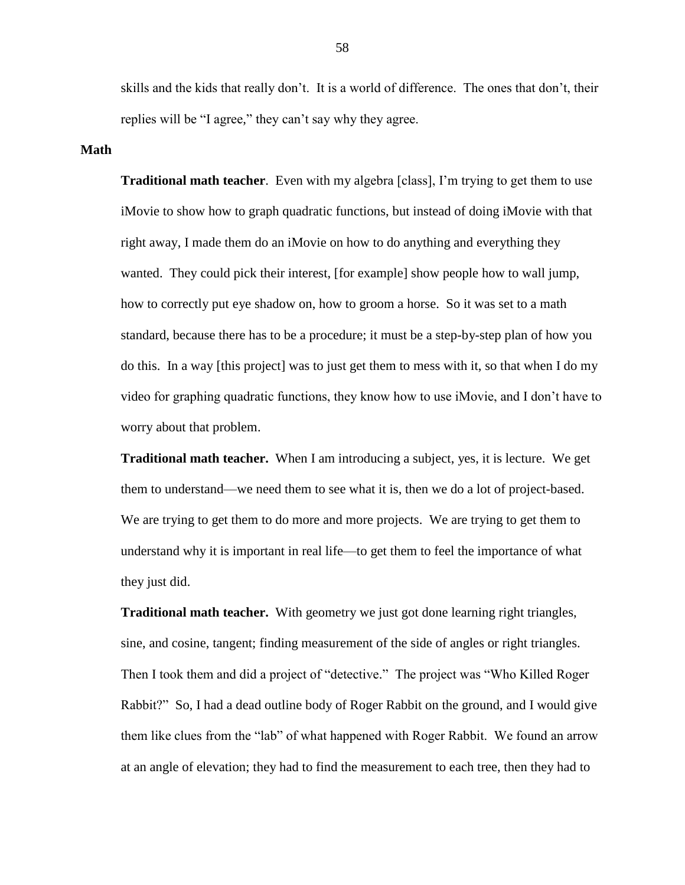skills and the kids that really don't. It is a world of difference. The ones that don't, their replies will be "I agree," they can't say why they agree.

# **Math**

**Traditional math teacher**. Even with my algebra [class], I'm trying to get them to use iMovie to show how to graph quadratic functions, but instead of doing iMovie with that right away, I made them do an iMovie on how to do anything and everything they wanted. They could pick their interest, [for example] show people how to wall jump, how to correctly put eye shadow on, how to groom a horse. So it was set to a math standard, because there has to be a procedure; it must be a step-by-step plan of how you do this. In a way [this project] was to just get them to mess with it, so that when I do my video for graphing quadratic functions, they know how to use iMovie, and I don't have to worry about that problem.

**Traditional math teacher.** When I am introducing a subject, yes, it is lecture. We get them to understand—we need them to see what it is, then we do a lot of project-based. We are trying to get them to do more and more projects. We are trying to get them to understand why it is important in real life—to get them to feel the importance of what they just did.

**Traditional math teacher.** With geometry we just got done learning right triangles, sine, and cosine, tangent; finding measurement of the side of angles or right triangles. Then I took them and did a project of "detective." The project was "Who Killed Roger Rabbit?" So, I had a dead outline body of Roger Rabbit on the ground, and I would give them like clues from the "lab" of what happened with Roger Rabbit. We found an arrow at an angle of elevation; they had to find the measurement to each tree, then they had to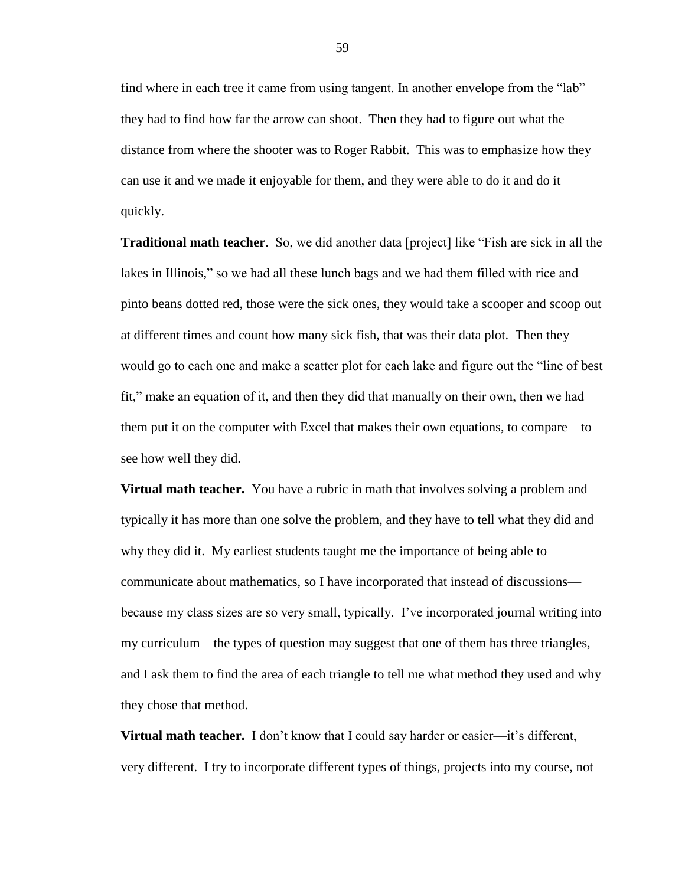find where in each tree it came from using tangent. In another envelope from the "lab" they had to find how far the arrow can shoot. Then they had to figure out what the distance from where the shooter was to Roger Rabbit. This was to emphasize how they can use it and we made it enjoyable for them, and they were able to do it and do it quickly.

**Traditional math teacher**. So, we did another data [project] like "Fish are sick in all the lakes in Illinois," so we had all these lunch bags and we had them filled with rice and pinto beans dotted red, those were the sick ones, they would take a scooper and scoop out at different times and count how many sick fish, that was their data plot. Then they would go to each one and make a scatter plot for each lake and figure out the "line of best fit," make an equation of it, and then they did that manually on their own, then we had them put it on the computer with Excel that makes their own equations, to compare—to see how well they did.

**Virtual math teacher.** You have a rubric in math that involves solving a problem and typically it has more than one solve the problem, and they have to tell what they did and why they did it. My earliest students taught me the importance of being able to communicate about mathematics, so I have incorporated that instead of discussions because my class sizes are so very small, typically. I've incorporated journal writing into my curriculum—the types of question may suggest that one of them has three triangles, and I ask them to find the area of each triangle to tell me what method they used and why they chose that method.

**Virtual math teacher.** I don't know that I could say harder or easier—it's different, very different. I try to incorporate different types of things, projects into my course, not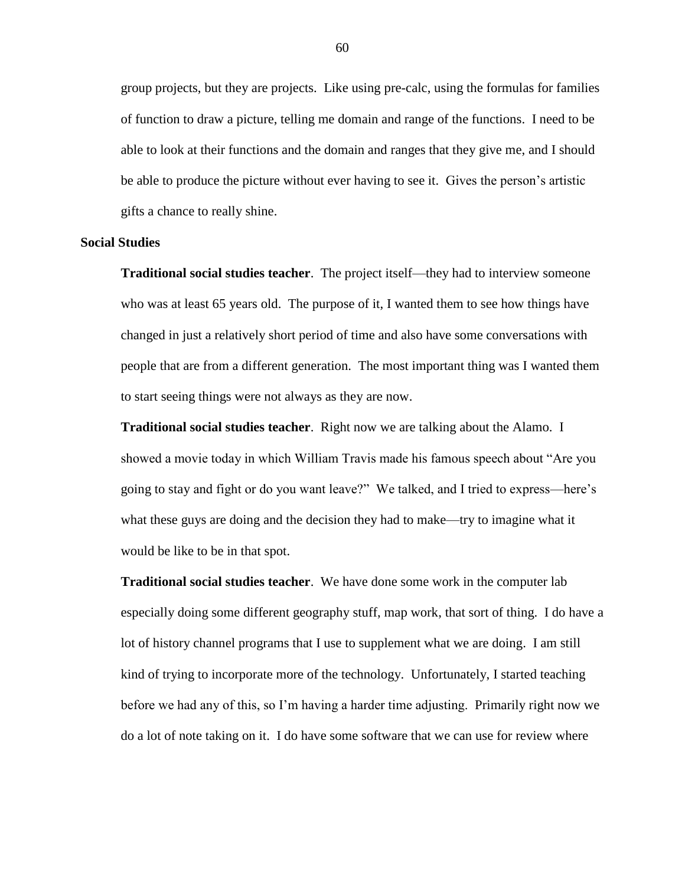group projects, but they are projects. Like using pre-calc, using the formulas for families of function to draw a picture, telling me domain and range of the functions. I need to be able to look at their functions and the domain and ranges that they give me, and I should be able to produce the picture without ever having to see it. Gives the person's artistic gifts a chance to really shine.

#### **Social Studies**

**Traditional social studies teacher**. The project itself—they had to interview someone who was at least 65 years old. The purpose of it, I wanted them to see how things have changed in just a relatively short period of time and also have some conversations with people that are from a different generation. The most important thing was I wanted them to start seeing things were not always as they are now.

**Traditional social studies teacher**. Right now we are talking about the Alamo. I showed a movie today in which William Travis made his famous speech about "Are you going to stay and fight or do you want leave?" We talked, and I tried to express—here's what these guys are doing and the decision they had to make—try to imagine what it would be like to be in that spot.

**Traditional social studies teacher**. We have done some work in the computer lab especially doing some different geography stuff, map work, that sort of thing. I do have a lot of history channel programs that I use to supplement what we are doing. I am still kind of trying to incorporate more of the technology. Unfortunately, I started teaching before we had any of this, so I'm having a harder time adjusting. Primarily right now we do a lot of note taking on it. I do have some software that we can use for review where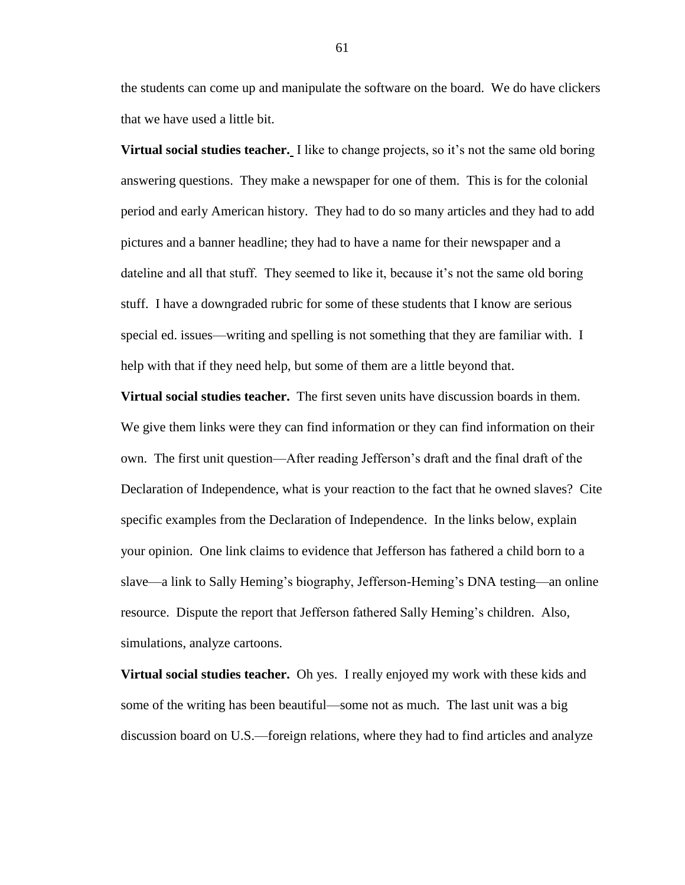the students can come up and manipulate the software on the board. We do have clickers that we have used a little bit.

**Virtual social studies teacher.** I like to change projects, so it's not the same old boring answering questions. They make a newspaper for one of them. This is for the colonial period and early American history. They had to do so many articles and they had to add pictures and a banner headline; they had to have a name for their newspaper and a dateline and all that stuff. They seemed to like it, because it's not the same old boring stuff. I have a downgraded rubric for some of these students that I know are serious special ed. issues—writing and spelling is not something that they are familiar with. I help with that if they need help, but some of them are a little beyond that.

**Virtual social studies teacher.** The first seven units have discussion boards in them. We give them links were they can find information or they can find information on their own. The first unit question—After reading Jefferson's draft and the final draft of the Declaration of Independence, what is your reaction to the fact that he owned slaves? Cite specific examples from the Declaration of Independence. In the links below, explain your opinion. One link claims to evidence that Jefferson has fathered a child born to a slave—a link to Sally Heming's biography, Jefferson-Heming's DNA testing—an online resource. Dispute the report that Jefferson fathered Sally Heming's children. Also, simulations, analyze cartoons.

**Virtual social studies teacher.** Oh yes. I really enjoyed my work with these kids and some of the writing has been beautiful—some not as much. The last unit was a big discussion board on U.S.—foreign relations, where they had to find articles and analyze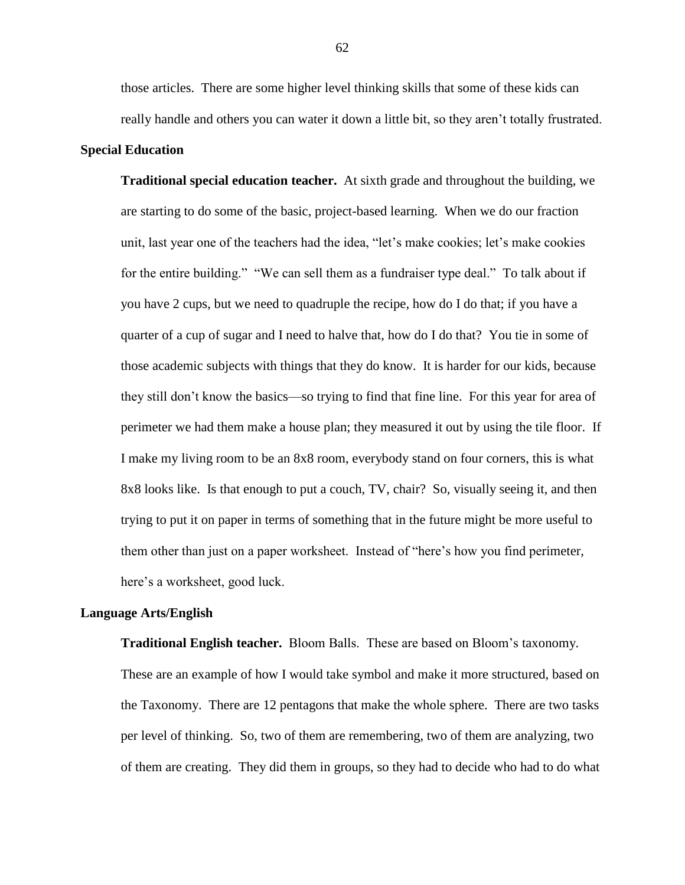those articles. There are some higher level thinking skills that some of these kids can really handle and others you can water it down a little bit, so they aren't totally frustrated.

### **Special Education**

**Traditional special education teacher.** At sixth grade and throughout the building, we are starting to do some of the basic, project-based learning. When we do our fraction unit, last year one of the teachers had the idea, "let's make cookies; let's make cookies for the entire building." "We can sell them as a fundraiser type deal." To talk about if you have 2 cups, but we need to quadruple the recipe, how do I do that; if you have a quarter of a cup of sugar and I need to halve that, how do I do that? You tie in some of those academic subjects with things that they do know. It is harder for our kids, because they still don't know the basics—so trying to find that fine line. For this year for area of perimeter we had them make a house plan; they measured it out by using the tile floor. If I make my living room to be an 8x8 room, everybody stand on four corners, this is what 8x8 looks like. Is that enough to put a couch, TV, chair? So, visually seeing it, and then trying to put it on paper in terms of something that in the future might be more useful to them other than just on a paper worksheet. Instead of "here's how you find perimeter, here's a worksheet, good luck.

#### **Language Arts/English**

**Traditional English teacher.** Bloom Balls. These are based on Bloom's taxonomy. These are an example of how I would take symbol and make it more structured, based on the Taxonomy. There are 12 pentagons that make the whole sphere. There are two tasks per level of thinking. So, two of them are remembering, two of them are analyzing, two of them are creating. They did them in groups, so they had to decide who had to do what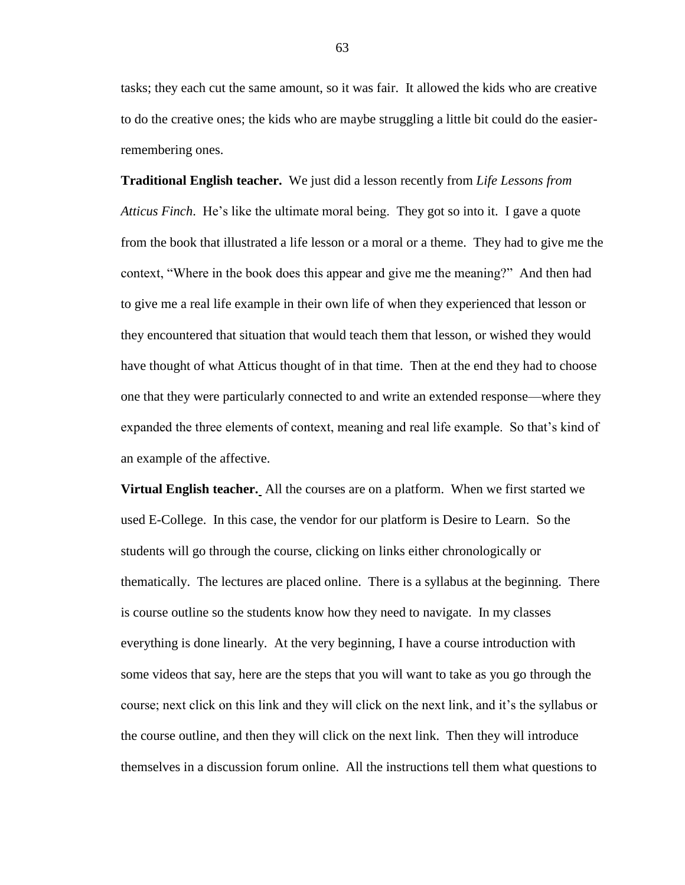tasks; they each cut the same amount, so it was fair. It allowed the kids who are creative to do the creative ones; the kids who are maybe struggling a little bit could do the easierremembering ones.

**Traditional English teacher.** We just did a lesson recently from *Life Lessons from Atticus Finch*. He's like the ultimate moral being. They got so into it. I gave a quote from the book that illustrated a life lesson or a moral or a theme. They had to give me the context, "Where in the book does this appear and give me the meaning?" And then had to give me a real life example in their own life of when they experienced that lesson or they encountered that situation that would teach them that lesson, or wished they would have thought of what Atticus thought of in that time. Then at the end they had to choose one that they were particularly connected to and write an extended response—where they expanded the three elements of context, meaning and real life example. So that's kind of an example of the affective.

**Virtual English teacher.** All the courses are on a platform. When we first started we used E-College. In this case, the vendor for our platform is Desire to Learn. So the students will go through the course, clicking on links either chronologically or thematically. The lectures are placed online. There is a syllabus at the beginning. There is course outline so the students know how they need to navigate. In my classes everything is done linearly. At the very beginning, I have a course introduction with some videos that say, here are the steps that you will want to take as you go through the course; next click on this link and they will click on the next link, and it's the syllabus or the course outline, and then they will click on the next link. Then they will introduce themselves in a discussion forum online. All the instructions tell them what questions to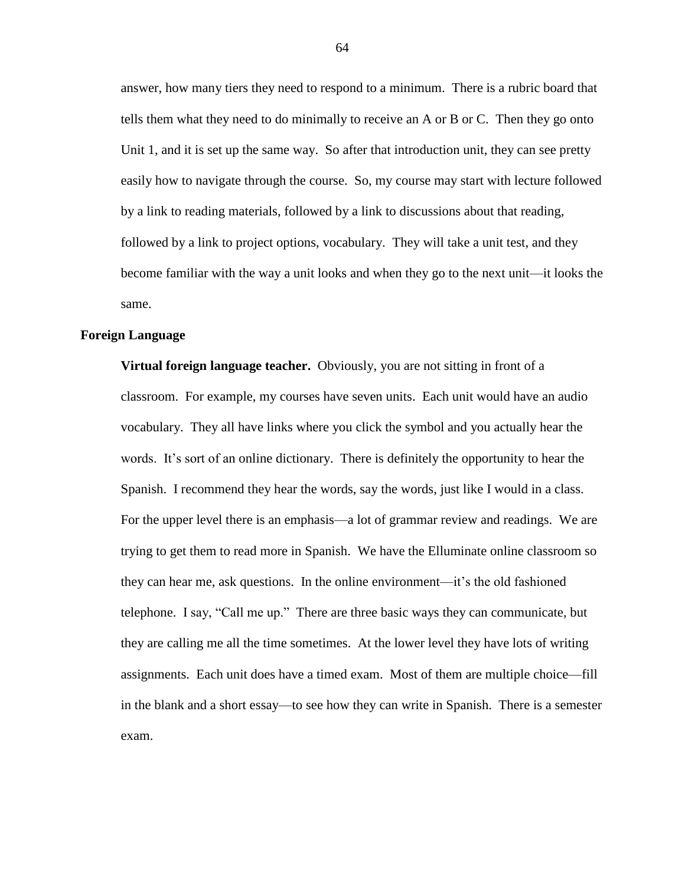answer, how many tiers they need to respond to a minimum. There is a rubric board that tells them what they need to do minimally to receive an A or B or C. Then they go onto Unit 1, and it is set up the same way. So after that introduction unit, they can see pretty easily how to navigate through the course. So, my course may start with lecture followed by a link to reading materials, followed by a link to discussions about that reading, followed by a link to project options, vocabulary. They will take a unit test, and they become familiar with the way a unit looks and when they go to the next unit—it looks the same.

# **Foreign Language**

**Virtual foreign language teacher.** Obviously, you are not sitting in front of a classroom. For example, my courses have seven units. Each unit would have an audio vocabulary. They all have links where you click the symbol and you actually hear the words. It's sort of an online dictionary. There is definitely the opportunity to hear the Spanish. I recommend they hear the words, say the words, just like I would in a class. For the upper level there is an emphasis—a lot of grammar review and readings. We are trying to get them to read more in Spanish. We have the Elluminate online classroom so they can hear me, ask questions. In the online environment—it's the old fashioned telephone. I say, "Call me up." There are three basic ways they can communicate, but they are calling me all the time sometimes. At the lower level they have lots of writing assignments. Each unit does have a timed exam. Most of them are multiple choice—fill in the blank and a short essay—to see how they can write in Spanish. There is a semester exam.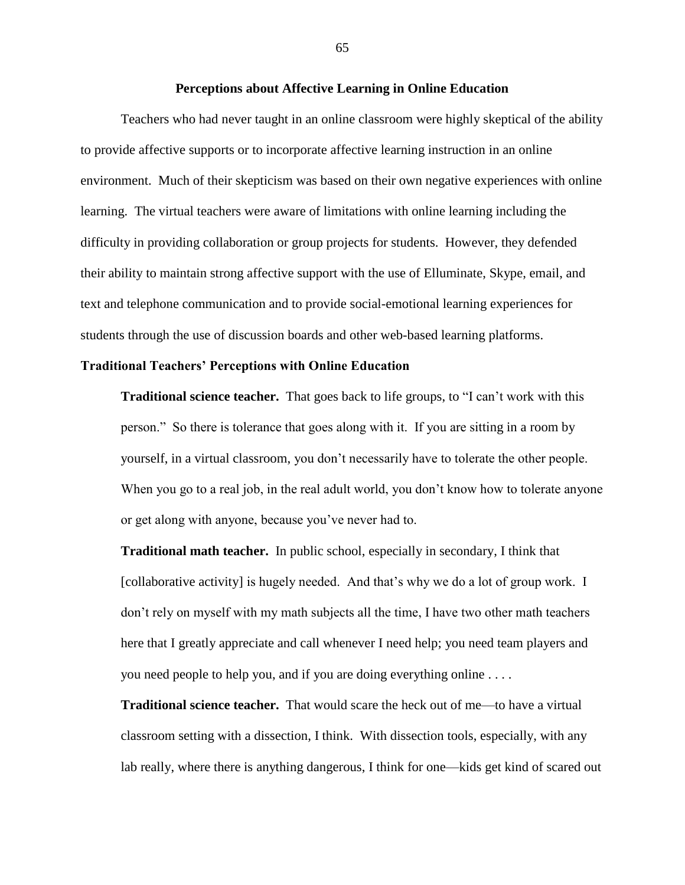# **Perceptions about Affective Learning in Online Education**

Teachers who had never taught in an online classroom were highly skeptical of the ability to provide affective supports or to incorporate affective learning instruction in an online environment. Much of their skepticism was based on their own negative experiences with online learning. The virtual teachers were aware of limitations with online learning including the difficulty in providing collaboration or group projects for students. However, they defended their ability to maintain strong affective support with the use of Elluminate, Skype, email, and text and telephone communication and to provide social-emotional learning experiences for students through the use of discussion boards and other web-based learning platforms.

# **Traditional Teachers' Perceptions with Online Education**

**Traditional science teacher.** That goes back to life groups, to "I can't work with this person." So there is tolerance that goes along with it. If you are sitting in a room by yourself, in a virtual classroom, you don't necessarily have to tolerate the other people. When you go to a real job, in the real adult world, you don't know how to tolerate anyone or get along with anyone, because you've never had to.

**Traditional math teacher.** In public school, especially in secondary, I think that [collaborative activity] is hugely needed. And that's why we do a lot of group work. I don't rely on myself with my math subjects all the time, I have two other math teachers here that I greatly appreciate and call whenever I need help; you need team players and you need people to help you, and if you are doing everything online . . . .

**Traditional science teacher.** That would scare the heck out of me—to have a virtual classroom setting with a dissection, I think. With dissection tools, especially, with any lab really, where there is anything dangerous, I think for one—kids get kind of scared out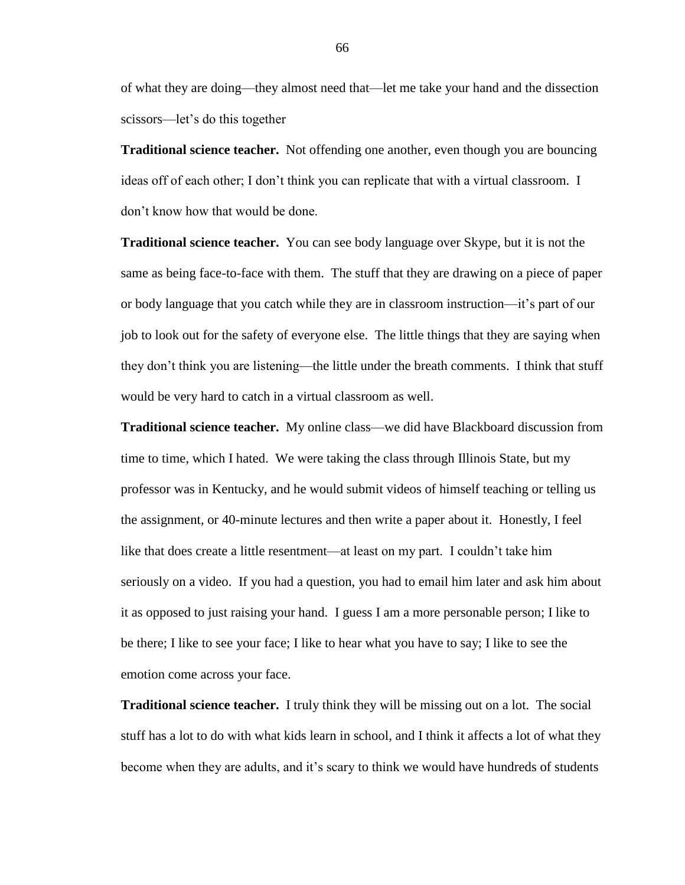of what they are doing—they almost need that—let me take your hand and the dissection scissors—let's do this together

**Traditional science teacher.** Not offending one another, even though you are bouncing ideas off of each other; I don't think you can replicate that with a virtual classroom. I don't know how that would be done.

**Traditional science teacher.** You can see body language over Skype, but it is not the same as being face-to-face with them. The stuff that they are drawing on a piece of paper or body language that you catch while they are in classroom instruction—it's part of our job to look out for the safety of everyone else. The little things that they are saying when they don't think you are listening—the little under the breath comments. I think that stuff would be very hard to catch in a virtual classroom as well.

**Traditional science teacher.** My online class—we did have Blackboard discussion from time to time, which I hated. We were taking the class through Illinois State, but my professor was in Kentucky, and he would submit videos of himself teaching or telling us the assignment, or 40-minute lectures and then write a paper about it. Honestly, I feel like that does create a little resentment—at least on my part. I couldn't take him seriously on a video. If you had a question, you had to email him later and ask him about it as opposed to just raising your hand. I guess I am a more personable person; I like to be there; I like to see your face; I like to hear what you have to say; I like to see the emotion come across your face.

**Traditional science teacher.** I truly think they will be missing out on a lot. The social stuff has a lot to do with what kids learn in school, and I think it affects a lot of what they become when they are adults, and it's scary to think we would have hundreds of students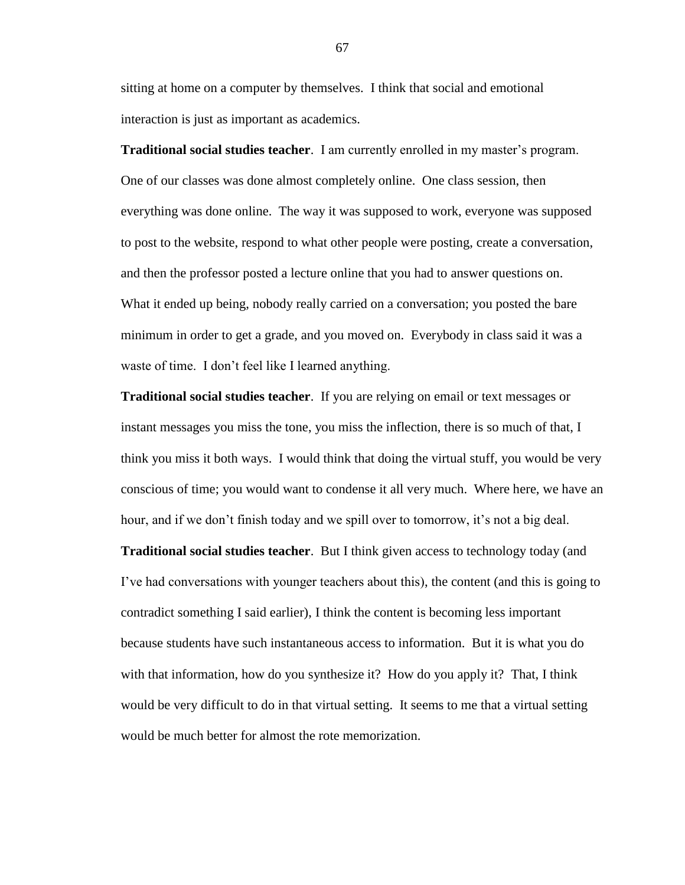sitting at home on a computer by themselves. I think that social and emotional interaction is just as important as academics.

**Traditional social studies teacher**. I am currently enrolled in my master's program. One of our classes was done almost completely online. One class session, then everything was done online. The way it was supposed to work, everyone was supposed to post to the website, respond to what other people were posting, create a conversation, and then the professor posted a lecture online that you had to answer questions on. What it ended up being, nobody really carried on a conversation; you posted the bare minimum in order to get a grade, and you moved on. Everybody in class said it was a waste of time. I don't feel like I learned anything.

**Traditional social studies teacher**. If you are relying on email or text messages or instant messages you miss the tone, you miss the inflection, there is so much of that, I think you miss it both ways. I would think that doing the virtual stuff, you would be very conscious of time; you would want to condense it all very much. Where here, we have an hour, and if we don't finish today and we spill over to tomorrow, it's not a big deal.

**Traditional social studies teacher**. But I think given access to technology today (and I've had conversations with younger teachers about this), the content (and this is going to contradict something I said earlier), I think the content is becoming less important because students have such instantaneous access to information. But it is what you do with that information, how do you synthesize it? How do you apply it? That, I think would be very difficult to do in that virtual setting. It seems to me that a virtual setting would be much better for almost the rote memorization.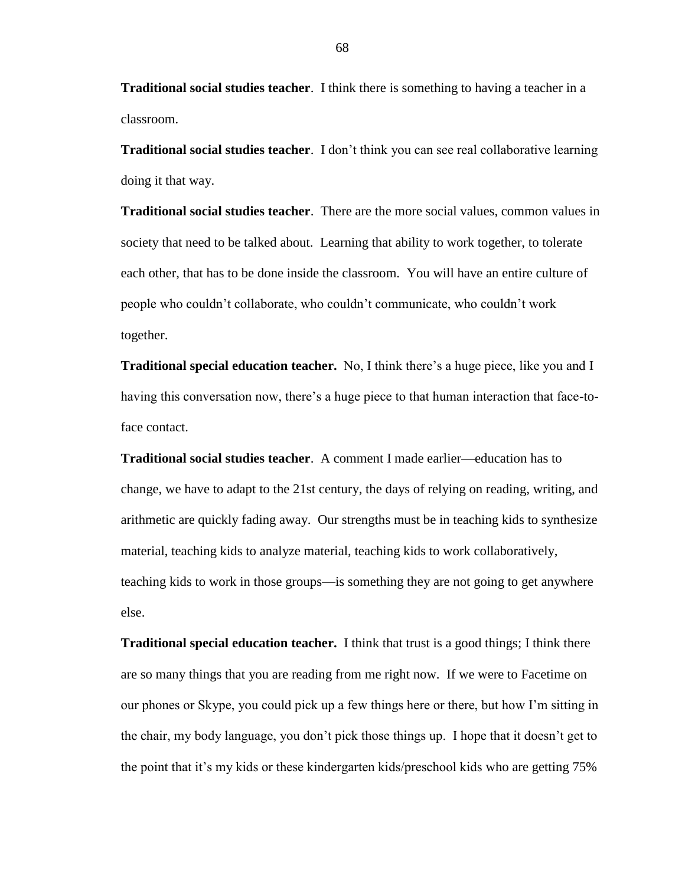**Traditional social studies teacher**. I think there is something to having a teacher in a classroom.

**Traditional social studies teacher**. I don't think you can see real collaborative learning doing it that way.

**Traditional social studies teacher**. There are the more social values, common values in society that need to be talked about. Learning that ability to work together, to tolerate each other, that has to be done inside the classroom. You will have an entire culture of people who couldn't collaborate, who couldn't communicate, who couldn't work together.

**Traditional special education teacher.** No, I think there's a huge piece, like you and I having this conversation now, there's a huge piece to that human interaction that face-toface contact.

**Traditional social studies teacher**. A comment I made earlier—education has to change, we have to adapt to the 21st century, the days of relying on reading, writing, and arithmetic are quickly fading away. Our strengths must be in teaching kids to synthesize material, teaching kids to analyze material, teaching kids to work collaboratively, teaching kids to work in those groups—is something they are not going to get anywhere else.

**Traditional special education teacher.** I think that trust is a good things; I think there are so many things that you are reading from me right now. If we were to Facetime on our phones or Skype, you could pick up a few things here or there, but how I'm sitting in the chair, my body language, you don't pick those things up. I hope that it doesn't get to the point that it's my kids or these kindergarten kids/preschool kids who are getting 75%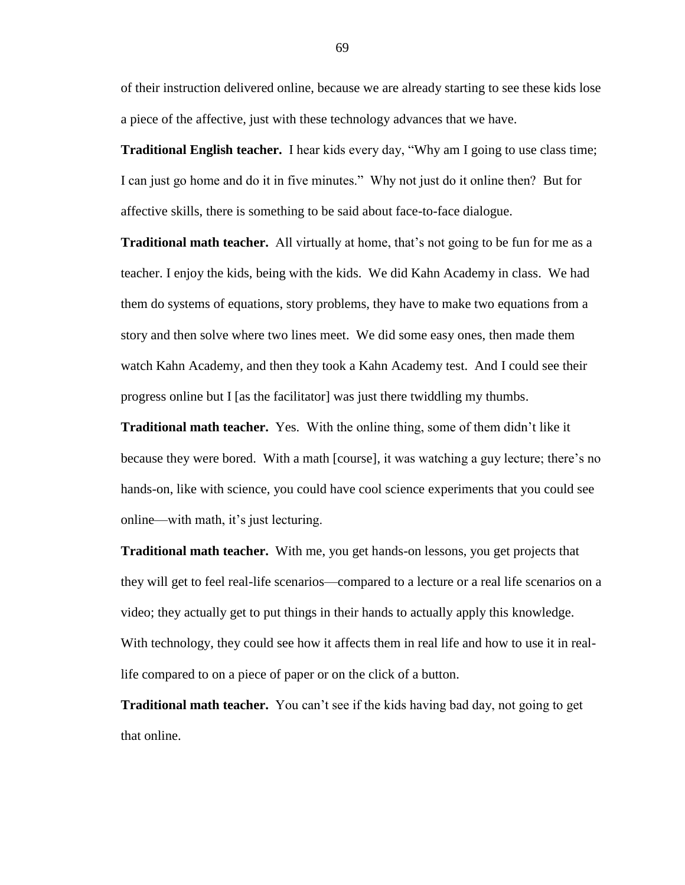of their instruction delivered online, because we are already starting to see these kids lose a piece of the affective, just with these technology advances that we have.

**Traditional English teacher.** I hear kids every day, "Why am I going to use class time; I can just go home and do it in five minutes." Why not just do it online then? But for affective skills, there is something to be said about face-to-face dialogue.

**Traditional math teacher.** All virtually at home, that's not going to be fun for me as a teacher. I enjoy the kids, being with the kids. We did Kahn Academy in class. We had them do systems of equations, story problems, they have to make two equations from a story and then solve where two lines meet. We did some easy ones, then made them watch Kahn Academy, and then they took a Kahn Academy test. And I could see their progress online but I [as the facilitator] was just there twiddling my thumbs.

**Traditional math teacher.** Yes. With the online thing, some of them didn't like it because they were bored. With a math [course], it was watching a guy lecture; there's no hands-on, like with science, you could have cool science experiments that you could see online—with math, it's just lecturing.

**Traditional math teacher.** With me, you get hands-on lessons, you get projects that they will get to feel real-life scenarios—compared to a lecture or a real life scenarios on a video; they actually get to put things in their hands to actually apply this knowledge. With technology, they could see how it affects them in real life and how to use it in reallife compared to on a piece of paper or on the click of a button.

**Traditional math teacher.** You can't see if the kids having bad day, not going to get that online.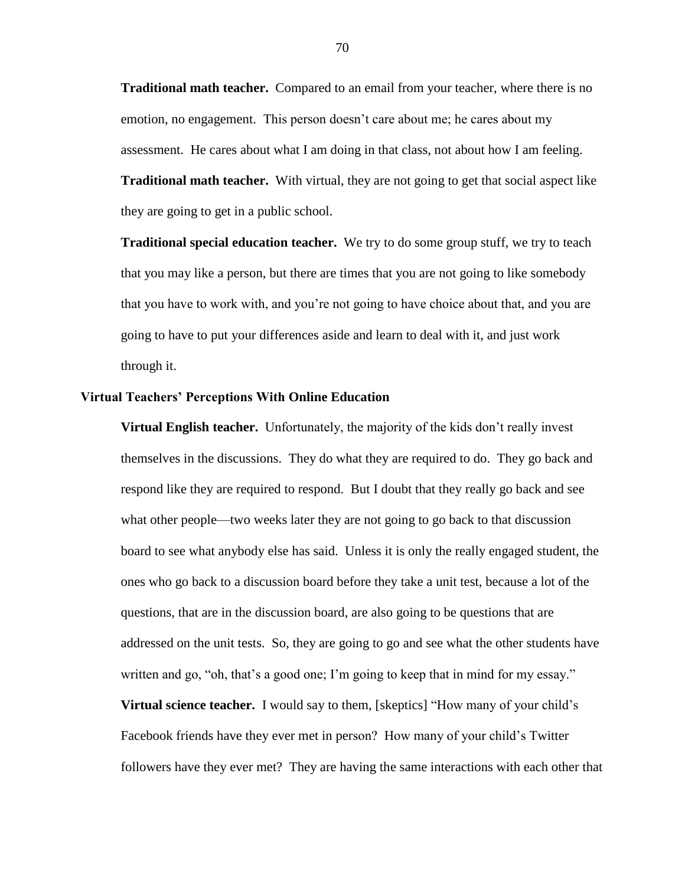**Traditional math teacher.** Compared to an email from your teacher, where there is no emotion, no engagement. This person doesn't care about me; he cares about my assessment. He cares about what I am doing in that class, not about how I am feeling. **Traditional math teacher.** With virtual, they are not going to get that social aspect like they are going to get in a public school.

**Traditional special education teacher.** We try to do some group stuff, we try to teach that you may like a person, but there are times that you are not going to like somebody that you have to work with, and you're not going to have choice about that, and you are going to have to put your differences aside and learn to deal with it, and just work through it.

## **Virtual Teachers' Perceptions With Online Education**

**Virtual English teacher.** Unfortunately, the majority of the kids don't really invest themselves in the discussions. They do what they are required to do. They go back and respond like they are required to respond. But I doubt that they really go back and see what other people—two weeks later they are not going to go back to that discussion board to see what anybody else has said. Unless it is only the really engaged student, the ones who go back to a discussion board before they take a unit test, because a lot of the questions, that are in the discussion board, are also going to be questions that are addressed on the unit tests. So, they are going to go and see what the other students have written and go, "oh, that's a good one; I'm going to keep that in mind for my essay." **Virtual science teacher.** I would say to them, [skeptics] "How many of your child's

followers have they ever met? They are having the same interactions with each other that

Facebook friends have they ever met in person? How many of your child's Twitter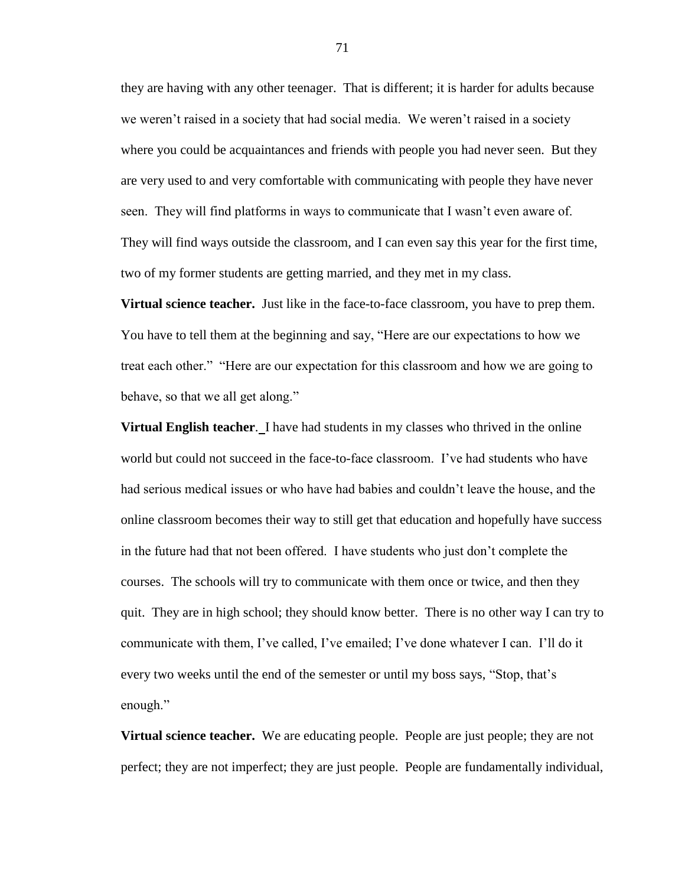they are having with any other teenager. That is different; it is harder for adults because we weren't raised in a society that had social media. We weren't raised in a society where you could be acquaintances and friends with people you had never seen. But they are very used to and very comfortable with communicating with people they have never seen. They will find platforms in ways to communicate that I wasn't even aware of. They will find ways outside the classroom, and I can even say this year for the first time, two of my former students are getting married, and they met in my class.

**Virtual science teacher.** Just like in the face-to-face classroom, you have to prep them. You have to tell them at the beginning and say, "Here are our expectations to how we treat each other." "Here are our expectation for this classroom and how we are going to behave, so that we all get along."

**Virtual English teacher**. I have had students in my classes who thrived in the online world but could not succeed in the face-to-face classroom. I've had students who have had serious medical issues or who have had babies and couldn't leave the house, and the online classroom becomes their way to still get that education and hopefully have success in the future had that not been offered. I have students who just don't complete the courses. The schools will try to communicate with them once or twice, and then they quit. They are in high school; they should know better. There is no other way I can try to communicate with them, I've called, I've emailed; I've done whatever I can. I'll do it every two weeks until the end of the semester or until my boss says, "Stop, that's enough."

**Virtual science teacher.** We are educating people. People are just people; they are not perfect; they are not imperfect; they are just people. People are fundamentally individual,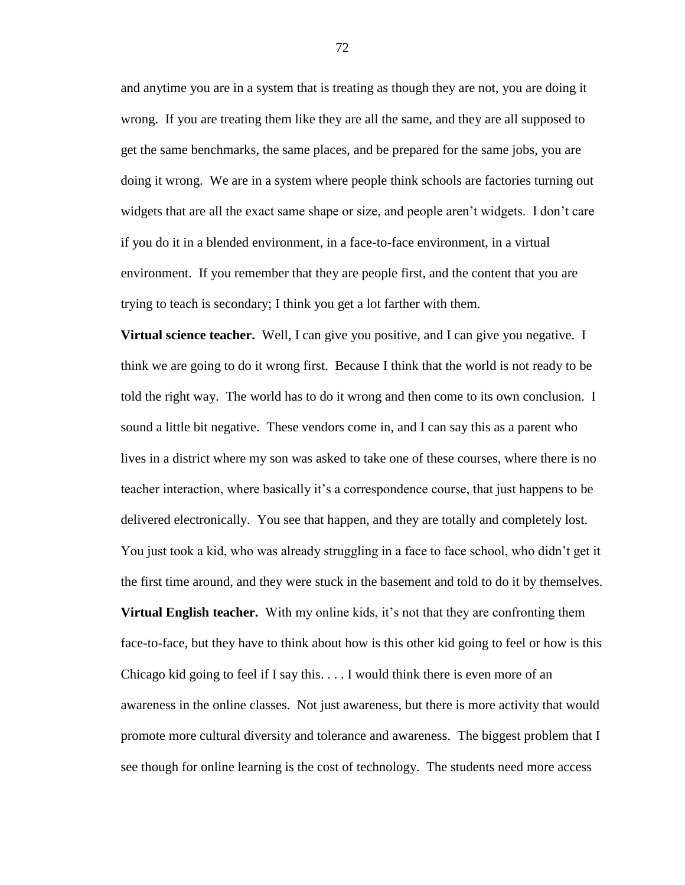and anytime you are in a system that is treating as though they are not, you are doing it wrong. If you are treating them like they are all the same, and they are all supposed to get the same benchmarks, the same places, and be prepared for the same jobs, you are doing it wrong. We are in a system where people think schools are factories turning out widgets that are all the exact same shape or size, and people aren't widgets. I don't care if you do it in a blended environment, in a face-to-face environment, in a virtual environment. If you remember that they are people first, and the content that you are trying to teach is secondary; I think you get a lot farther with them.

**Virtual science teacher.** Well, I can give you positive, and I can give you negative. I think we are going to do it wrong first. Because I think that the world is not ready to be told the right way. The world has to do it wrong and then come to its own conclusion. I sound a little bit negative. These vendors come in, and I can say this as a parent who lives in a district where my son was asked to take one of these courses, where there is no teacher interaction, where basically it's a correspondence course, that just happens to be delivered electronically. You see that happen, and they are totally and completely lost. You just took a kid, who was already struggling in a face to face school, who didn't get it the first time around, and they were stuck in the basement and told to do it by themselves. **Virtual English teacher.** With my online kids, it's not that they are confronting them face-to-face, but they have to think about how is this other kid going to feel or how is this Chicago kid going to feel if I say this.  $\dots$  I would think there is even more of an awareness in the online classes. Not just awareness, but there is more activity that would promote more cultural diversity and tolerance and awareness. The biggest problem that I see though for online learning is the cost of technology. The students need more access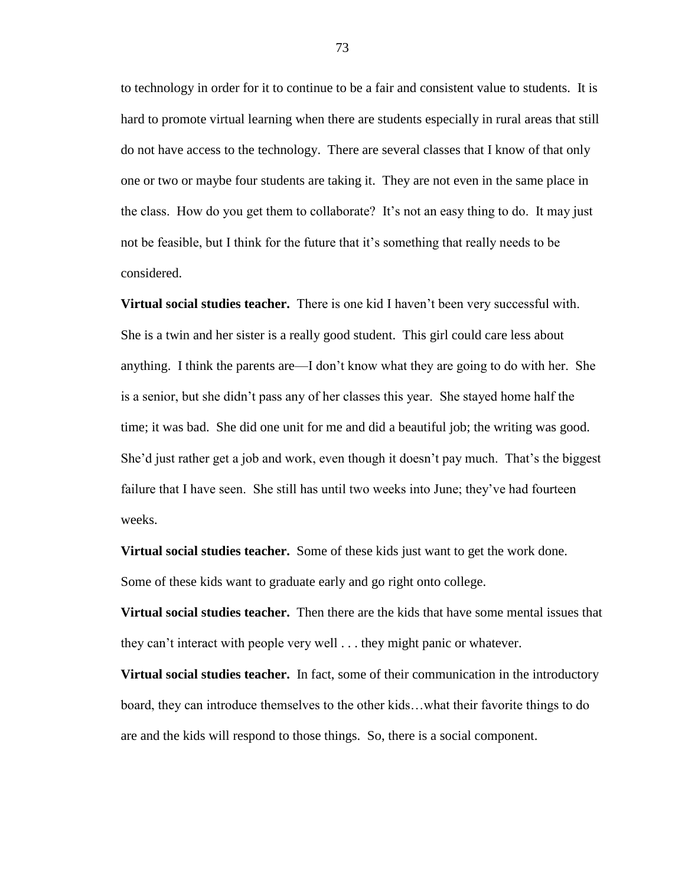to technology in order for it to continue to be a fair and consistent value to students. It is hard to promote virtual learning when there are students especially in rural areas that still do not have access to the technology. There are several classes that I know of that only one or two or maybe four students are taking it. They are not even in the same place in the class. How do you get them to collaborate? It's not an easy thing to do. It may just not be feasible, but I think for the future that it's something that really needs to be considered.

**Virtual social studies teacher.** There is one kid I haven't been very successful with. She is a twin and her sister is a really good student. This girl could care less about anything. I think the parents are—I don't know what they are going to do with her. She is a senior, but she didn't pass any of her classes this year. She stayed home half the time; it was bad. She did one unit for me and did a beautiful job; the writing was good. She'd just rather get a job and work, even though it doesn't pay much. That's the biggest failure that I have seen. She still has until two weeks into June; they've had fourteen weeks.

**Virtual social studies teacher.** Some of these kids just want to get the work done. Some of these kids want to graduate early and go right onto college.

**Virtual social studies teacher.** Then there are the kids that have some mental issues that they can't interact with people very well . . . they might panic or whatever.

**Virtual social studies teacher.** In fact, some of their communication in the introductory board, they can introduce themselves to the other kids…what their favorite things to do are and the kids will respond to those things. So, there is a social component.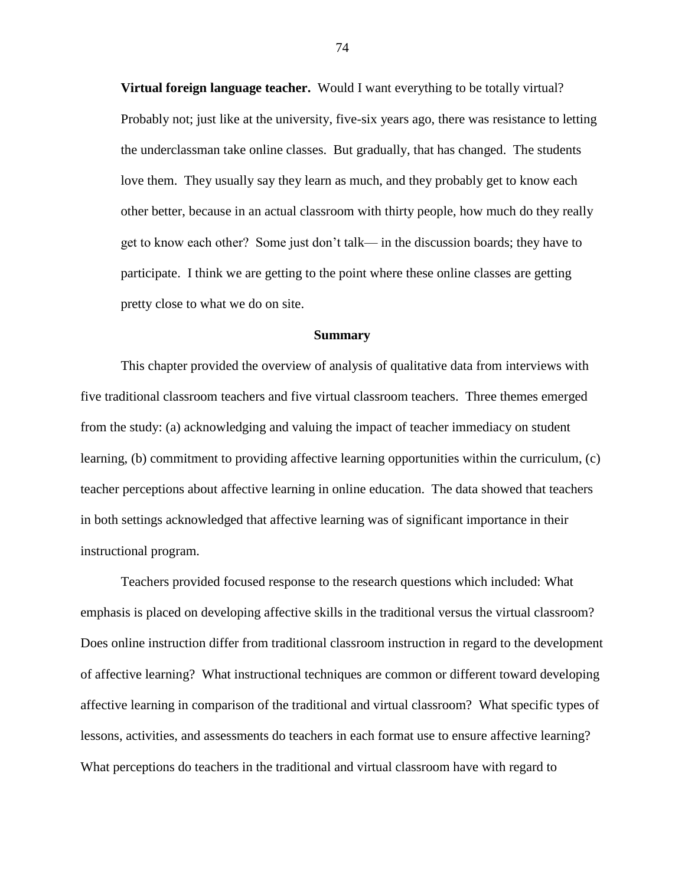**Virtual foreign language teacher.** Would I want everything to be totally virtual? Probably not; just like at the university, five-six years ago, there was resistance to letting the underclassman take online classes. But gradually, that has changed. The students love them. They usually say they learn as much, and they probably get to know each other better, because in an actual classroom with thirty people, how much do they really get to know each other? Some just don't talk— in the discussion boards; they have to participate. I think we are getting to the point where these online classes are getting pretty close to what we do on site.

#### **Summary**

This chapter provided the overview of analysis of qualitative data from interviews with five traditional classroom teachers and five virtual classroom teachers. Three themes emerged from the study: (a) acknowledging and valuing the impact of teacher immediacy on student learning, (b) commitment to providing affective learning opportunities within the curriculum, (c) teacher perceptions about affective learning in online education. The data showed that teachers in both settings acknowledged that affective learning was of significant importance in their instructional program.

Teachers provided focused response to the research questions which included: What emphasis is placed on developing affective skills in the traditional versus the virtual classroom? Does online instruction differ from traditional classroom instruction in regard to the development of affective learning? What instructional techniques are common or different toward developing affective learning in comparison of the traditional and virtual classroom? What specific types of lessons, activities, and assessments do teachers in each format use to ensure affective learning? What perceptions do teachers in the traditional and virtual classroom have with regard to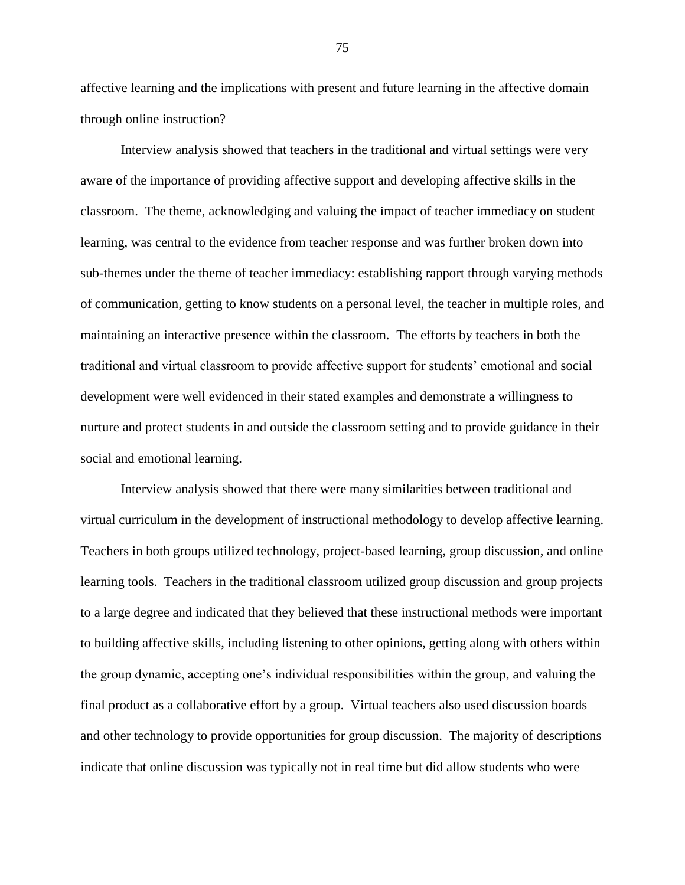affective learning and the implications with present and future learning in the affective domain through online instruction?

Interview analysis showed that teachers in the traditional and virtual settings were very aware of the importance of providing affective support and developing affective skills in the classroom. The theme, acknowledging and valuing the impact of teacher immediacy on student learning, was central to the evidence from teacher response and was further broken down into sub-themes under the theme of teacher immediacy: establishing rapport through varying methods of communication, getting to know students on a personal level, the teacher in multiple roles, and maintaining an interactive presence within the classroom. The efforts by teachers in both the traditional and virtual classroom to provide affective support for students' emotional and social development were well evidenced in their stated examples and demonstrate a willingness to nurture and protect students in and outside the classroom setting and to provide guidance in their social and emotional learning.

Interview analysis showed that there were many similarities between traditional and virtual curriculum in the development of instructional methodology to develop affective learning. Teachers in both groups utilized technology, project-based learning, group discussion, and online learning tools. Teachers in the traditional classroom utilized group discussion and group projects to a large degree and indicated that they believed that these instructional methods were important to building affective skills, including listening to other opinions, getting along with others within the group dynamic, accepting one's individual responsibilities within the group, and valuing the final product as a collaborative effort by a group. Virtual teachers also used discussion boards and other technology to provide opportunities for group discussion. The majority of descriptions indicate that online discussion was typically not in real time but did allow students who were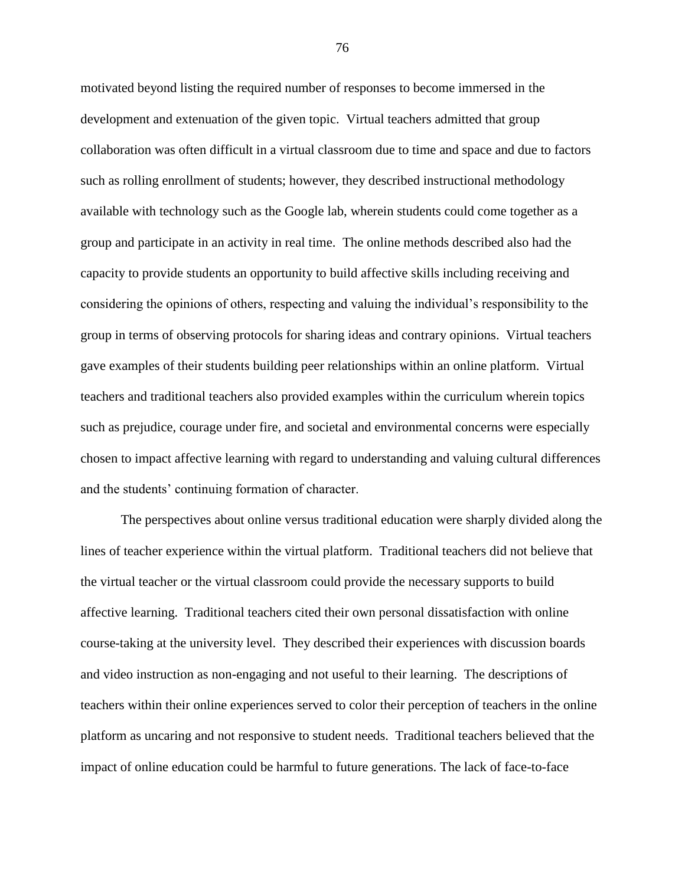motivated beyond listing the required number of responses to become immersed in the development and extenuation of the given topic. Virtual teachers admitted that group collaboration was often difficult in a virtual classroom due to time and space and due to factors such as rolling enrollment of students; however, they described instructional methodology available with technology such as the Google lab, wherein students could come together as a group and participate in an activity in real time. The online methods described also had the capacity to provide students an opportunity to build affective skills including receiving and considering the opinions of others, respecting and valuing the individual's responsibility to the group in terms of observing protocols for sharing ideas and contrary opinions. Virtual teachers gave examples of their students building peer relationships within an online platform. Virtual teachers and traditional teachers also provided examples within the curriculum wherein topics such as prejudice, courage under fire, and societal and environmental concerns were especially chosen to impact affective learning with regard to understanding and valuing cultural differences and the students' continuing formation of character.

The perspectives about online versus traditional education were sharply divided along the lines of teacher experience within the virtual platform. Traditional teachers did not believe that the virtual teacher or the virtual classroom could provide the necessary supports to build affective learning. Traditional teachers cited their own personal dissatisfaction with online course-taking at the university level. They described their experiences with discussion boards and video instruction as non-engaging and not useful to their learning. The descriptions of teachers within their online experiences served to color their perception of teachers in the online platform as uncaring and not responsive to student needs. Traditional teachers believed that the impact of online education could be harmful to future generations. The lack of face-to-face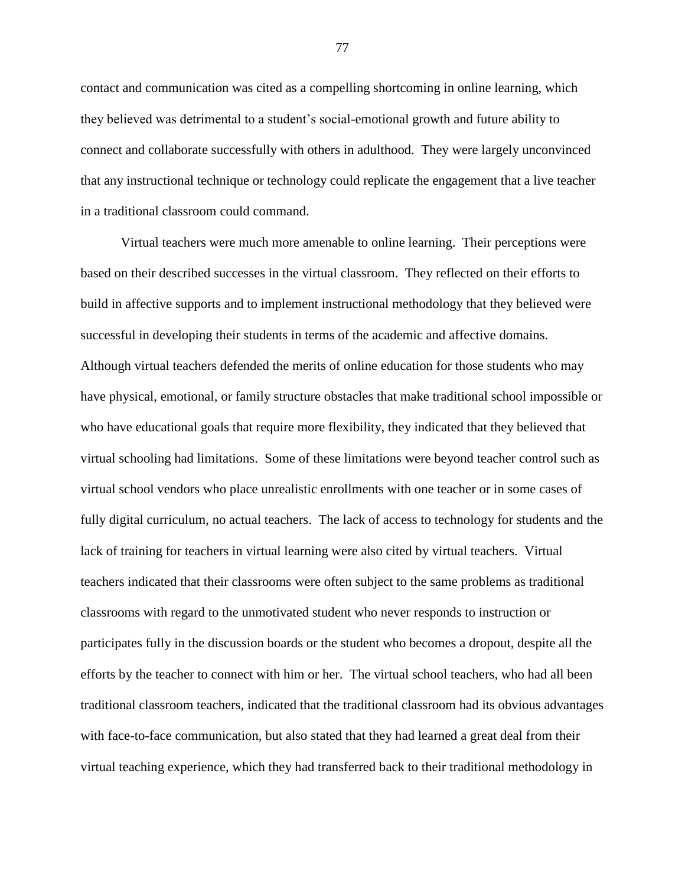contact and communication was cited as a compelling shortcoming in online learning, which they believed was detrimental to a student's social-emotional growth and future ability to connect and collaborate successfully with others in adulthood. They were largely unconvinced that any instructional technique or technology could replicate the engagement that a live teacher in a traditional classroom could command.

Virtual teachers were much more amenable to online learning. Their perceptions were based on their described successes in the virtual classroom. They reflected on their efforts to build in affective supports and to implement instructional methodology that they believed were successful in developing their students in terms of the academic and affective domains. Although virtual teachers defended the merits of online education for those students who may have physical, emotional, or family structure obstacles that make traditional school impossible or who have educational goals that require more flexibility, they indicated that they believed that virtual schooling had limitations. Some of these limitations were beyond teacher control such as virtual school vendors who place unrealistic enrollments with one teacher or in some cases of fully digital curriculum, no actual teachers. The lack of access to technology for students and the lack of training for teachers in virtual learning were also cited by virtual teachers. Virtual teachers indicated that their classrooms were often subject to the same problems as traditional classrooms with regard to the unmotivated student who never responds to instruction or participates fully in the discussion boards or the student who becomes a dropout, despite all the efforts by the teacher to connect with him or her. The virtual school teachers, who had all been traditional classroom teachers, indicated that the traditional classroom had its obvious advantages with face-to-face communication, but also stated that they had learned a great deal from their virtual teaching experience, which they had transferred back to their traditional methodology in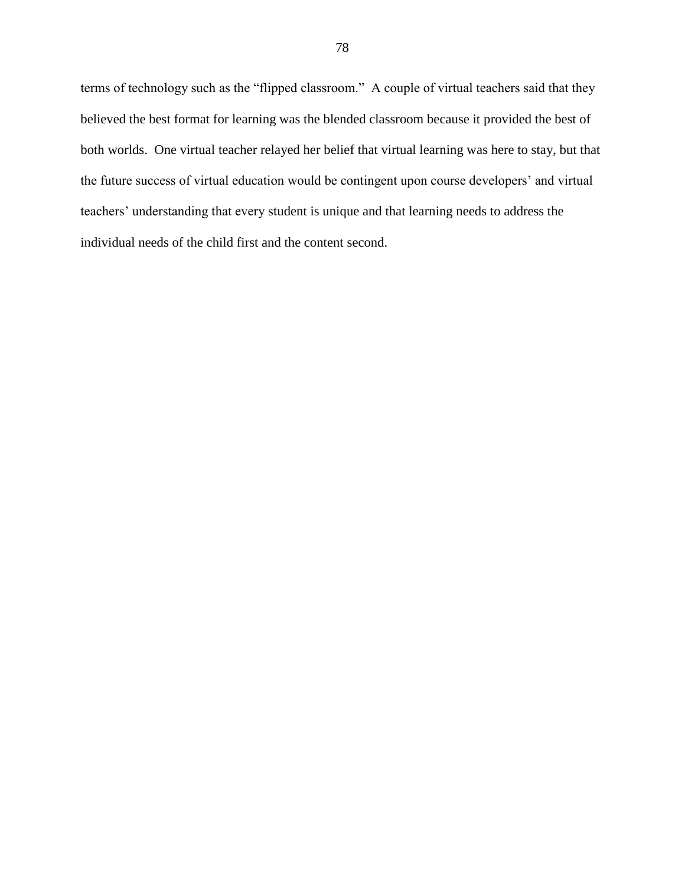terms of technology such as the "flipped classroom." A couple of virtual teachers said that they believed the best format for learning was the blended classroom because it provided the best of both worlds. One virtual teacher relayed her belief that virtual learning was here to stay, but that the future success of virtual education would be contingent upon course developers' and virtual teachers' understanding that every student is unique and that learning needs to address the individual needs of the child first and the content second.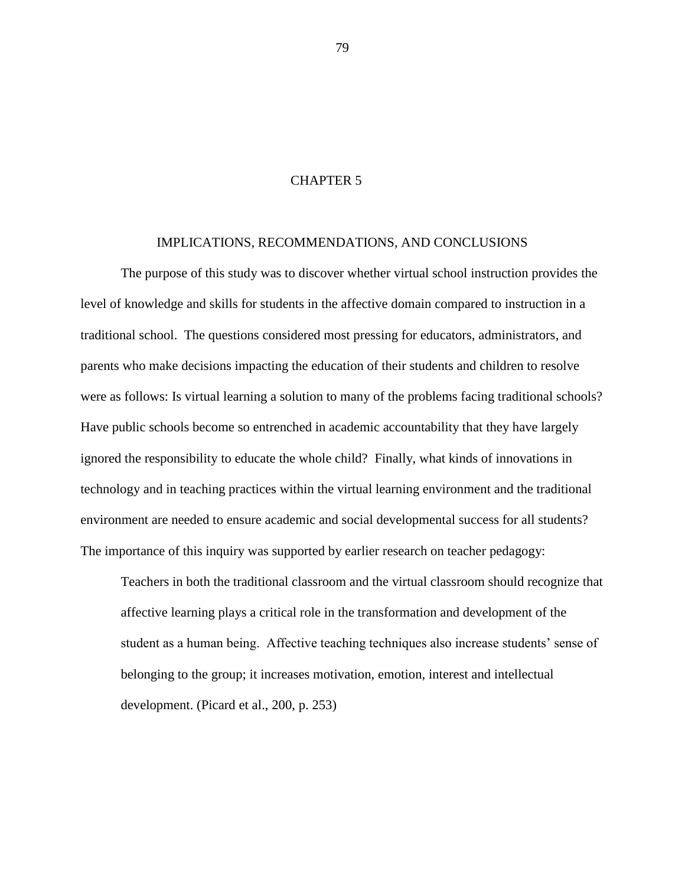# CHAPTER 5

### IMPLICATIONS, RECOMMENDATIONS, AND CONCLUSIONS

The purpose of this study was to discover whether virtual school instruction provides the level of knowledge and skills for students in the affective domain compared to instruction in a traditional school. The questions considered most pressing for educators, administrators, and parents who make decisions impacting the education of their students and children to resolve were as follows: Is virtual learning a solution to many of the problems facing traditional schools? Have public schools become so entrenched in academic accountability that they have largely ignored the responsibility to educate the whole child? Finally, what kinds of innovations in technology and in teaching practices within the virtual learning environment and the traditional environment are needed to ensure academic and social developmental success for all students? The importance of this inquiry was supported by earlier research on teacher pedagogy:

Teachers in both the traditional classroom and the virtual classroom should recognize that affective learning plays a critical role in the transformation and development of the student as a human being. Affective teaching techniques also increase students' sense of belonging to the group; it increases motivation, emotion, interest and intellectual development. (Picard et al., 200, p. 253)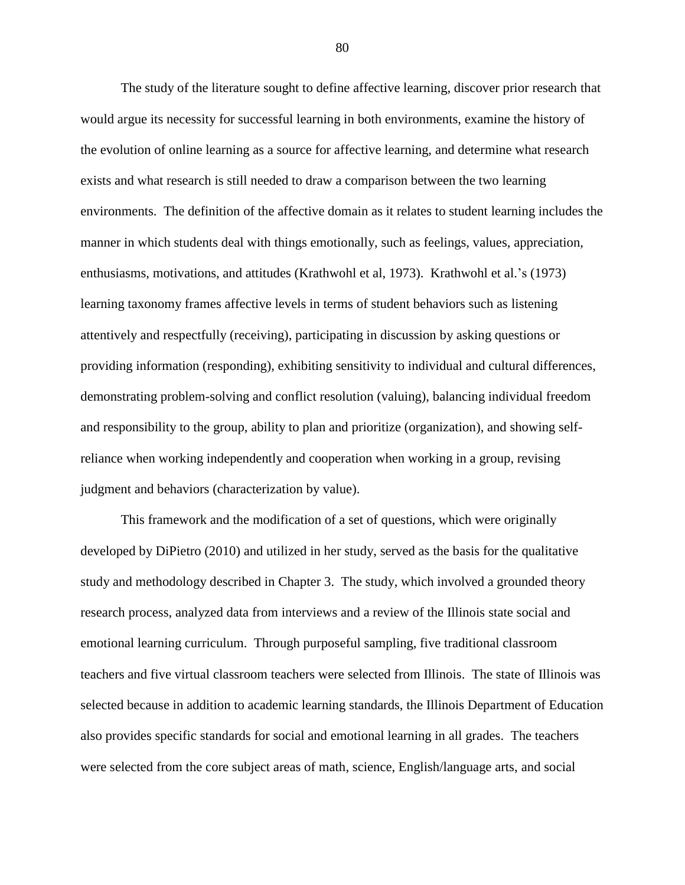The study of the literature sought to define affective learning, discover prior research that would argue its necessity for successful learning in both environments, examine the history of the evolution of online learning as a source for affective learning, and determine what research exists and what research is still needed to draw a comparison between the two learning environments. The definition of the affective domain as it relates to student learning includes the manner in which students deal with things emotionally, such as feelings, values, appreciation, enthusiasms, motivations, and attitudes (Krathwohl et al, 1973). Krathwohl et al.'s (1973) learning taxonomy frames affective levels in terms of student behaviors such as listening attentively and respectfully (receiving), participating in discussion by asking questions or providing information (responding), exhibiting sensitivity to individual and cultural differences, demonstrating problem-solving and conflict resolution (valuing), balancing individual freedom and responsibility to the group, ability to plan and prioritize (organization), and showing selfreliance when working independently and cooperation when working in a group, revising judgment and behaviors (characterization by value).

This framework and the modification of a set of questions, which were originally developed by DiPietro (2010) and utilized in her study, served as the basis for the qualitative study and methodology described in Chapter 3. The study, which involved a grounded theory research process, analyzed data from interviews and a review of the Illinois state social and emotional learning curriculum. Through purposeful sampling, five traditional classroom teachers and five virtual classroom teachers were selected from Illinois. The state of Illinois was selected because in addition to academic learning standards, the Illinois Department of Education also provides specific standards for social and emotional learning in all grades. The teachers were selected from the core subject areas of math, science, English/language arts, and social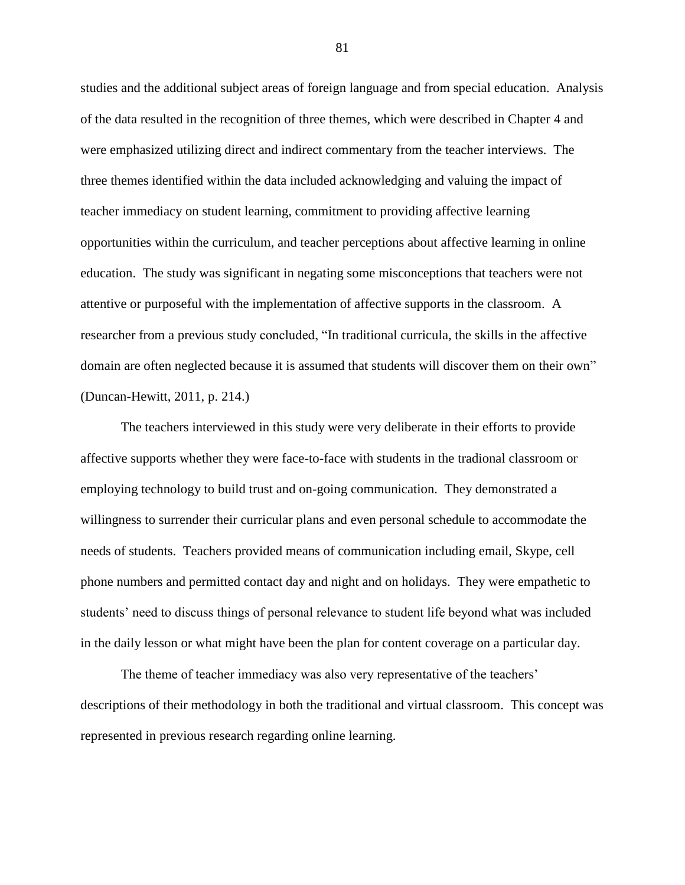studies and the additional subject areas of foreign language and from special education. Analysis of the data resulted in the recognition of three themes, which were described in Chapter 4 and were emphasized utilizing direct and indirect commentary from the teacher interviews. The three themes identified within the data included acknowledging and valuing the impact of teacher immediacy on student learning, commitment to providing affective learning opportunities within the curriculum, and teacher perceptions about affective learning in online education. The study was significant in negating some misconceptions that teachers were not attentive or purposeful with the implementation of affective supports in the classroom. A researcher from a previous study concluded, "In traditional curricula, the skills in the affective domain are often neglected because it is assumed that students will discover them on their own" (Duncan-Hewitt, 2011, p. 214.)

The teachers interviewed in this study were very deliberate in their efforts to provide affective supports whether they were face-to-face with students in the tradional classroom or employing technology to build trust and on-going communication. They demonstrated a willingness to surrender their curricular plans and even personal schedule to accommodate the needs of students. Teachers provided means of communication including email, Skype, cell phone numbers and permitted contact day and night and on holidays. They were empathetic to students' need to discuss things of personal relevance to student life beyond what was included in the daily lesson or what might have been the plan for content coverage on a particular day.

The theme of teacher immediacy was also very representative of the teachers' descriptions of their methodology in both the traditional and virtual classroom. This concept was represented in previous research regarding online learning.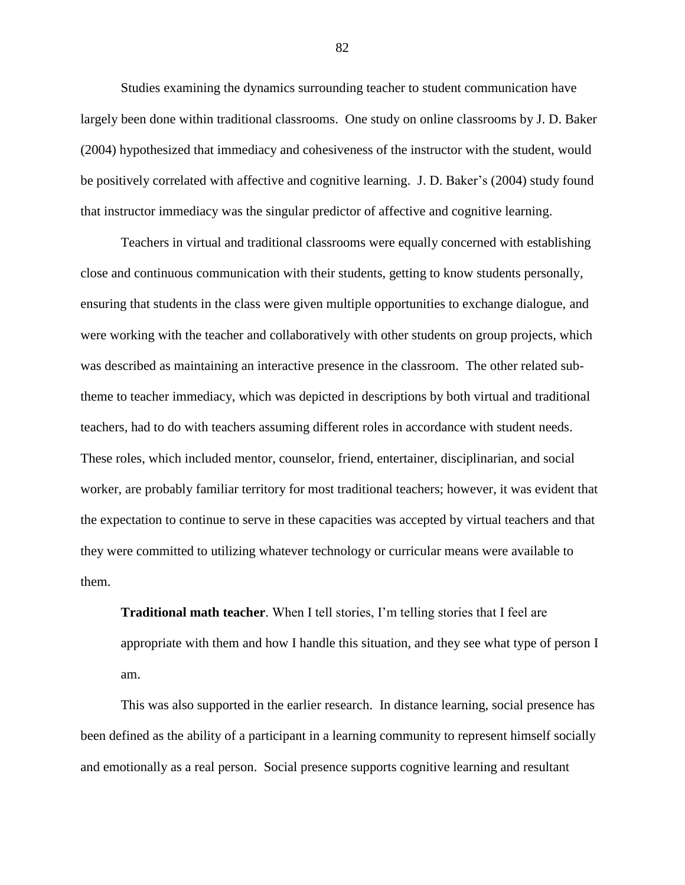Studies examining the dynamics surrounding teacher to student communication have largely been done within traditional classrooms. One study on online classrooms by J. D. Baker (2004) hypothesized that immediacy and cohesiveness of the instructor with the student, would be positively correlated with affective and cognitive learning. J. D. Baker's (2004) study found that instructor immediacy was the singular predictor of affective and cognitive learning.

Teachers in virtual and traditional classrooms were equally concerned with establishing close and continuous communication with their students, getting to know students personally, ensuring that students in the class were given multiple opportunities to exchange dialogue, and were working with the teacher and collaboratively with other students on group projects, which was described as maintaining an interactive presence in the classroom. The other related subtheme to teacher immediacy, which was depicted in descriptions by both virtual and traditional teachers, had to do with teachers assuming different roles in accordance with student needs. These roles, which included mentor, counselor, friend, entertainer, disciplinarian, and social worker, are probably familiar territory for most traditional teachers; however, it was evident that the expectation to continue to serve in these capacities was accepted by virtual teachers and that they were committed to utilizing whatever technology or curricular means were available to them.

**Traditional math teacher**. When I tell stories, I'm telling stories that I feel are appropriate with them and how I handle this situation, and they see what type of person I am.

This was also supported in the earlier research. In distance learning, social presence has been defined as the ability of a participant in a learning community to represent himself socially and emotionally as a real person. Social presence supports cognitive learning and resultant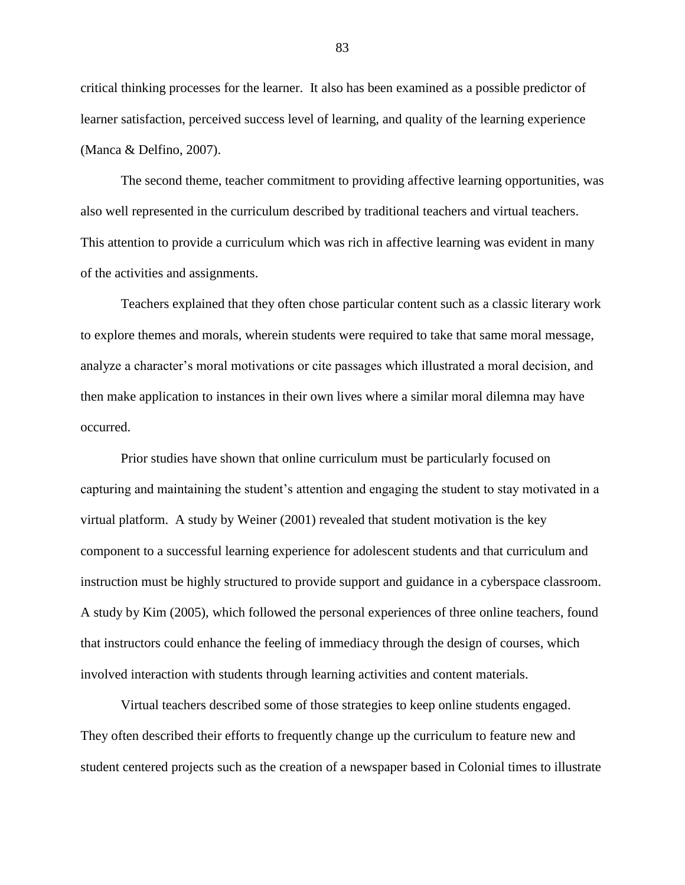critical thinking processes for the learner. It also has been examined as a possible predictor of learner satisfaction, perceived success level of learning, and quality of the learning experience (Manca & Delfino, 2007).

The second theme, teacher commitment to providing affective learning opportunities, was also well represented in the curriculum described by traditional teachers and virtual teachers. This attention to provide a curriculum which was rich in affective learning was evident in many of the activities and assignments.

Teachers explained that they often chose particular content such as a classic literary work to explore themes and morals, wherein students were required to take that same moral message, analyze a character's moral motivations or cite passages which illustrated a moral decision, and then make application to instances in their own lives where a similar moral dilemna may have occurred.

Prior studies have shown that online curriculum must be particularly focused on capturing and maintaining the student's attention and engaging the student to stay motivated in a virtual platform. A study by Weiner (2001) revealed that student motivation is the key component to a successful learning experience for adolescent students and that curriculum and instruction must be highly structured to provide support and guidance in a cyberspace classroom. A study by Kim (2005), which followed the personal experiences of three online teachers, found that instructors could enhance the feeling of immediacy through the design of courses, which involved interaction with students through learning activities and content materials.

Virtual teachers described some of those strategies to keep online students engaged. They often described their efforts to frequently change up the curriculum to feature new and student centered projects such as the creation of a newspaper based in Colonial times to illustrate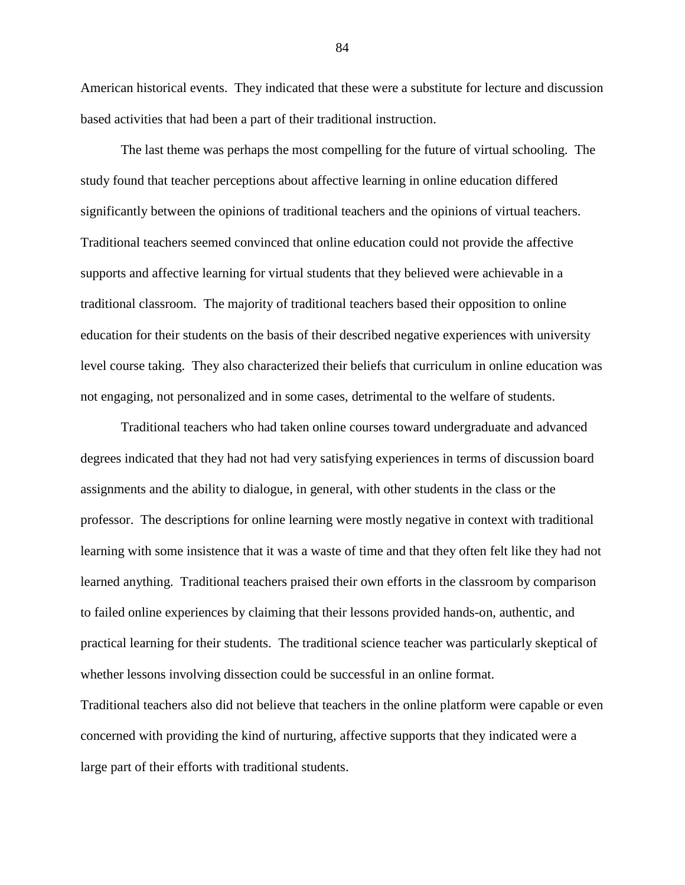American historical events. They indicated that these were a substitute for lecture and discussion based activities that had been a part of their traditional instruction.

The last theme was perhaps the most compelling for the future of virtual schooling. The study found that teacher perceptions about affective learning in online education differed significantly between the opinions of traditional teachers and the opinions of virtual teachers. Traditional teachers seemed convinced that online education could not provide the affective supports and affective learning for virtual students that they believed were achievable in a traditional classroom. The majority of traditional teachers based their opposition to online education for their students on the basis of their described negative experiences with university level course taking. They also characterized their beliefs that curriculum in online education was not engaging, not personalized and in some cases, detrimental to the welfare of students.

Traditional teachers who had taken online courses toward undergraduate and advanced degrees indicated that they had not had very satisfying experiences in terms of discussion board assignments and the ability to dialogue, in general, with other students in the class or the professor. The descriptions for online learning were mostly negative in context with traditional learning with some insistence that it was a waste of time and that they often felt like they had not learned anything. Traditional teachers praised their own efforts in the classroom by comparison to failed online experiences by claiming that their lessons provided hands-on, authentic, and practical learning for their students. The traditional science teacher was particularly skeptical of whether lessons involving dissection could be successful in an online format.

Traditional teachers also did not believe that teachers in the online platform were capable or even concerned with providing the kind of nurturing, affective supports that they indicated were a large part of their efforts with traditional students.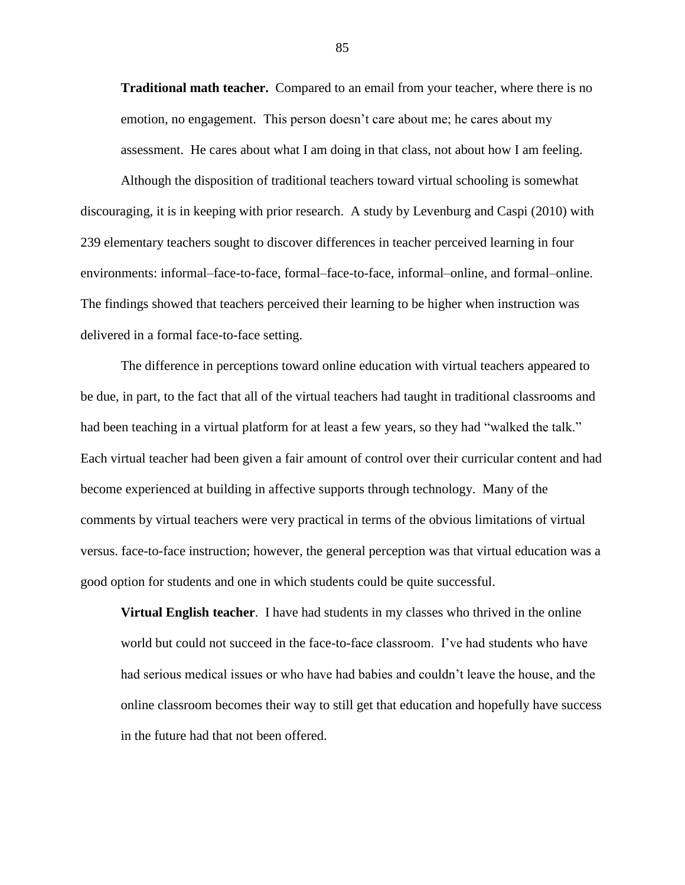**Traditional math teacher.** Compared to an email from your teacher, where there is no emotion, no engagement. This person doesn't care about me; he cares about my assessment. He cares about what I am doing in that class, not about how I am feeling.

Although the disposition of traditional teachers toward virtual schooling is somewhat discouraging, it is in keeping with prior research. A study by Levenburg and Caspi (2010) with 239 elementary teachers sought to discover differences in teacher perceived learning in four environments: informal–face-to-face, formal–face-to-face, informal–online, and formal–online. The findings showed that teachers perceived their learning to be higher when instruction was delivered in a formal face-to-face setting.

The difference in perceptions toward online education with virtual teachers appeared to be due, in part, to the fact that all of the virtual teachers had taught in traditional classrooms and had been teaching in a virtual platform for at least a few years, so they had "walked the talk." Each virtual teacher had been given a fair amount of control over their curricular content and had become experienced at building in affective supports through technology. Many of the comments by virtual teachers were very practical in terms of the obvious limitations of virtual versus. face-to-face instruction; however, the general perception was that virtual education was a good option for students and one in which students could be quite successful.

**Virtual English teacher**. I have had students in my classes who thrived in the online world but could not succeed in the face-to-face classroom. I've had students who have had serious medical issues or who have had babies and couldn't leave the house, and the online classroom becomes their way to still get that education and hopefully have success in the future had that not been offered.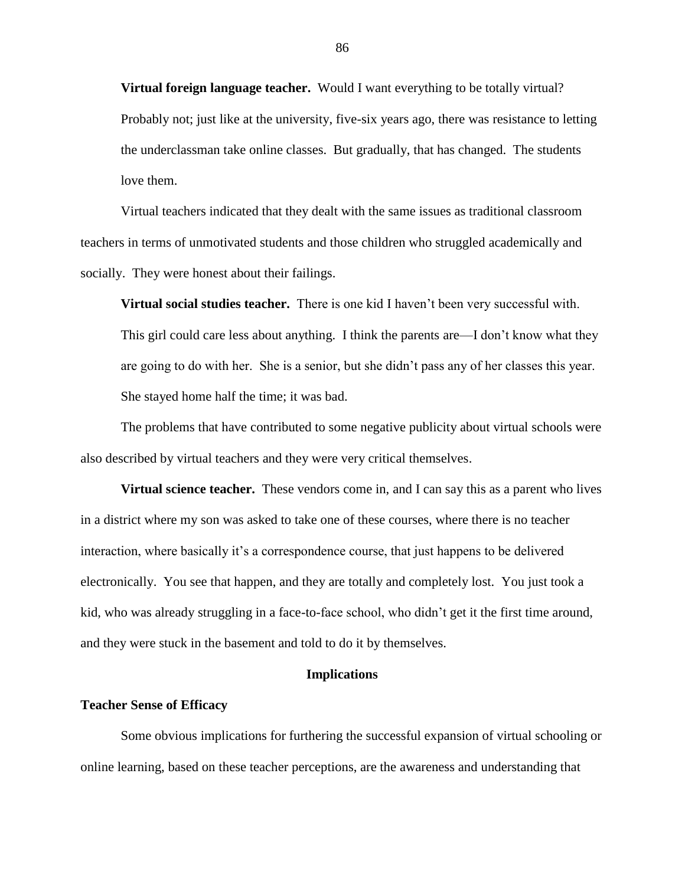**Virtual foreign language teacher.** Would I want everything to be totally virtual? Probably not; just like at the university, five-six years ago, there was resistance to letting the underclassman take online classes. But gradually, that has changed. The students love them.

Virtual teachers indicated that they dealt with the same issues as traditional classroom teachers in terms of unmotivated students and those children who struggled academically and socially. They were honest about their failings.

**Virtual social studies teacher.** There is one kid I haven't been very successful with. This girl could care less about anything. I think the parents are—I don't know what they are going to do with her. She is a senior, but she didn't pass any of her classes this year. She stayed home half the time; it was bad.

The problems that have contributed to some negative publicity about virtual schools were also described by virtual teachers and they were very critical themselves.

**Virtual science teacher.** These vendors come in, and I can say this as a parent who lives in a district where my son was asked to take one of these courses, where there is no teacher interaction, where basically it's a correspondence course, that just happens to be delivered electronically. You see that happen, and they are totally and completely lost. You just took a kid, who was already struggling in a face-to-face school, who didn't get it the first time around, and they were stuck in the basement and told to do it by themselves.

# **Implications**

#### **Teacher Sense of Efficacy**

Some obvious implications for furthering the successful expansion of virtual schooling or online learning, based on these teacher perceptions, are the awareness and understanding that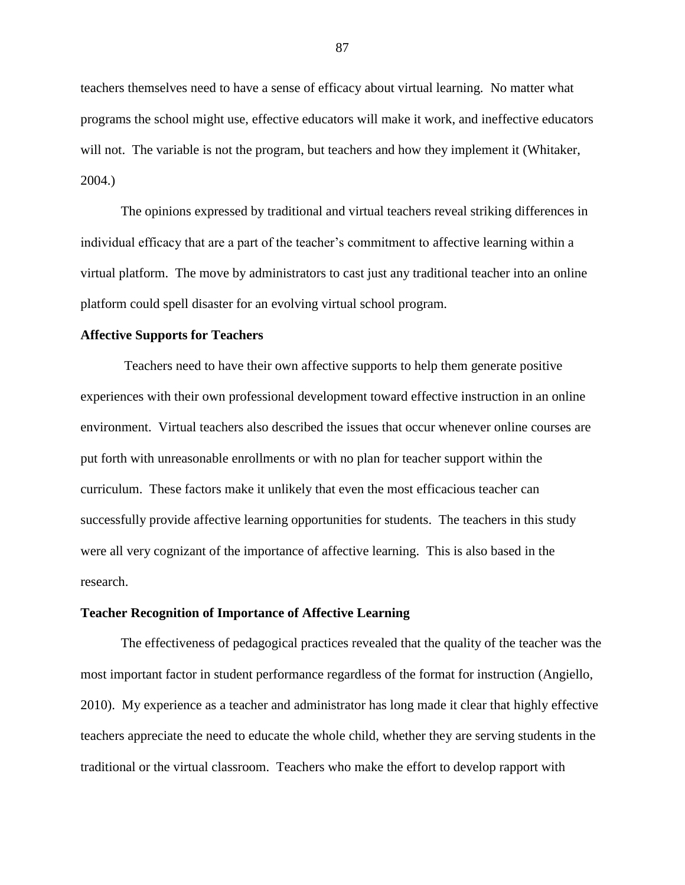teachers themselves need to have a sense of efficacy about virtual learning. No matter what programs the school might use, effective educators will make it work, and ineffective educators will not. The variable is not the program, but teachers and how they implement it (Whitaker, 2004.)

The opinions expressed by traditional and virtual teachers reveal striking differences in individual efficacy that are a part of the teacher's commitment to affective learning within a virtual platform. The move by administrators to cast just any traditional teacher into an online platform could spell disaster for an evolving virtual school program.

## **Affective Supports for Teachers**

Teachers need to have their own affective supports to help them generate positive experiences with their own professional development toward effective instruction in an online environment. Virtual teachers also described the issues that occur whenever online courses are put forth with unreasonable enrollments or with no plan for teacher support within the curriculum. These factors make it unlikely that even the most efficacious teacher can successfully provide affective learning opportunities for students. The teachers in this study were all very cognizant of the importance of affective learning. This is also based in the research.

### **Teacher Recognition of Importance of Affective Learning**

The effectiveness of pedagogical practices revealed that the quality of the teacher was the most important factor in student performance regardless of the format for instruction (Angiello, 2010). My experience as a teacher and administrator has long made it clear that highly effective teachers appreciate the need to educate the whole child, whether they are serving students in the traditional or the virtual classroom. Teachers who make the effort to develop rapport with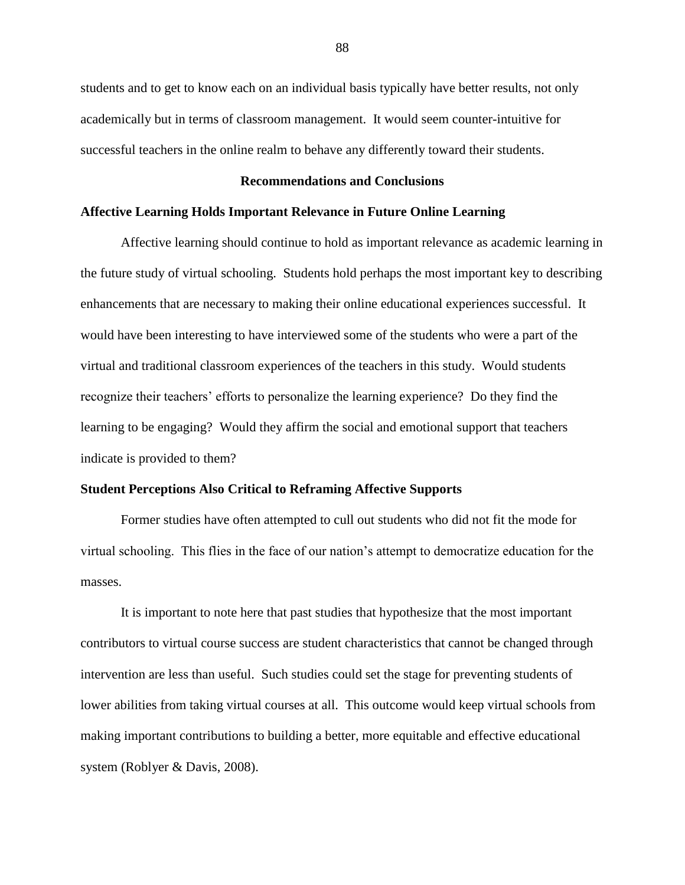students and to get to know each on an individual basis typically have better results, not only academically but in terms of classroom management. It would seem counter-intuitive for successful teachers in the online realm to behave any differently toward their students.

## **Recommendations and Conclusions**

# **Affective Learning Holds Important Relevance in Future Online Learning**

Affective learning should continue to hold as important relevance as academic learning in the future study of virtual schooling. Students hold perhaps the most important key to describing enhancements that are necessary to making their online educational experiences successful. It would have been interesting to have interviewed some of the students who were a part of the virtual and traditional classroom experiences of the teachers in this study. Would students recognize their teachers' efforts to personalize the learning experience? Do they find the learning to be engaging? Would they affirm the social and emotional support that teachers indicate is provided to them?

### **Student Perceptions Also Critical to Reframing Affective Supports**

Former studies have often attempted to cull out students who did not fit the mode for virtual schooling. This flies in the face of our nation's attempt to democratize education for the masses.

It is important to note here that past studies that hypothesize that the most important contributors to virtual course success are student characteristics that cannot be changed through intervention are less than useful. Such studies could set the stage for preventing students of lower abilities from taking virtual courses at all. This outcome would keep virtual schools from making important contributions to building a better, more equitable and effective educational system (Roblyer & Davis, 2008).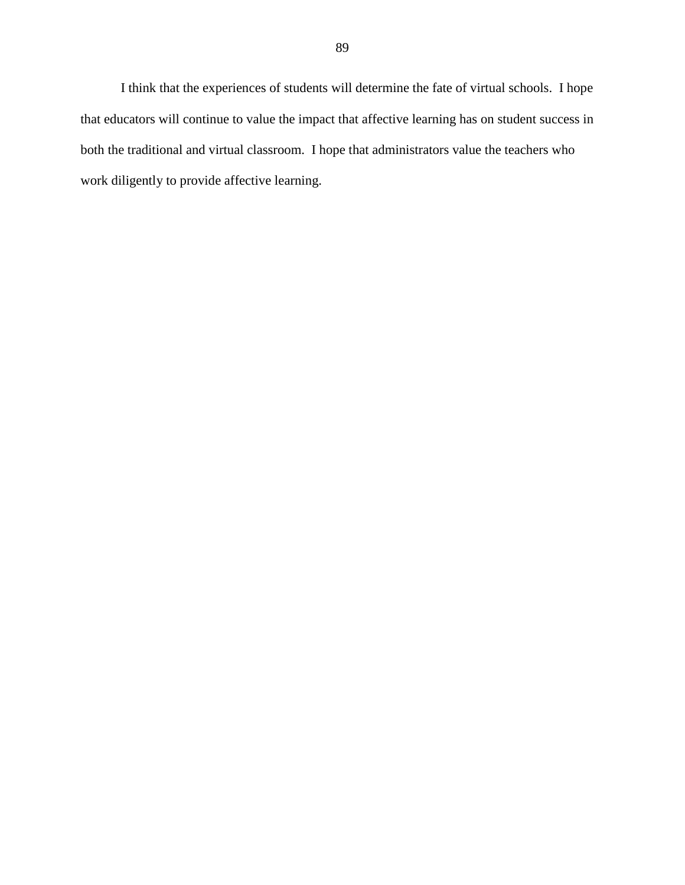I think that the experiences of students will determine the fate of virtual schools. I hope that educators will continue to value the impact that affective learning has on student success in both the traditional and virtual classroom. I hope that administrators value the teachers who work diligently to provide affective learning.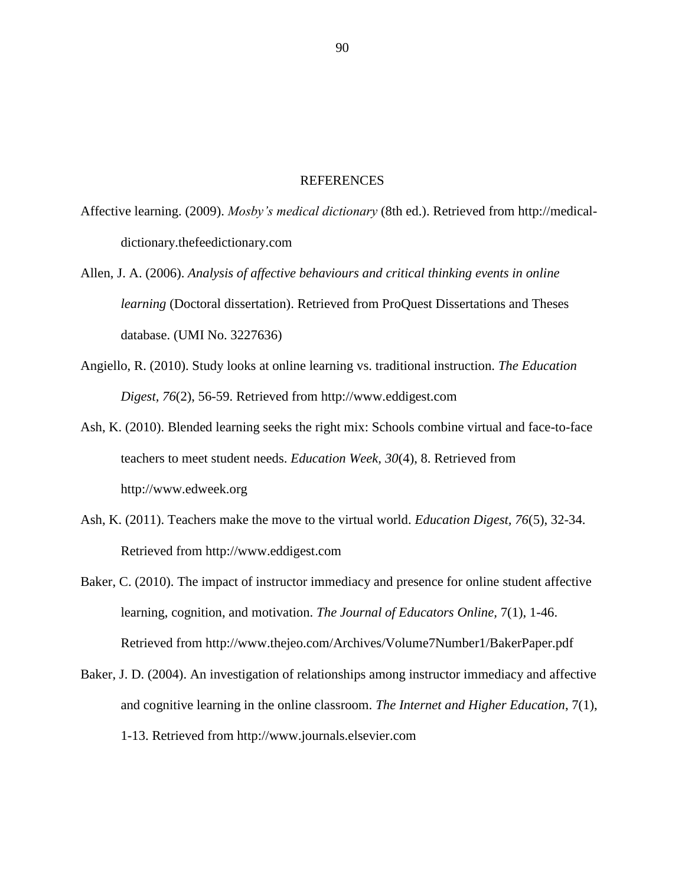### REFERENCES

- Affective learning. (2009). *Mosby's medical dictionary* (8th ed.). Retrieved from http://medicaldictionary.thefeedictionary.com
- Allen, J. A. (2006). *Analysis of affective behaviours and critical thinking events in online learning* (Doctoral dissertation). Retrieved from ProQuest Dissertations and Theses database. (UMI No. 3227636)
- Angiello, R. (2010). Study looks at online learning vs. traditional instruction. *The Education Digest, 76*(2), 56-59. Retrieved from http://www.eddigest.com
- Ash, K. (2010). Blended learning seeks the right mix: Schools combine virtual and face-to-face teachers to meet student needs. *Education Week, 30*(4), 8. Retrieved from http://www.edweek.org
- Ash, K. (2011). Teachers make the move to the virtual world. *Education Digest, 76*(5), 32-34. Retrieved from http://www.eddigest.com
- Baker, C. (2010). The impact of instructor immediacy and presence for online student affective learning, cognition, and motivation. *The Journal of Educators Online,* 7(1), 1-46. Retrieved from<http://www.thejeo.com/Archives/Volume7Number1/BakerPaper.pdf>
- Baker, J. D. (2004). An investigation of relationships among instructor immediacy and affective and cognitive learning in the online classroom. *The Internet and Higher Education*, 7(1), 1-13. Retrieved from http://www.journals.elsevier.com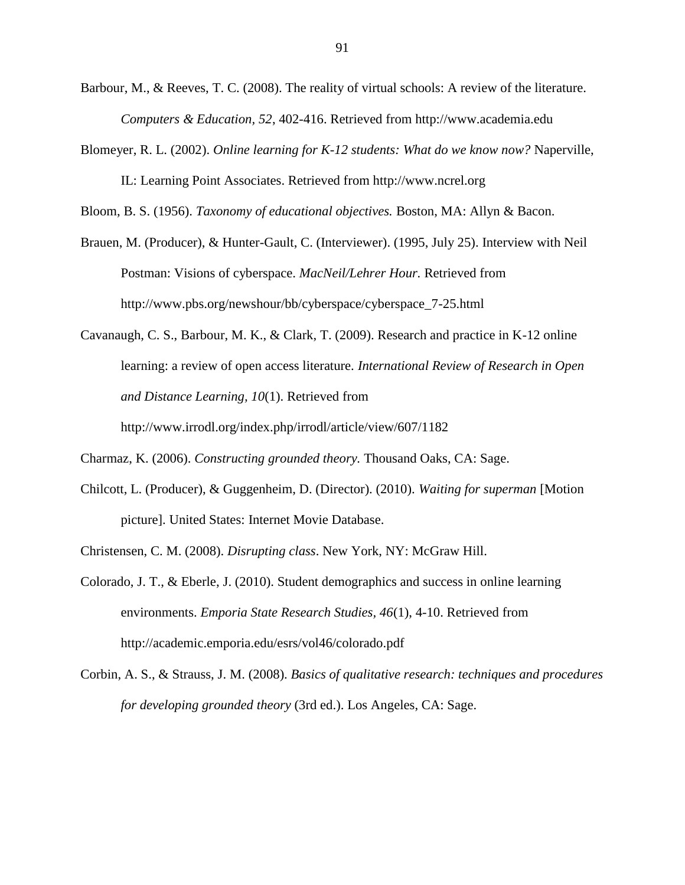- Barbour, M., & Reeves, T. C. (2008). The reality of virtual schools: A review of the literature. *Computers & Education, 52*, 402-416. Retrieved from http://www.academia.edu
- Blomeyer, R. L. (2002). *Online learning for K-12 students: What do we know now?* Naperville, IL: Learning Point Associates. Retrieved from http://www.ncrel.org

Bloom, B. S. (1956). *Taxonomy of educational objectives.* Boston, MA: Allyn & Bacon.

- Brauen, M. (Producer), & Hunter-Gault, C. (Interviewer). (1995, July 25). Interview with Neil Postman: Visions of cyberspace. *MacNeil/Lehrer Hour.* Retrieved from http://www.pbs.org/newshour/bb/cyberspace/cyberspace\_7-25.html
- Cavanaugh, C. S., Barbour, M. K., & Clark, T. (2009). Research and practice in K-12 online learning: a review of open access literature. *International Review of Research in Open and Distance Learning, 10*(1). Retrieved from

<http://www.irrodl.org/index.php/irrodl/article/view/607/1182>

- Charmaz, K. (2006). *Constructing grounded theory.* Thousand Oaks, CA: Sage.
- Chilcott, L. (Producer), & Guggenheim, D. (Director). (2010). *Waiting for superman* [Motion picture]. United States: Internet Movie Database.
- Christensen, C. M. (2008). *Disrupting class*. New York, NY: McGraw Hill.
- Colorado, J. T., & Eberle, J. (2010). Student demographics and success in online learning environments. *Emporia State Research Studies, 46*(1), 4-10. Retrieved from <http://academic.emporia.edu/esrs/vol46/colorado.pdf>
- Corbin, A. S., & Strauss, J. M. (2008). *Basics of qualitative research: techniques and procedures for developing grounded theory* (3rd ed.). Los Angeles, CA: Sage.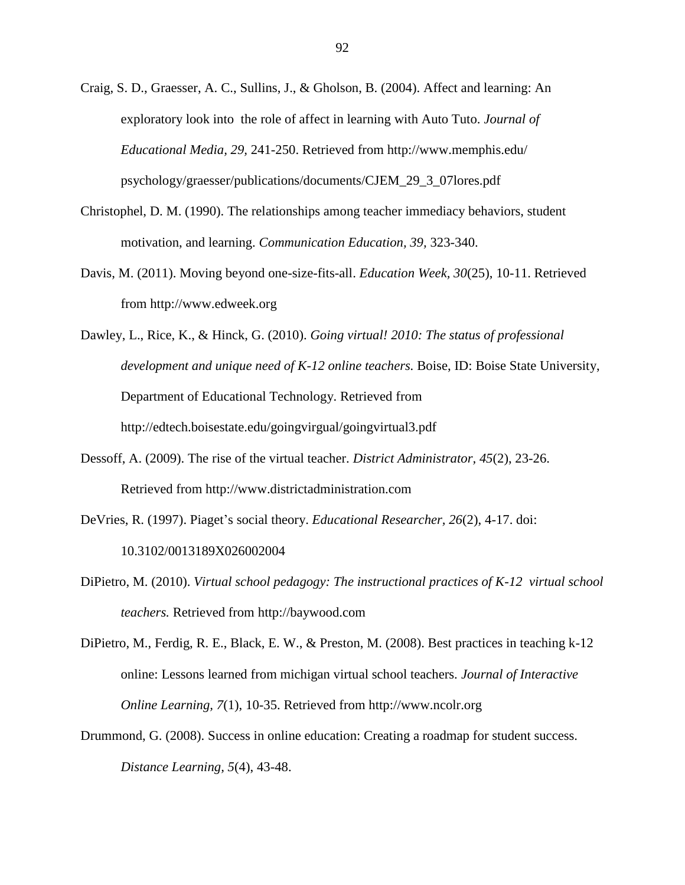- Craig, S. D., Graesser, A. C., Sullins, J., & Gholson, B. (2004). Affect and learning: An exploratory look into the role of affect in learning with Auto Tuto. *Journal of Educational Media, 29,* 241-250. Retrieved from http://www.memphis.edu/ psychology/graesser/publications/documents/CJEM\_29\_3\_07lores.pdf
- Christophel, D. M. (1990). The relationships among teacher immediacy behaviors, student motivation, and learning. *Communication Education, 39,* 323-340.
- Davis, M. (2011). Moving beyond one-size-fits-all. *Education Week, 30*(25), 10-11. Retrieved from http://www.edweek.org
- Dawley, L., Rice, K., & Hinck, G. (2010). *Going virtual! 2010: The status of professional development and unique need of K-12 online teachers.* Boise, ID: Boise State University, Department of Educational Technology. Retrieved from http://edtech.boisestate.edu/goingvirgual/goingvirtual3.pdf
- Dessoff, A. (2009). The rise of the virtual teacher. *District Administrator, 45*(2), 23-26. Retrieved from http://www.districtadministration.com
- DeVries, R. (1997). Piaget's social theory. *Educational Researcher, 26*(2), 4-17. doi: 10.3102/0013189X026002004
- DiPietro, M. (2010). *Virtual school pedagogy: The instructional practices of K-12 virtual school teachers.* Retrieved from [http://baywood.com](http://baywood.com/)
- DiPietro, M., Ferdig, R. E., Black, E. W., & Preston, M. (2008). Best practices in teaching k-12 online: Lessons learned from michigan virtual school teachers. *Journal of Interactive Online Learning, 7*(1), 10-35. Retrieved from http://www.ncolr.org
- Drummond, G. (2008). Success in online education: Creating a roadmap for student success. *Distance Learning, 5*(4), 43-48.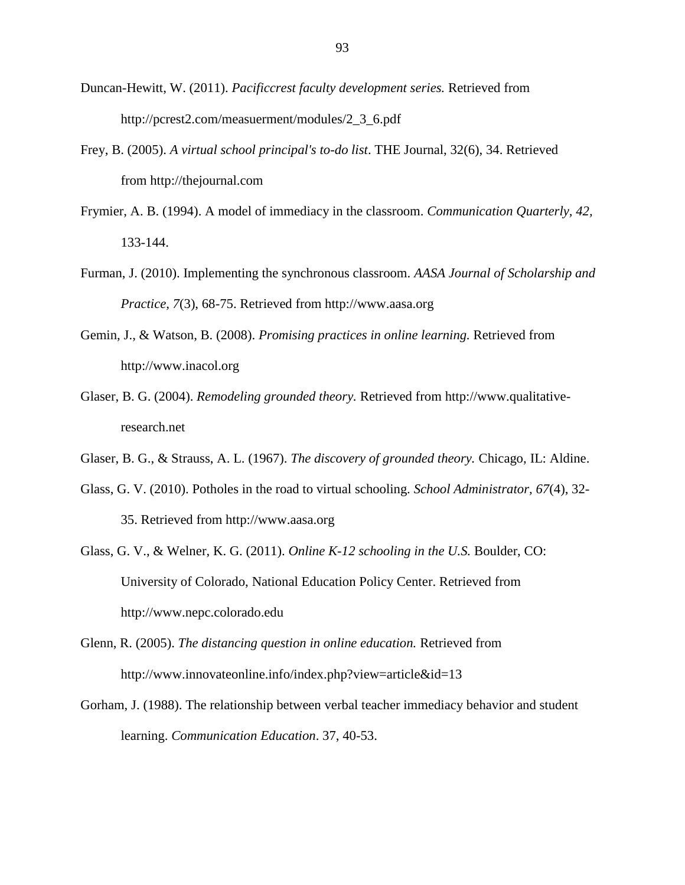- Duncan-Hewitt, W. (2011). *Pacificcrest faculty development series.* Retrieved from [http://pcrest2.com/measuerment/modules/2\\_3\\_6.pdf](http://pcrest2.com/measuerment/modules/2_3_6.pdf)
- Frey, B. (2005). *A virtual school principal's to-do list*. THE Journal, 32(6), 34. Retrieved from [http://thejournal.com](http://thejournal.com/)
- Frymier, A. B. (1994). A model of immediacy in the classroom. *Communication Quarterly, 42,* 133-144.
- Furman, J. (2010). Implementing the synchronous classroom. *AASA Journal of Scholarship and Practice, 7*(3), 68-75. Retrieved from http://www.aasa.org
- Gemin, J., & Watson, B. (2008). *Promising practices in online learning.* Retrieved from [http://www.inacol.org](http://www.inacol.org/)
- Glaser, B. G. (2004). *Remodeling grounded theory.* Retrieved from [http://www.qualitative](http://www.qualitative-research.net/)[research.net](http://www.qualitative-research.net/)
- Glaser, B. G., & Strauss, A. L. (1967). *The discovery of grounded theory.* Chicago, IL: Aldine.
- Glass, G. V. (2010). Potholes in the road to virtual schooling. *School Administrator, 67*(4), 32- 35. Retrieved from http://www.aasa.org
- Glass, G. V., & Welner, K. G. (2011). *Online K-12 schooling in the U.S.* Boulder, CO: University of Colorado, National Education Policy Center. Retrieved from http://www.nepc.colorado.edu
- Glenn, R. (2005). *The distancing question in online education.* Retrieved from <http://www.innovateonline.info/index.php?view=article&id=13>
- Gorham, J. (1988). The relationship between verbal teacher immediacy behavior and student learning. *Communication Education*. 37, 40-53.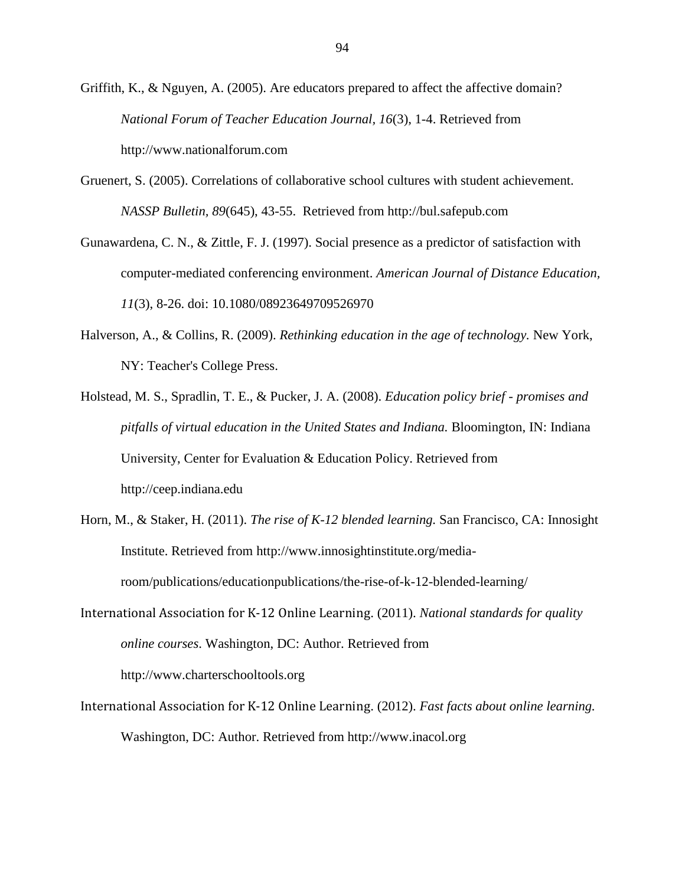- Griffith, K., & Nguyen, A. (2005). Are educators prepared to affect the affective domain? *National Forum of Teacher Education Journal, 16*(3), 1-4. Retrieved from http://www.nationalforum.com
- Gruenert, S. (2005). Correlations of collaborative school cultures with student achievement. *NASSP Bulletin, 89*(645), 43-55. Retrieved from http://bul.safepub.com
- Gunawardena, C. N., & Zittle, F. J. (1997). Social presence as a predictor of satisfaction with computer-mediated conferencing environment. *American Journal of Distance Education, 11*(3), 8-26. doi: 10.1080/08923649709526970
- Halverson, A., & Collins, R. (2009). *Rethinking education in the age of technology.* New York, NY: Teacher's College Press.
- Holstead, M. S., Spradlin, T. E., & Pucker, J. A. (2008). *Education policy brief - promises and pitfalls of virtual education in the United States and Indiana.* Bloomington, IN: Indiana University, Center for Evaluation & Education Policy. Retrieved from [http://ceep.indiana.edu](http://ceep.indiana.edu/)
- Horn, M., & Staker, H. (2011). *The rise of K-12 blended learning.* San Francisco, CA: Innosight Institute. Retrieved from http://www.innosightinstitute.org/mediaroom/publications/educationpublications/the-rise-of-k-12-blended-learning/
- International Association for K-12 Online Learning. (2011). *National standards for quality online courses*. Washington, DC: Author. Retrieved from http://www.charterschooltools.org
- International Association for K-12 Online Learning. (2012). *Fast facts about online learning.* Washington, DC: Author. Retrieved from http://www.inacol.org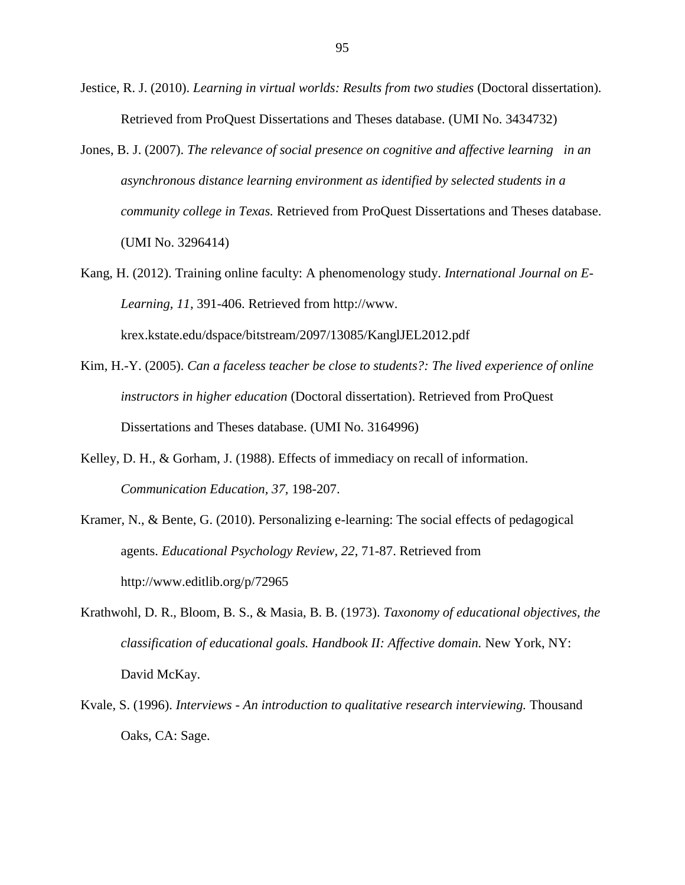- Jestice, R. J. (2010). *Learning in virtual worlds: Results from two studies* (Doctoral dissertation)*.* Retrieved from ProQuest Dissertations and Theses database. (UMI No. 3434732)
- Jones, B. J. (2007). *The relevance of social presence on cognitive and affective learning in an asynchronous distance learning environment as identified by selected students in a community college in Texas.* Retrieved from ProQuest Dissertations and Theses database. (UMI No. 3296414)
- Kang, H. (2012). Training online faculty: A phenomenology study. *International Journal on E-Learning, 11,* 391-406. Retrieved from http://www. krex.kstate.edu/dspace/bitstream/2097/13085/KanglJEL2012.pdf
- Kim, H.-Y. (2005). *Can a faceless teacher be close to students?: The lived experience of online instructors in higher education* (Doctoral dissertation). Retrieved from ProQuest Dissertations and Theses database. (UMI No. 3164996)
- Kelley, D. H., & Gorham, J. (1988). Effects of immediacy on recall of information. *Communication Education, 37,* 198-207.
- Kramer, N., & Bente, G. (2010). Personalizing e-learning: The social effects of pedagogical agents. *Educational Psychology Review, 22*, 71-87. Retrieved from http://www.editlib.org/p/72965
- Krathwohl, D. R., Bloom, B. S., & Masia, B. B. (1973). *Taxonomy of educational objectives, the classification of educational goals. Handbook II: Affective domain.* New York, NY: David McKay.
- Kvale, S. (1996). *Interviews - An introduction to qualitative research interviewing.* Thousand Oaks, CA: Sage.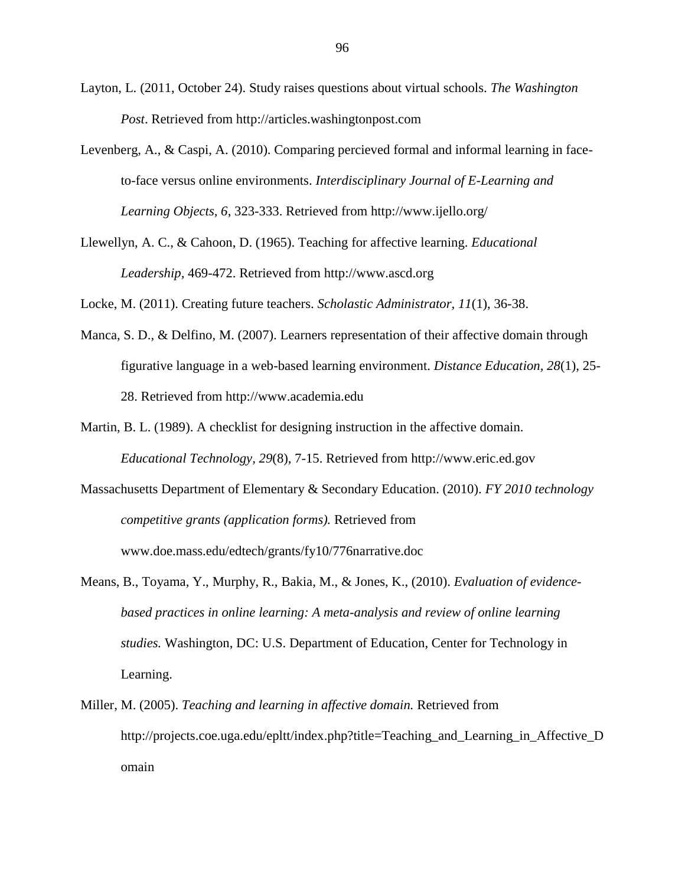- Layton, L. (2011, October 24). Study raises questions about virtual schools. *The Washington Post*. Retrieved from http://articles.washingtonpost.com
- Levenberg, A., & Caspi, A. (2010). Comparing percieved formal and informal learning in faceto-face versus online environments. *Interdisciplinary Journal of E-Learning and Learning Objects, 6*, 323-333. Retrieved from http://www.ijello.org/
- Llewellyn, A. C., & Cahoon, D. (1965). Teaching for affective learning. *Educational Leadership,* 469-472. Retrieved from http://www.ascd.org

Locke, M. (2011). Creating future teachers. *Scholastic Administrator, 11*(1), 36-38.

- Manca, S. D., & Delfino, M. (2007). Learners representation of their affective domain through figurative language in a web-based learning environment. *Distance Education, 28*(1), 25- 28. Retrieved from http://www.academia.edu
- Martin, B. L. (1989). A checklist for designing instruction in the affective domain. *Educational Technology, 29*(8), 7-15. Retrieved from [http://www.eric.ed.gov](http://www.eric.ed.gov/)
- Massachusetts Department of Elementary & Secondary Education. (2010). *FY 2010 technology competitive grants (application forms).* Retrieved from [www.doe.mass.edu/edtech/grants/fy10/776narrative.doc](http://www.doe.mass.edu/edtech/grants/fy10/776narrative.doc)
- Means, B., Toyama, Y., Murphy, R., Bakia, M., & Jones, K., (2010). *Evaluation of evidencebased practices in online learning: A meta-analysis and review of online learning studies.* Washington, DC: U.S. Department of Education, Center for Technology in Learning.
- Miller, M. (2005). *Teaching and learning in affective domain.* Retrieved from [http://projects.coe.uga.edu/epltt/index.php?title=Teaching\\_and\\_Learning\\_in\\_Affective\\_D](http://projects.coe.uga.edu/epltt/index.php?title=Teaching_and_Learning_in_Affective_Domain) [omain](http://projects.coe.uga.edu/epltt/index.php?title=Teaching_and_Learning_in_Affective_Domain)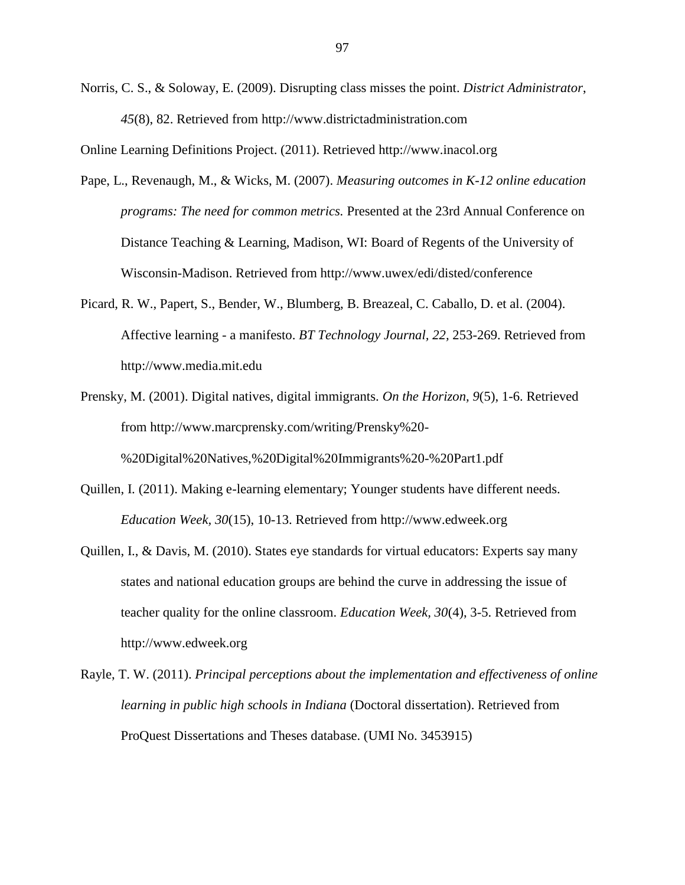Norris, C. S., & Soloway, E. (2009). Disrupting class misses the point. *District Administrator*, *45*(8), 82. Retrieved from http://www.districtadministration.com

Online Learning Definitions Project. (2011). Retrieved [http://www.inacol.org](http://www.inacol.org/)

- Pape, L., Revenaugh, M., & Wicks, M. (2007). *Measuring outcomes in K-12 online education programs: The need for common metrics.* Presented at the 23rd Annual Conference on Distance Teaching & Learning, Madison, WI: Board of Regents of the University of Wisconsin-Madison. Retrieved from<http://www.uwex/edi/disted/conference>
- Picard, R. W., Papert, S., Bender, W., Blumberg, B. Breazeal, C. Caballo, D. et al. (2004). Affective learning - a manifesto. *BT Technology Journal, 22,* 253-269. Retrieved from http://www.media.mit.edu
- Prensky, M. (2001). Digital natives, digital immigrants. *On the Horizon, 9*(5), 1-6. Retrieved from [http://www.marcprensky.com/writing/Prensky%20-](http://www.marcprensky.com/writing/Prensky%20-%20Digital%20Natives,%20Digital%20Immigrants%20-%20Part1.pdf) [%20Digital%20Natives,%20Digital%20Immigrants%20-%20Part1.pdf](http://www.marcprensky.com/writing/Prensky%20-%20Digital%20Natives,%20Digital%20Immigrants%20-%20Part1.pdf)
- Quillen, I. (2011). Making e-learning elementary; Younger students have different needs. *Education Week, 30*(15), 10-13. Retrieved from http://www.edweek.org
- Quillen, I., & Davis, M. (2010). States eye standards for virtual educators: Experts say many states and national education groups are behind the curve in addressing the issue of teacher quality for the online classroom. *Education Week, 30*(4), 3-5. Retrieved from http://www.edweek.org
- Rayle, T. W. (2011). *Principal perceptions about the implementation and effectiveness of online learning in public high schools in Indiana* (Doctoral dissertation). Retrieved from ProQuest Dissertations and Theses database. (UMI No. 3453915)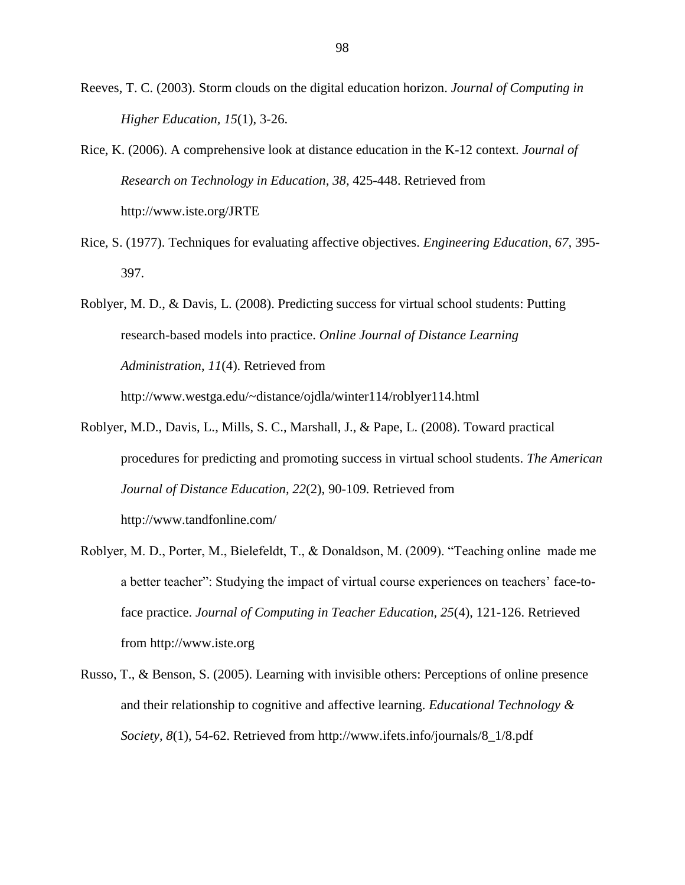Reeves, T. C. (2003). Storm clouds on the digital education horizon. *Journal of Computing in Higher Education, 15*(1), 3-26.

- Rice, K. (2006). A comprehensive look at distance education in the K-12 context. *Journal of Research on Technology in Education, 38,* 425-448. Retrieved from <http://www.iste.org/JRTE>
- Rice, S. (1977). Techniques for evaluating affective objectives. *Engineering Education, 67,* 395- 397.
- Roblyer, M. D., & Davis, L. (2008). Predicting success for virtual school students: Putting research-based models into practice. *Online Journal of Distance Learning Administration*, *11*(4). Retrieved from

http://www.westga.edu/~distance/ojdla/winter114/roblyer114.html

- Roblyer, M.D., Davis, L., Mills, S. C., Marshall, J., & Pape, L. (2008). Toward practical procedures for predicting and promoting success in virtual school students. *The American Journal of Distance Education, 22*(2), 90-109*.* Retrieved from <http://www.tandfonline.com/>
- Roblyer, M. D., Porter, M., Bielefeldt, T., & Donaldson, M. (2009). "Teaching online made me a better teacher": Studying the impact of virtual course experiences on teachers' face-toface practice. *Journal of Computing in Teacher Education, 25*(4), 121-126. Retrieved from http://www.iste.org
- Russo, T., & Benson, S. (2005). Learning with invisible others: Perceptions of online presence and their relationship to cognitive and affective learning. *Educational Technology & Society, 8*(1), 54-62. Retrieved from http://www.ifets.info/journals/8\_1/8.pdf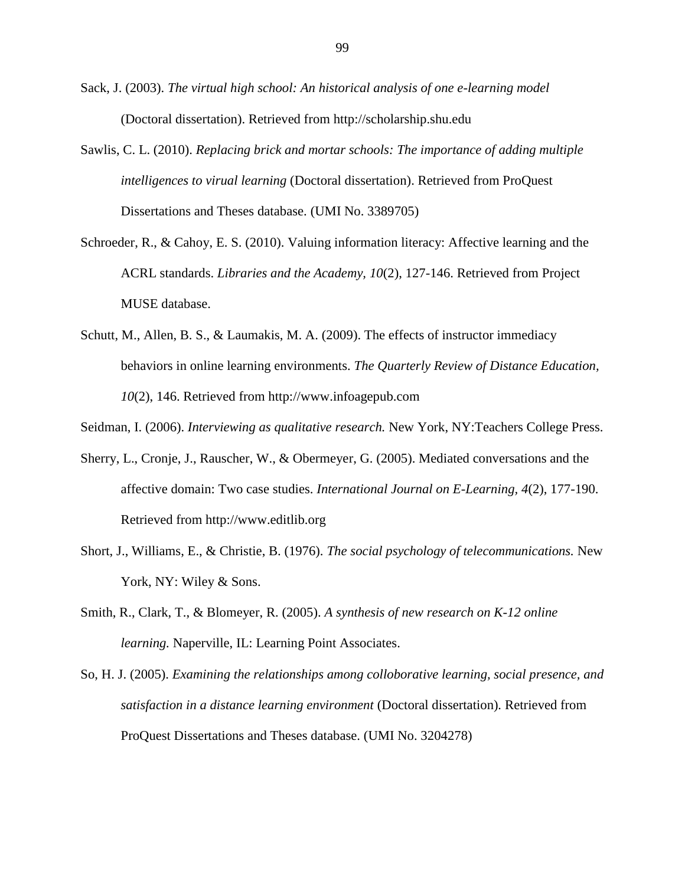- Sack, J. (2003). *The virtual high school: An historical analysis of one e-learning model*  (Doctoral dissertation). Retrieved from [http://scholarship.shu.edu](http://scholarship.shu.edu/)
- Sawlis, C. L. (2010). *Replacing brick and mortar schools: The importance of adding multiple intelligences to virual learning* (Doctoral dissertation). Retrieved from ProQuest Dissertations and Theses database. (UMI No. 3389705)
- Schroeder, R., & Cahoy, E. S. (2010). Valuing information literacy: Affective learning and the ACRL standards. *Libraries and the Academy, 10*(2), 127-146. Retrieved from Project MUSE database.
- Schutt, M., Allen, B. S., & Laumakis, M. A. (2009). The effects of instructor immediacy behaviors in online learning environments. *The Quarterly Review of Distance Education, 10*(2), 146. Retrieved from http://www.infoagepub.com

Seidman, I. (2006). *Interviewing as qualitative research.* New York, NY:Teachers College Press.

- Sherry, L., Cronje, J., Rauscher, W., & Obermeyer, G. (2005). Mediated conversations and the affective domain: Two case studies. *International Journal on E-Learning, 4*(2), 177-190. Retrieved from http://www.editlib.org
- Short, J., Williams, E., & Christie, B. (1976). *The social psychology of telecommunications.* New York, NY: Wiley & Sons.
- Smith, R., Clark, T., & Blomeyer, R. (2005). *A synthesis of new research on K-12 online learning.* Naperville, IL: Learning Point Associates.
- So, H. J. (2005). *Examining the relationships among colloborative learning, social presence, and satisfaction in a distance learning environment* (Doctoral dissertation)*.* Retrieved from ProQuest Dissertations and Theses database. (UMI No. 3204278)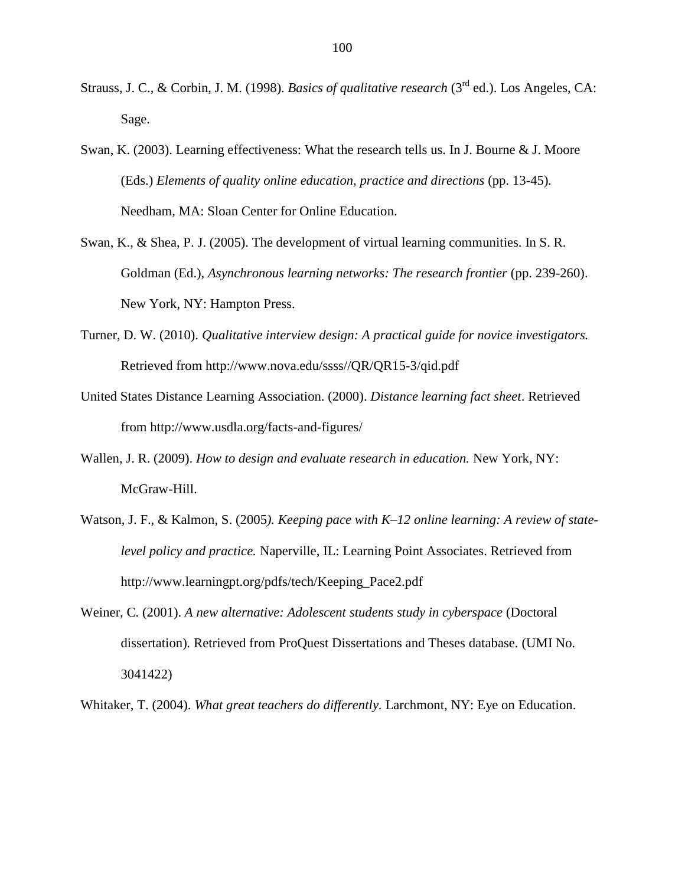- Strauss, J. C., & Corbin, J. M. (1998). *Basics of qualitative research* (3rd ed.). Los Angeles, CA: Sage.
- Swan, K. (2003). Learning effectiveness: What the research tells us. In J. Bourne & J. Moore (Eds.) *Elements of quality online education, practice and directions* (pp. 13-45)*.*  Needham, MA: Sloan Center for Online Education.
- Swan, K., & Shea, P. J. (2005). The development of virtual learning communities. In S. R. Goldman (Ed.), *Asynchronous learning networks: The research frontier* (pp. 239-260). New York, NY: Hampton Press.
- Turner, D. W. (2010). *Qualitative interview design: A practical guide for novice investigators.* Retrieved from [http://www.nova.edu/ssss//QR/QR15-3/qid.pdf](http://www.nova.edu/ssss/QR/QR15-3/qid.pdf)
- United States Distance Learning Association. (2000). *Distance learning fact sheet*. Retrieved from http://www.usdla.org/facts-and-figures/
- Wallen, J. R. (2009). *How to design and evaluate research in education.* New York, NY: McGraw-Hill.
- Watson, J. F., & Kalmon, S. (2005*). Keeping pace with K–12 online learning: A review of statelevel policy and practice.* Naperville, IL: Learning Point Associates. Retrieved from [http://www.learningpt.org/pdfs/tech/Keeping\\_Pace2.pdf](http://www.learningpt.org/pdfs/tech/Keeping_Pace2.pdf)
- Weiner, C. (2001). *A new alternative: Adolescent students study in cyberspace* (Doctoral dissertation)*.* Retrieved from ProQuest Dissertations and Theses database. (UMI No. 3041422)

Whitaker, T. (2004). *What great teachers do differently.* Larchmont, NY: Eye on Education.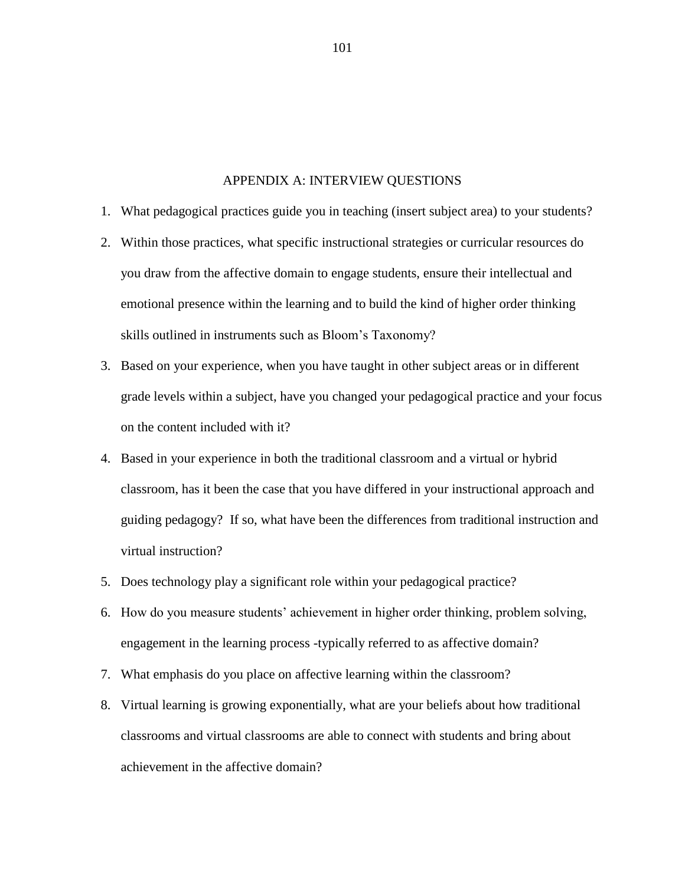#### APPENDIX A: INTERVIEW QUESTIONS

- 1. What pedagogical practices guide you in teaching (insert subject area) to your students?
- 2. Within those practices, what specific instructional strategies or curricular resources do you draw from the affective domain to engage students, ensure their intellectual and emotional presence within the learning and to build the kind of higher order thinking skills outlined in instruments such as Bloom's Taxonomy?
- 3. Based on your experience, when you have taught in other subject areas or in different grade levels within a subject, have you changed your pedagogical practice and your focus on the content included with it?
- 4. Based in your experience in both the traditional classroom and a virtual or hybrid classroom, has it been the case that you have differed in your instructional approach and guiding pedagogy? If so, what have been the differences from traditional instruction and virtual instruction?
- 5. Does technology play a significant role within your pedagogical practice?
- 6. How do you measure students' achievement in higher order thinking, problem solving, engagement in the learning process -typically referred to as affective domain?
- 7. What emphasis do you place on affective learning within the classroom?
- 8. Virtual learning is growing exponentially, what are your beliefs about how traditional classrooms and virtual classrooms are able to connect with students and bring about achievement in the affective domain?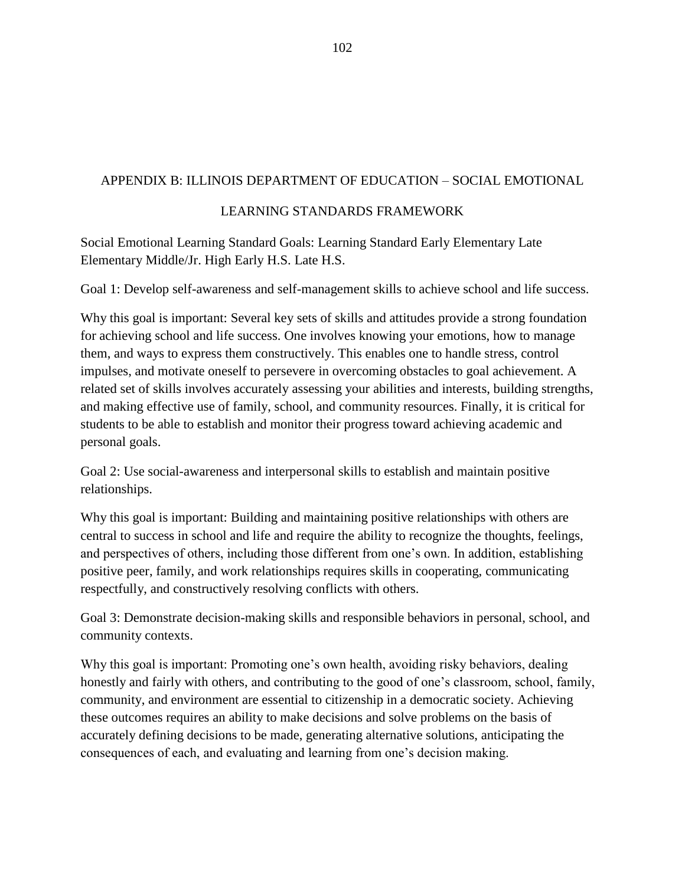## APPENDIX B: ILLINOIS DEPARTMENT OF EDUCATION – SOCIAL EMOTIONAL

## LEARNING STANDARDS FRAMEWORK

Social Emotional Learning Standard Goals: Learning Standard Early Elementary Late Elementary Middle/Jr. High Early H.S. Late H.S.

Goal 1: Develop self-awareness and self-management skills to achieve school and life success.

Why this goal is important: Several key sets of skills and attitudes provide a strong foundation for achieving school and life success. One involves knowing your emotions, how to manage them, and ways to express them constructively. This enables one to handle stress, control impulses, and motivate oneself to persevere in overcoming obstacles to goal achievement. A related set of skills involves accurately assessing your abilities and interests, building strengths, and making effective use of family, school, and community resources. Finally, it is critical for students to be able to establish and monitor their progress toward achieving academic and personal goals.

Goal 2: Use social-awareness and interpersonal skills to establish and maintain positive relationships.

Why this goal is important: Building and maintaining positive relationships with others are central to success in school and life and require the ability to recognize the thoughts, feelings, and perspectives of others, including those different from one's own. In addition, establishing positive peer, family, and work relationships requires skills in cooperating, communicating respectfully, and constructively resolving conflicts with others.

Goal 3: Demonstrate decision-making skills and responsible behaviors in personal, school, and community contexts.

Why this goal is important: Promoting one's own health, avoiding risky behaviors, dealing honestly and fairly with others, and contributing to the good of one's classroom, school, family, community, and environment are essential to citizenship in a democratic society. Achieving these outcomes requires an ability to make decisions and solve problems on the basis of accurately defining decisions to be made, generating alternative solutions, anticipating the consequences of each, and evaluating and learning from one's decision making.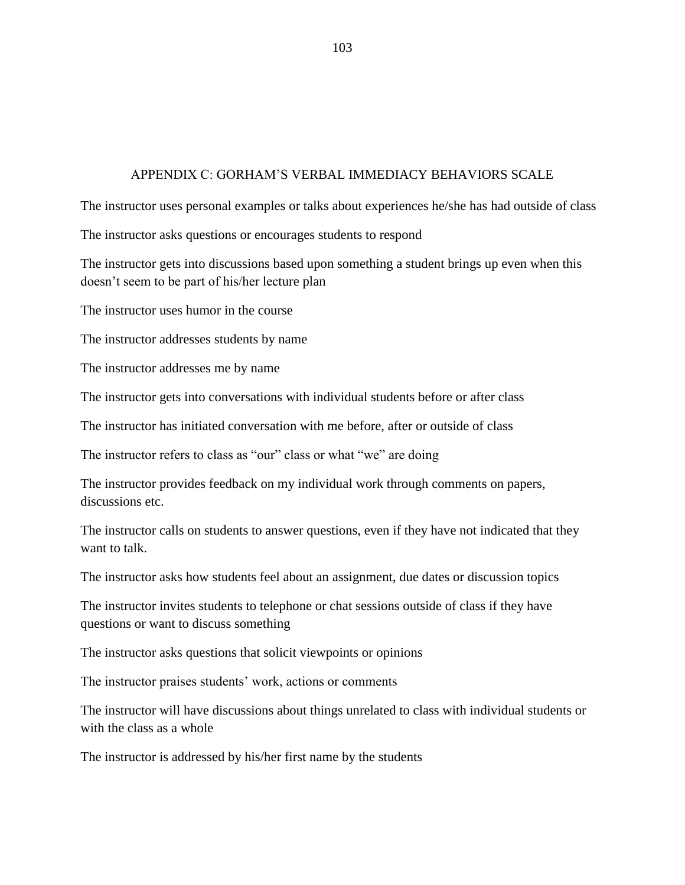### APPENDIX C: GORHAM'S VERBAL IMMEDIACY BEHAVIORS SCALE

The instructor uses personal examples or talks about experiences he/she has had outside of class

The instructor asks questions or encourages students to respond

The instructor gets into discussions based upon something a student brings up even when this doesn't seem to be part of his/her lecture plan

The instructor uses humor in the course

The instructor addresses students by name

The instructor addresses me by name

The instructor gets into conversations with individual students before or after class

The instructor has initiated conversation with me before, after or outside of class

The instructor refers to class as "our" class or what "we" are doing

The instructor provides feedback on my individual work through comments on papers, discussions etc.

The instructor calls on students to answer questions, even if they have not indicated that they want to talk.

The instructor asks how students feel about an assignment, due dates or discussion topics

The instructor invites students to telephone or chat sessions outside of class if they have questions or want to discuss something

The instructor asks questions that solicit viewpoints or opinions

The instructor praises students' work, actions or comments

The instructor will have discussions about things unrelated to class with individual students or with the class as a whole

The instructor is addressed by his/her first name by the students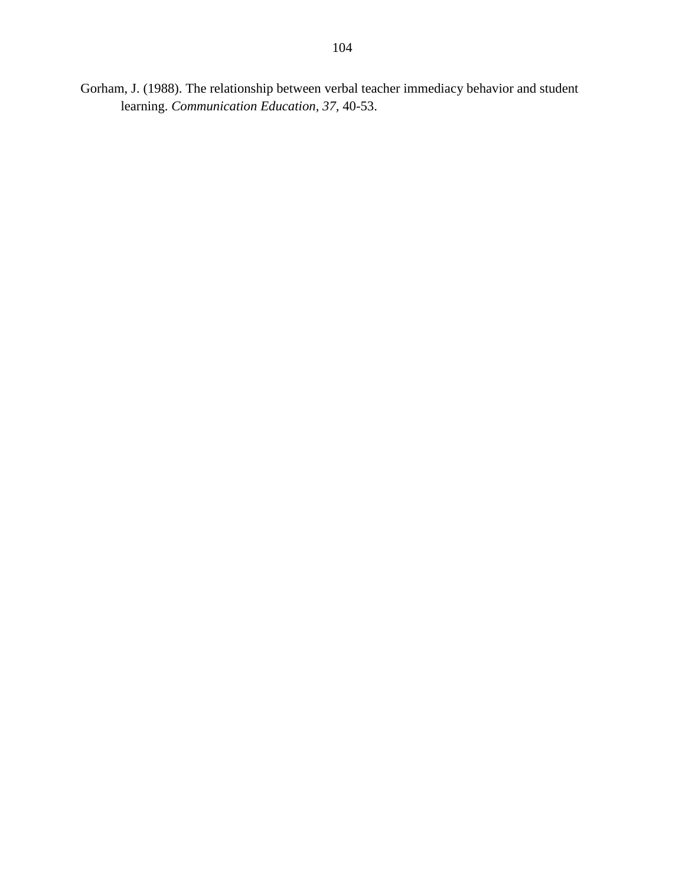Gorham, J. (1988). The relationship between verbal teacher immediacy behavior and student learning. *Communication Education, 37,* 40-53.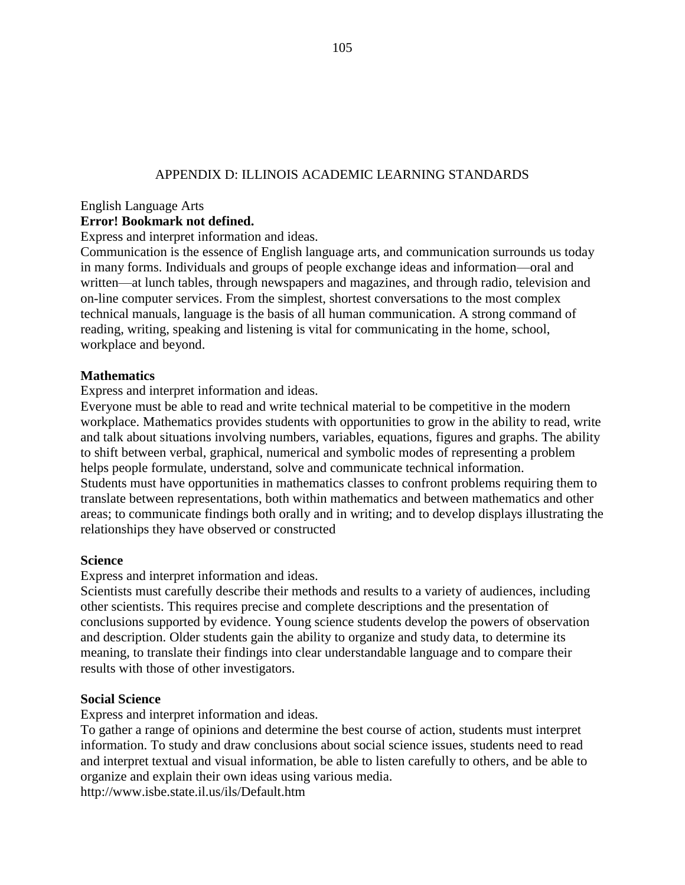## APPENDIX D: ILLINOIS ACADEMIC LEARNING STANDARDS

#### English Language Arts

#### **Error! Bookmark not defined.**

Express and interpret information and ideas.

Communication is the essence of English language arts, and communication surrounds us today in many forms. Individuals and groups of people exchange ideas and information—oral and written—at lunch tables, through newspapers and magazines, and through radio, television and on-line computer services. From the simplest, shortest conversations to the most complex technical manuals, language is the basis of all human communication. A strong command of reading, writing, speaking and listening is vital for communicating in the home, school, workplace and beyond.

#### **Mathematics**

Express and interpret information and ideas.

Everyone must be able to read and write technical material to be competitive in the modern workplace. Mathematics provides students with opportunities to grow in the ability to read, write and talk about situations involving numbers, variables, equations, figures and graphs. The ability to shift between verbal, graphical, numerical and symbolic modes of representing a problem helps people formulate, understand, solve and communicate technical information. Students must have opportunities in mathematics classes to confront problems requiring them to translate between representations, both within mathematics and between mathematics and other areas; to communicate findings both orally and in writing; and to develop displays illustrating the relationships they have observed or constructed

#### **Science**

Express and interpret information and ideas.

Scientists must carefully describe their methods and results to a variety of audiences, including other scientists. This requires precise and complete descriptions and the presentation of conclusions supported by evidence. Young science students develop the powers of observation and description. Older students gain the ability to organize and study data, to determine its meaning, to translate their findings into clear understandable language and to compare their results with those of other investigators.

#### **Social Science**

Express and interpret information and ideas.

To gather a range of opinions and determine the best course of action, students must interpret information. To study and draw conclusions about social science issues, students need to read and interpret textual and visual information, be able to listen carefully to others, and be able to organize and explain their own ideas using various media.

http://www.isbe.state.il.us/ils/Default.htm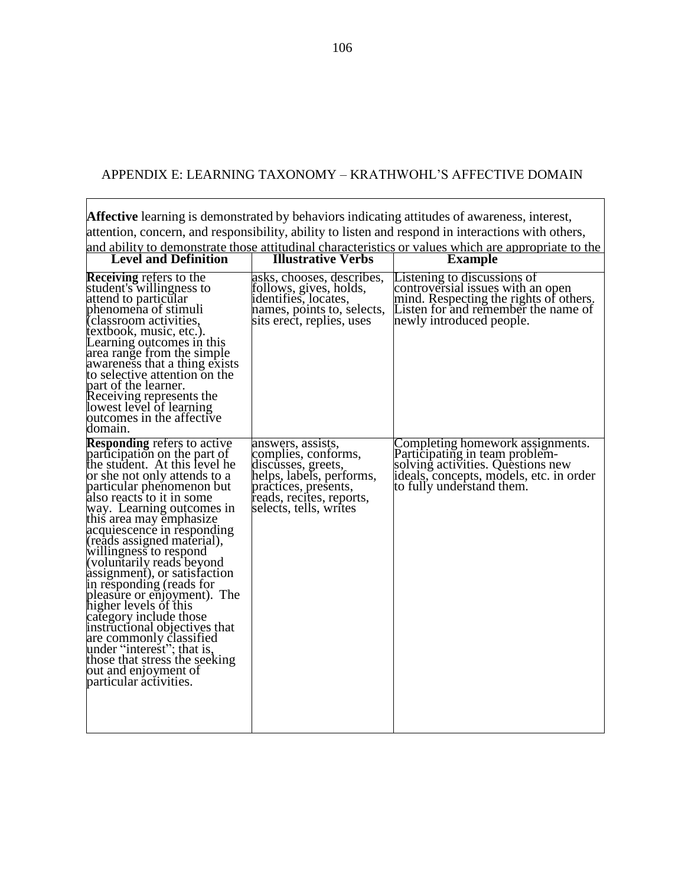## APPENDIX E: LEARNING TAXONOMY – KRATHWOHL'S AFFECTIVE DOMAIN

**Affective** learning is demonstrated by behaviors indicating attitudes of awareness, interest, attention, concern, and responsibility, ability to listen and respond in interactions with others, and ability to demonstrate those attitudinal characteristics or values which are appropriate to the

|                                                                                                                                                                                                                                                                                                                                                                                                                                                                                                                                                                                                                                                                                                     |                                                                                                                                                                          | <u>and ability to demonstrate those attitudinal characteristics of values which are appropriate to the </u>                                                                     |
|-----------------------------------------------------------------------------------------------------------------------------------------------------------------------------------------------------------------------------------------------------------------------------------------------------------------------------------------------------------------------------------------------------------------------------------------------------------------------------------------------------------------------------------------------------------------------------------------------------------------------------------------------------------------------------------------------------|--------------------------------------------------------------------------------------------------------------------------------------------------------------------------|---------------------------------------------------------------------------------------------------------------------------------------------------------------------------------|
| <b>Level and Definition</b>                                                                                                                                                                                                                                                                                                                                                                                                                                                                                                                                                                                                                                                                         | <b>Illustrative Verbs</b>                                                                                                                                                | <b>Example</b>                                                                                                                                                                  |
| <b>Receiving refers to the</b><br>student's willingness to<br>attend to particular<br>phenomena of stimuli<br>(classroom activities,<br>textbook, music, etc.).<br>Learning outcomes in this<br>area range from the simple<br>awareness that a thing exists<br>to selective attention on the<br>part of the learner.<br>Receiving represents the<br>lowest level of learning<br>putcomes in the affective<br>domain.                                                                                                                                                                                                                                                                                | asks, chooses, describes,<br>tollows, gives, holds,<br>identifies, locates,<br>names, points to, selects,<br>sits erect, replies, uses                                   | Listening to discussions of<br>controversial issues with an open<br>mind. Respecting the rights of others.<br>Listen for and remember the name of<br>newly introduced people.   |
| <b>Responding refers to active</b><br>participation on the part of<br>the student. At this level he<br>or she not only attends to a<br>particular phenomenon but<br>also reacts to it in some<br>way. Learning outcomes in<br>this area may emphasize<br>acquiescence in responding<br>(reads assigned material),<br>willingness to respond<br>(voluntarily reads beyond<br>assignment), or satisfaction<br>in responding (reads for<br>pleasure or enjoyment). The<br>higher levels of this<br>category include those<br>instructional objectives that<br>are commonly classified<br>under "interest"; that is,<br>those that stress the seeking<br>out and enjoyment of<br>particular activities. | answers, assists,<br>complies, conforms,<br>discusses, greets,<br>helps, labels, performs,<br>practices, presents,<br>reads, recites, reports,<br>selects, tells, writes | Completing homework assignments.<br>Participating in team problem-<br>solving activities. Questions new<br>ideals, concepts, models, etc. in order<br>to fully understand them. |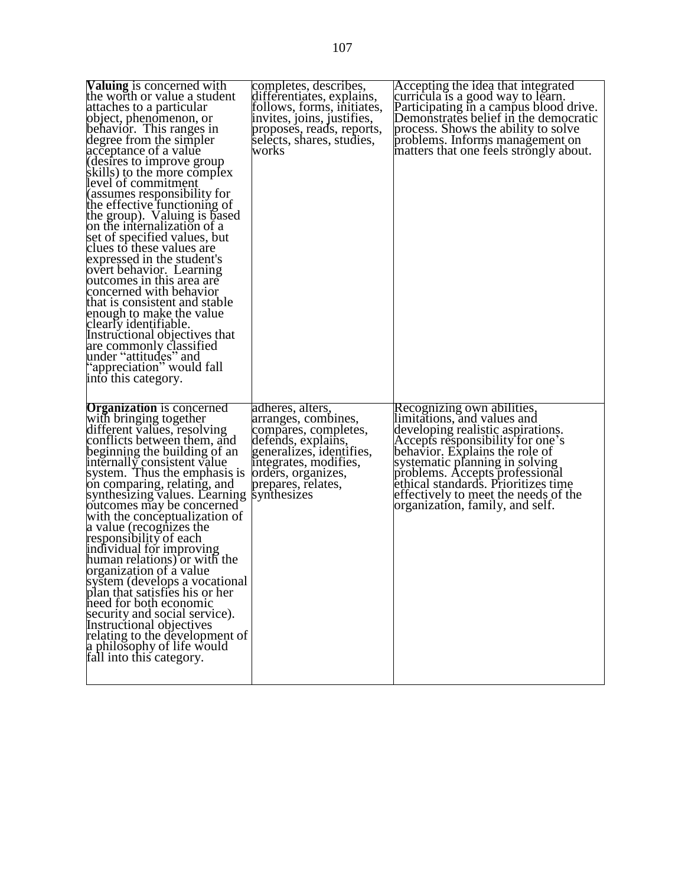| <b>Valuing</b> is concerned with<br>the worth or value a student<br>attaches to a particular<br>object, phenomenon, or<br>behavior. This ranges in<br>degree from the simpler<br>acceptance of a value<br>(desires to improve group<br>skills) to the more complex<br>level of commitment<br>(assumes responsibility for<br>the effective functioning of<br>the group). Valuing is based<br>on the internalization of a<br>set of specified values, but<br>clues to these values are<br>expressed in the student's<br>overt behavior. Learning<br>outcomes in this area are<br>concerned with behavior<br>that is consistent and stable<br>enough to make the value<br>clearly identifiable.<br>Instructional objectives that<br>are commonly classified<br>under "attitudes" and<br>'appreciation'' would fall<br>into this category. | completes, describes,<br>differentiates, explains,<br>follows, forms, initiates,<br>invites, joins, justifies,<br>proposes, reads, reports,<br>selects, shares, studies,<br>works                     | Accepting the idea that integrated<br>curricula is a good way to learn.<br>Participating in a campus blood drive.<br>Demonstrates belief in the democratic<br>process. Shows the ability to solve<br>problems. Informs management on<br>matters that one feels strongly about.                                                                             |
|----------------------------------------------------------------------------------------------------------------------------------------------------------------------------------------------------------------------------------------------------------------------------------------------------------------------------------------------------------------------------------------------------------------------------------------------------------------------------------------------------------------------------------------------------------------------------------------------------------------------------------------------------------------------------------------------------------------------------------------------------------------------------------------------------------------------------------------|-------------------------------------------------------------------------------------------------------------------------------------------------------------------------------------------------------|------------------------------------------------------------------------------------------------------------------------------------------------------------------------------------------------------------------------------------------------------------------------------------------------------------------------------------------------------------|
| <b>Organization</b> is concerned<br>with bringing together<br>different values, resolving<br>conflicts between them, and<br>beginning the building of an<br>internally consistent value<br>system. Thus the emphasis is<br>on comparing, relating, and<br>synthesizing values. Learning<br>outcomes may be concerned<br>with the conceptualization of<br>a value (recognizes the<br>responsibility of each<br>individual for improving<br>human relations) or with the<br>organization of a value<br>system (develops a vocational<br>plan that satisfies his or her<br>heed for both economic<br>security and social service).<br>Instructional objectives<br>relating to the development of<br>a philosophy of life would<br>fall into this category.                                                                                | adheres, alters,<br>arranges, combines,<br>compares, completes,<br>defends, explains,<br>generalizes, identifies,<br>integrates, modifies,<br>orders, organizes,<br>prepares, relates,<br>synthesizes | Recognizing own abilities,<br>limitations, and values and<br>developing realistic aspirations.<br>Accepts responsibility for one's<br>behavior. Explains the role of<br>systematic planning in solving<br>problems. Accepts professional<br>ethical standards. Prioritizes time<br>effectively to meet the needs of the<br>organization, family, and self. |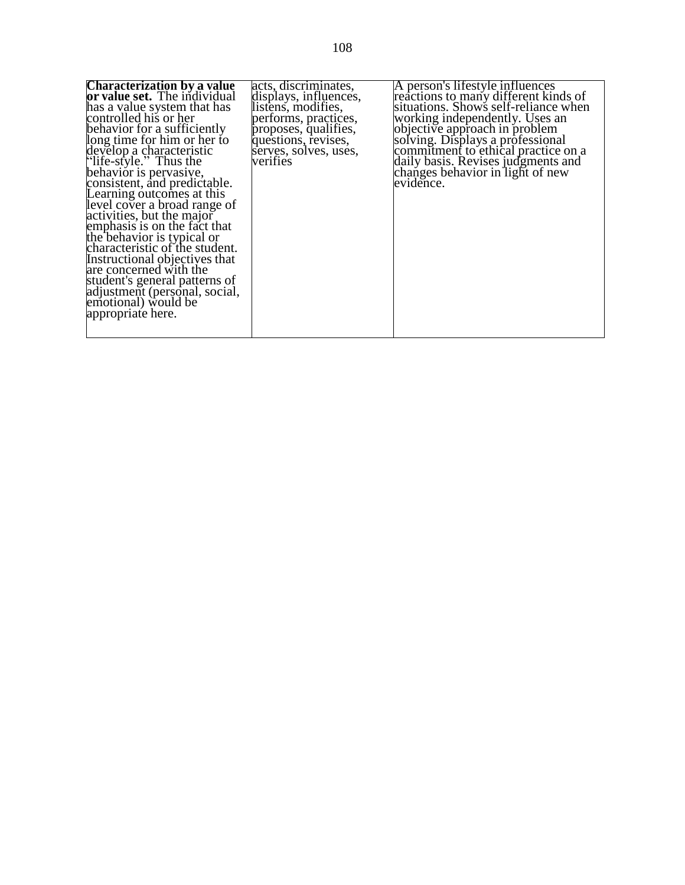| <b>Characterization by a value</b>  | acts, discriminates,  | A person's lifestyle influences      |
|-------------------------------------|-----------------------|--------------------------------------|
| <b>or value set.</b> The individual | displays, influences, | reactions to many different kinds of |
| has a value system that has         | listens, modifies,    | situations. Shows self-reliance when |
| controlled his or her               | performs, practices,  | working independently. Uses an       |
| behavior for a sufficiently         | proposes, qualifies,  | objective approach in problem        |
| long time for him or her to         | questions, revises,   | solving. Displays a professional     |
| develop a characteristic            | serves, solves, uses, | commitment to ethical practice on a  |
| "life-style." Thus the              | verifies              | daily basis. Revises judgments and   |
| behavior is pervasive,              |                       | changes behavior in light of new     |
| consistent, and predictable.        |                       | evidence.                            |
| Learning outcomes at this           |                       |                                      |
| level cover a broad range of        |                       |                                      |
| activities, but the major           |                       |                                      |
| emphasis is on the fact that        |                       |                                      |
| the behavior is typical or          |                       |                                      |
| characteristic of the student.      |                       |                                      |
| Instructional objectives that       |                       |                                      |
| are concerned with the              |                       |                                      |
| student's general patterns of       |                       |                                      |
| adjustment (personal, social,       |                       |                                      |
| emotional) would be                 |                       |                                      |
| appropriate here.                   |                       |                                      |
|                                     |                       |                                      |
|                                     |                       |                                      |